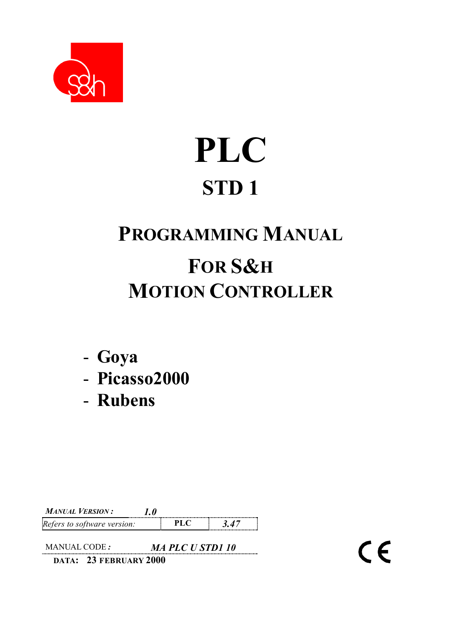

# **PLC STD 1**

## **PROGRAMMING MANUAL FOR S&H MOTION CONTROLLER**

 $\epsilon$ 

- **Goya**
- **Picasso2000**
- **Rubens**

*MANUAL VERSION : 1.0 Refers to software version:* **PLC 3.47** 

MANUAL CODE *: MA PLC U STD1 10* **DATA: 23 FEBRUARY 2000**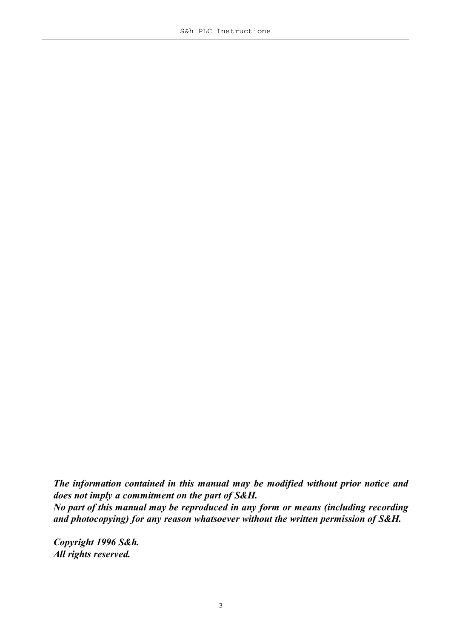*The information contained in this manual may be modified without prior notice and does not imply a commitment on the part of S&H. No part of this manual may be reproduced in any form or means (including recording and photocopying) for any reason whatsoever without the written permission of S&H.*

*Copyright 1996 S&h. All rights reserved.*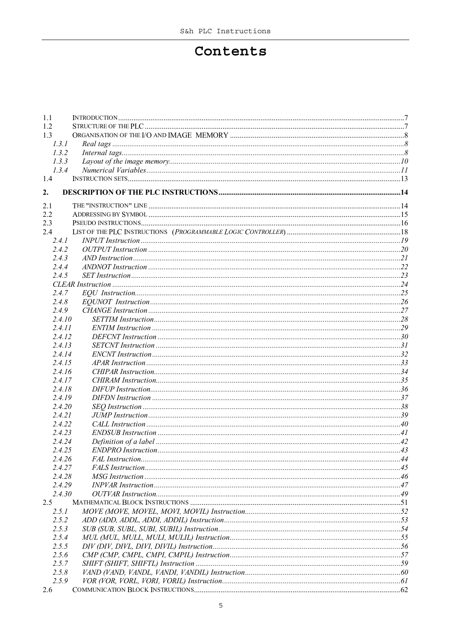#### Contents

| 1.1              |  |
|------------------|--|
| 1.2              |  |
| 1.3              |  |
| 1.3.1            |  |
| 1.3.2            |  |
| 1.3.3            |  |
| 1.3.4            |  |
| 1.4              |  |
| 2.               |  |
|                  |  |
| 2.1              |  |
| 2.2              |  |
| 2.3              |  |
| 2.4              |  |
| 2.4.1<br>2.4.2   |  |
| 2.4.3            |  |
| 2.4.4            |  |
| 2.4.5            |  |
|                  |  |
|                  |  |
| 2.4.7            |  |
| 2.4.8            |  |
| 2.4.9            |  |
| 2.4.10           |  |
| 2.4.11           |  |
| 2.4.12           |  |
| 2.4.13           |  |
| 2.4.14           |  |
| 2.4.15           |  |
| 2.4.16           |  |
| 2.4.17           |  |
| 2.4.18           |  |
| 2.4.19           |  |
| 2.4.20           |  |
| 2.4.21           |  |
| 2.4.22           |  |
| 2.4.23           |  |
| 2.4.24           |  |
| 2.4.25           |  |
| 2.4.26<br>2.4.27 |  |
|                  |  |
| 2.4.28           |  |
| 2.4.29           |  |
| 2.4.30           |  |
| 2.5              |  |
| 2.5.1            |  |
| 2.5.2            |  |
| 2.5.3            |  |
| 2.5.4            |  |
| 2.5.5            |  |
| 2.5.6            |  |
| 2.5.7            |  |
| 2.5.8            |  |
| 2.5.9            |  |
| 2.6              |  |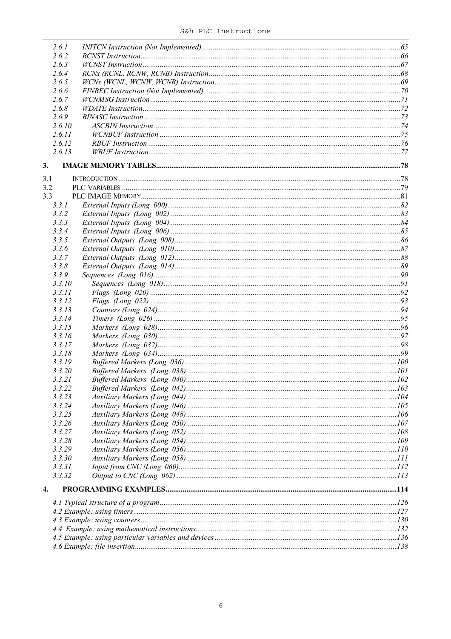|     | 2.6.1  |  |
|-----|--------|--|
|     | 2.6.2  |  |
|     | 2.6.3  |  |
|     | 2.6.4  |  |
|     | 2.6.5  |  |
|     | 2.6.6  |  |
|     | 2.6.7  |  |
|     | 2.6.8  |  |
|     | 2.6.9  |  |
|     | 2.6.10 |  |
|     | 2.6.11 |  |
|     | 2.6.12 |  |
|     | 2.6.13 |  |
|     |        |  |
| 3.  |        |  |
| 3.1 |        |  |
| 3.2 |        |  |
| 3.3 |        |  |
|     | 3.3.1  |  |
|     | 3.3.2  |  |
|     | 3.3.3  |  |
|     | 3.3.4  |  |
|     | 3.3.5  |  |
|     | 3.3.6  |  |
|     | 3.3.7  |  |
|     | 3.3.8  |  |
|     | 3.3.9  |  |
|     | 3.3.10 |  |
|     | 3.3.11 |  |
|     | 3.3.12 |  |
|     | 3.3.13 |  |
|     | 3.3.14 |  |
|     | 3.3.15 |  |
|     | 3.3.16 |  |
|     | 3.3.17 |  |
|     | 3.3.18 |  |
|     | 3.3.19 |  |
|     | 3.3.20 |  |
|     | 3.3.21 |  |
|     | 3.3.22 |  |
|     | 3.3.23 |  |
|     | 3.3.24 |  |
|     | 3.3.25 |  |
|     | 3.3.26 |  |
|     | 3.3.27 |  |
|     | 3.3.28 |  |
|     | 3.3.29 |  |
|     | 3.3.30 |  |
|     | 3.3.31 |  |
|     | 3.3.32 |  |
| 4.  |        |  |
|     |        |  |
|     |        |  |
|     |        |  |
|     |        |  |
|     |        |  |
|     |        |  |
|     |        |  |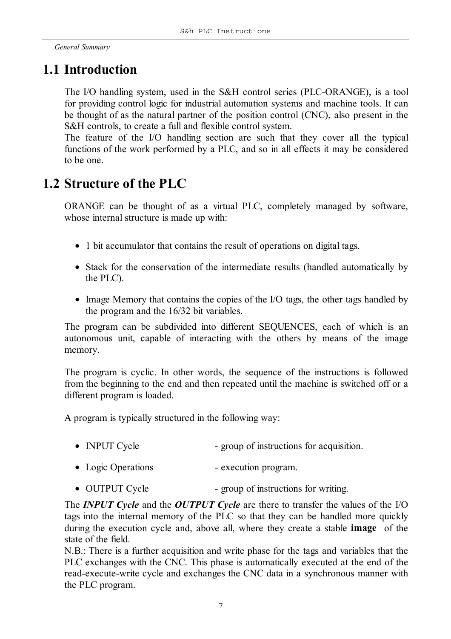*General Summary*

## **1.1 Introduction**

The I/O handling system, used in the S&H control series (PLC-ORANGE), is a tool for providing control logic for industrial automation systems and machine tools. It can be thought of as the natural partner of the position control (CNC), also present in the S&H controls, to create a full and flexible control system.

The feature of the I/O handling section are such that they cover all the typical functions of the work performed by a PLC, and so in all effects it may be considered to be one.

## **1.2 Structure of the PLC**

ORANGE can be thought of as a virtual PLC, completely managed by software, whose internal structure is made up with:

- 1 bit accumulator that contains the result of operations on digital tags.
- Stack for the conservation of the intermediate results (handled automatically by the PLC).
- Image Memory that contains the copies of the I/O tags, the other tags handled by the program and the 16/32 bit variables.

The program can be subdivided into different SEQUENCES, each of which is an autonomous unit, capable of interacting with the others by means of the image memory.

The program is cyclic. In other words, the sequence of the instructions is followed from the beginning to the end and then repeated until the machine is switched off or a different program is loaded.

A program is typically structured in the following way:

- INPUT Cycle group of instructions for acquisition.
- Logic Operations execution program.
- OUTPUT Cycle group of instructions for writing.

The *INPUT Cycle* and the *OUTPUT Cycle* are there to transfer the values of the I/O tags into the internal memory of the PLC so that they can be handled more quickly during the execution cycle and, above all, where they create a stable **image** of the state of the field.

N.B.: There is a further acquisition and write phase for the tags and variables that the PLC exchanges with the CNC. This phase is automatically executed at the end of the read-execute-write cycle and exchanges the CNC data in a synchronous manner with the PLC program.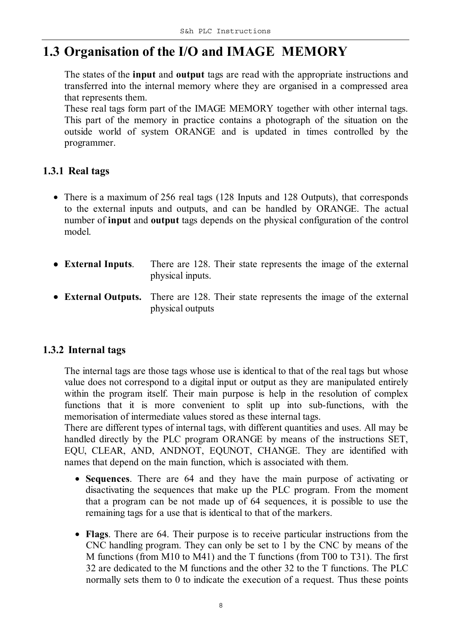## **1.3 Organisation of the I/O and IMAGE MEMORY**

The states of the **input** and **output** tags are read with the appropriate instructions and transferred into the internal memory where they are organised in a compressed area that represents them.

These real tags form part of the IMAGE MEMORY together with other internal tags. This part of the memory in practice contains a photograph of the situation on the outside world of system ORANGE and is updated in times controlled by the programmer.

#### **1.3.1 Real tags**

- There is a maximum of 256 real tags (128 Inputs and 128 Outputs), that corresponds to the external inputs and outputs, and can be handled by ORANGE. The actual number of **input** and **output** tags depends on the physical configuration of the control model.
- **External Inputs**. There are 128. Their state represents the image of the external physical inputs.
- **External Outputs.** There are 128. Their state represents the image of the external physical outputs

#### **1.3.2 Internal tags**

The internal tags are those tags whose use is identical to that of the real tags but whose value does not correspond to a digital input or output as they are manipulated entirely within the program itself. Their main purpose is help in the resolution of complex functions that it is more convenient to split up into sub-functions, with the memorisation of intermediate values stored as these internal tags.

There are different types of internal tags, with different quantities and uses. All may be handled directly by the PLC program ORANGE by means of the instructions SET, EQU, CLEAR, AND, ANDNOT, EQUNOT, CHANGE. They are identified with names that depend on the main function, which is associated with them.

- **Sequences**. There are 64 and they have the main purpose of activating or disactivating the sequences that make up the PLC program. From the moment that a program can be not made up of 64 sequences, it is possible to use the remaining tags for a use that is identical to that of the markers.
- **Flags**. There are 64. Their purpose is to receive particular instructions from the CNC handling program. They can only be set to 1 by the CNC by means of the M functions (from M10 to M41) and the T functions (from T00 to T31). The first 32 are dedicated to the M functions and the other 32 to the T functions. The PLC normally sets them to 0 to indicate the execution of a request. Thus these points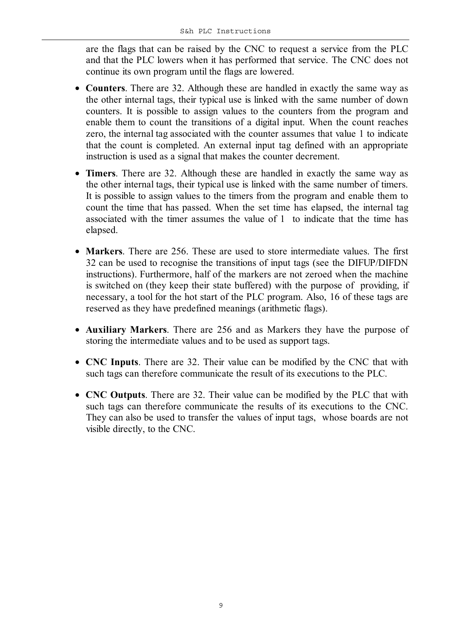are the flags that can be raised by the CNC to request a service from the PLC and that the PLC lowers when it has performed that service. The CNC does not continue its own program until the flags are lowered.

- **Counters**. There are 32. Although these are handled in exactly the same way as the other internal tags, their typical use is linked with the same number of down counters. It is possible to assign values to the counters from the program and enable them to count the transitions of a digital input. When the count reaches zero, the internal tag associated with the counter assumes that value 1 to indicate that the count is completed. An external input tag defined with an appropriate instruction is used as a signal that makes the counter decrement.
- **Timers**. There are 32. Although these are handled in exactly the same way as the other internal tags, their typical use is linked with the same number of timers. It is possible to assign values to the timers from the program and enable them to count the time that has passed. When the set time has elapsed, the internal tag associated with the timer assumes the value of 1 to indicate that the time has elapsed.
- **Markers**. There are 256. These are used to store intermediate values. The first 32 can be used to recognise the transitions of input tags (see the DIFUP/DIFDN instructions). Furthermore, half of the markers are not zeroed when the machine is switched on (they keep their state buffered) with the purpose of providing, if necessary, a tool for the hot start of the PLC program. Also, 16 of these tags are reserved as they have predefined meanings (arithmetic flags).
- **Auxiliary Markers**. There are 256 and as Markers they have the purpose of storing the intermediate values and to be used as support tags.
- **CNC Inputs**. There are 32. Their value can be modified by the CNC that with such tags can therefore communicate the result of its executions to the PLC.
- **CNC Outputs**. There are 32. Their value can be modified by the PLC that with such tags can therefore communicate the results of its executions to the CNC. They can also be used to transfer the values of input tags, whose boards are not visible directly, to the CNC.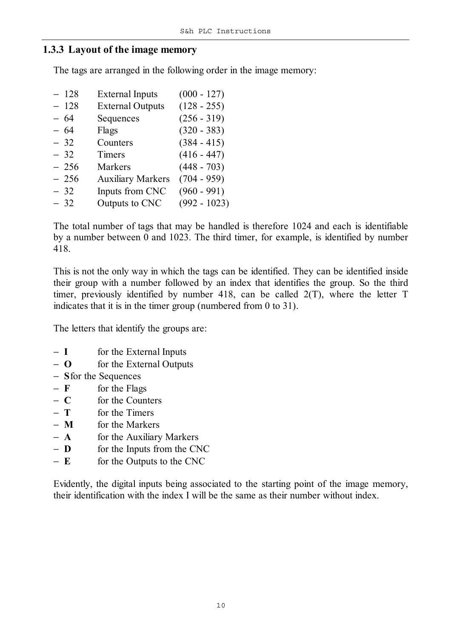#### **1.3.3 Layout of the image memory**

The tags are arranged in the following order in the image memory:

| <b>External Inputs</b>                                                                     | $(000 - 127)$  |
|--------------------------------------------------------------------------------------------|----------------|
| <b>External Outputs</b>                                                                    | $(128 - 255)$  |
| Sequences                                                                                  | $(256 - 319)$  |
| Flags                                                                                      | $(320 - 383)$  |
| Counters                                                                                   | $(384 - 415)$  |
| Timers                                                                                     | $(416 - 447)$  |
| <b>Markers</b>                                                                             | $(448 - 703)$  |
| <b>Auxiliary Markers</b>                                                                   | $(704 - 959)$  |
| Inputs from CNC                                                                            | $(960 - 991)$  |
| Outputs to CNC                                                                             | $(992 - 1023)$ |
| $-128$<br>$-128$<br>$-64$<br>$-64$<br>$-32$<br>$-32$<br>$-256$<br>$-256$<br>$-32$<br>$-32$ |                |

The total number of tags that may be handled is therefore 1024 and each is identifiable by a number between 0 and 1023. The third timer, for example, is identified by number 418.

This is not the only way in which the tags can be identified. They can be identified inside their group with a number followed by an index that identifies the group. So the third timer, previously identified by number 418, can be called 2(T), where the letter T indicates that it is in the timer group (numbered from 0 to 31).

The letters that identify the groups are:

- − **I** for the External Inputs
- − **O** for the External Outputs
- − **S**for the Sequences
- − **F** for the Flags
- − **C** for the Counters
- − **T** for the Timers
- − **M** for the Markers
- − **A** for the Auxiliary Markers
- − **D** for the Inputs from the CNC
- − **E** for the Outputs to the CNC

Evidently, the digital inputs being associated to the starting point of the image memory, their identification with the index I will be the same as their number without index.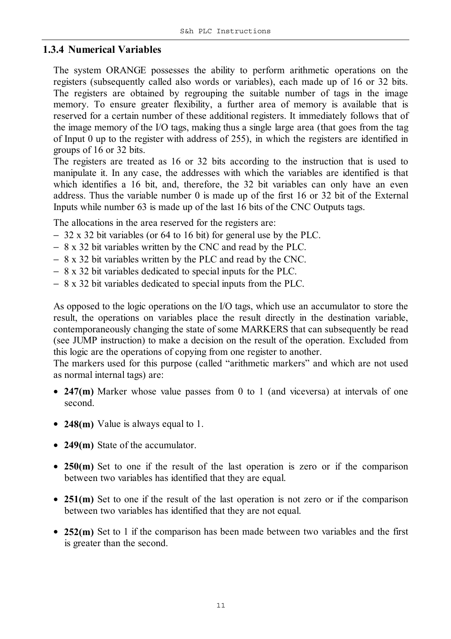#### **1.3.4 Numerical Variables**

The system ORANGE possesses the ability to perform arithmetic operations on the registers (subsequently called also words or variables), each made up of 16 or 32 bits. The registers are obtained by regrouping the suitable number of tags in the image memory. To ensure greater flexibility, a further area of memory is available that is reserved for a certain number of these additional registers. It immediately follows that of the image memory of the I/O tags, making thus a single large area (that goes from the tag of Input 0 up to the register with address of 255), in which the registers are identified in groups of 16 or 32 bits.

The registers are treated as 16 or 32 bits according to the instruction that is used to manipulate it. In any case, the addresses with which the variables are identified is that which identifies a 16 bit, and, therefore, the 32 bit variables can only have an even address. Thus the variable number 0 is made up of the first 16 or 32 bit of the External Inputs while number 63 is made up of the last 16 bits of the CNC Outputs tags.

The allocations in the area reserved for the registers are:

- − 32 x 32 bit variables (or 64 to 16 bit) for general use by the PLC.
- − 8 x 32 bit variables written by the CNC and read by the PLC.
- − 8 x 32 bit variables written by the PLC and read by the CNC.
- − 8 x 32 bit variables dedicated to special inputs for the PLC.
- − 8 x 32 bit variables dedicated to special inputs from the PLC.

As opposed to the logic operations on the I/O tags, which use an accumulator to store the result, the operations on variables place the result directly in the destination variable, contemporaneously changing the state of some MARKERS that can subsequently be read (see JUMP instruction) to make a decision on the result of the operation. Excluded from this logic are the operations of copying from one register to another.

The markers used for this purpose (called "arithmetic markers" and which are not used as normal internal tags) are:

- **247(m)** Marker whose value passes from 0 to 1 (and viceversa) at intervals of one second.
- **248(m)** Value is always equal to 1.
- **249(m)** State of the accumulator.
- **250(m)** Set to one if the result of the last operation is zero or if the comparison between two variables has identified that they are equal.
- **251(m)** Set to one if the result of the last operation is not zero or if the comparison between two variables has identified that they are not equal.
- 252(m) Set to 1 if the comparison has been made between two variables and the first is greater than the second.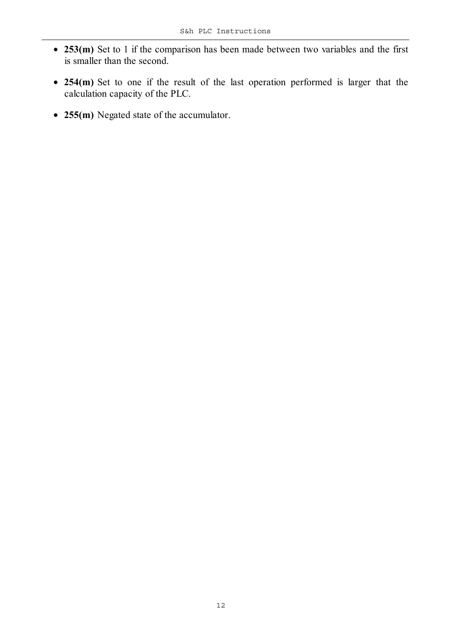- **253(m)** Set to 1 if the comparison has been made between two variables and the first is smaller than the second.
- **254(m)** Set to one if the result of the last operation performed is larger that the calculation capacity of the PLC.
- **255(m)** Negated state of the accumulator.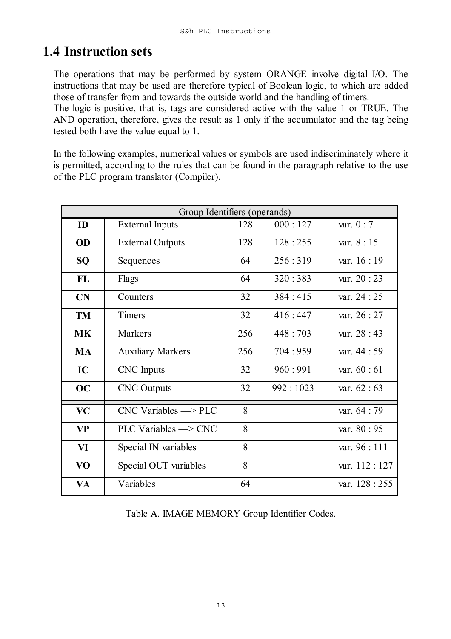## **1.4 Instruction sets**

The operations that may be performed by system ORANGE involve digital I/O. The instructions that may be used are therefore typical of Boolean logic, to which are added those of transfer from and towards the outside world and the handling of timers.

The logic is positive, that is, tags are considered active with the value 1 or TRUE. The AND operation, therefore, gives the result as 1 only if the accumulator and the tag being tested both have the value equal to 1.

In the following examples, numerical values or symbols are used indiscriminately where it is permitted, according to the rules that can be found in the paragraph relative to the use of the PLC program translator (Compiler).

|           | Group Identifiers (operands)          |     |           |                |
|-----------|---------------------------------------|-----|-----------|----------------|
| ID        | <b>External Inputs</b>                | 128 | 000:127   | var. $0:7$     |
| OD        | <b>External Outputs</b>               | 128 | 128:255   | var. $8:15$    |
| <b>SQ</b> | Sequences                             | 64  | 256:319   | var. $16:19$   |
| <b>FL</b> | Flags                                 | 64  | 320:383   | var. $20:23$   |
| CN        | Counters                              | 32  | 384:415   | var. 24 : 25   |
| <b>TM</b> | <b>Timers</b>                         | 32  | 416:447   | var. 26 : 27   |
| <b>MK</b> | Markers                               | 256 | 448 : 703 | var. $28:43$   |
| <b>MA</b> | <b>Auxiliary Markers</b>              | 256 | 704:959   | var. 44 : 59   |
| IC        | <b>CNC</b> Inputs                     | 32  | 960:991   | var. $60:61$   |
| OC        | <b>CNC</b> Outputs                    | 32  | 992:1023  | var. $62 : 63$ |
| <b>VC</b> | $CNC$ Variables $\Longrightarrow$ PLC | 8   |           | var. 64 : 79   |
| <b>VP</b> | PLC Variables $\Longrightarrow$ CNC   | 8   |           | var. 80 : 95   |
| VI        | Special IN variables                  | 8   |           | var. $96:111$  |
| VO        | Special OUT variables                 | 8   |           | var. 112:127   |
| <b>VA</b> | Variables                             | 64  |           | var. 128 : 255 |

Table A. IMAGE MEMORY Group Identifier Codes.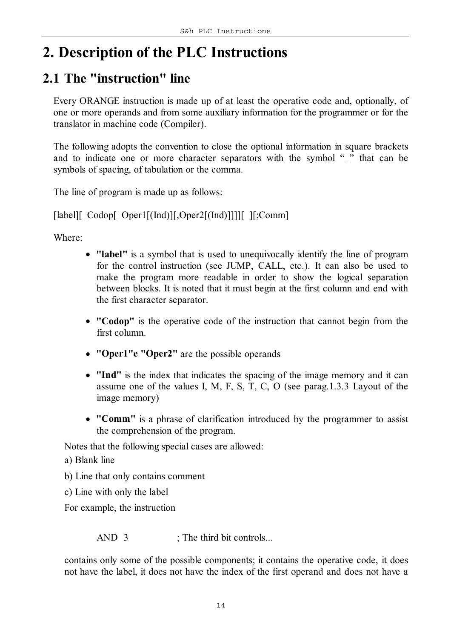## **2. Description of the PLC Instructions**

## **2.1 The "instruction" line**

Every ORANGE instruction is made up of at least the operative code and, optionally, of one or more operands and from some auxiliary information for the programmer or for the translator in machine code (Compiler).

The following adopts the convention to close the optional information in square brackets and to indicate one or more character separators with the symbol " $\ddot{''}$ " that can be symbols of spacing, of tabulation or the comma.

The line of program is made up as follows:

[label][\_Codop[\_Oper1[(Ind)][,Oper2[(Ind)]]]][\_][;Comm]

Where:

- **"label"** is a symbol that is used to unequivocally identify the line of program for the control instruction (see JUMP, CALL, etc.). It can also be used to make the program more readable in order to show the logical separation between blocks. It is noted that it must begin at the first column and end with the first character separator.
- **"Codop"** is the operative code of the instruction that cannot begin from the first column.
- **"Oper1"e "Oper2"** are the possible operands
- **"Ind"** is the index that indicates the spacing of the image memory and it can assume one of the values I, M, F, S, T, C, O (see parag.1.3.3 Layout of the image memory)
- **"Comm"** is a phrase of clarification introduced by the programmer to assist the comprehension of the program.

Notes that the following special cases are allowed:

- a) Blank line
- b) Line that only contains comment
- c) Line with only the label

For example, the instruction

AND 3 ; The third bit controls...

contains only some of the possible components; it contains the operative code, it does not have the label, it does not have the index of the first operand and does not have a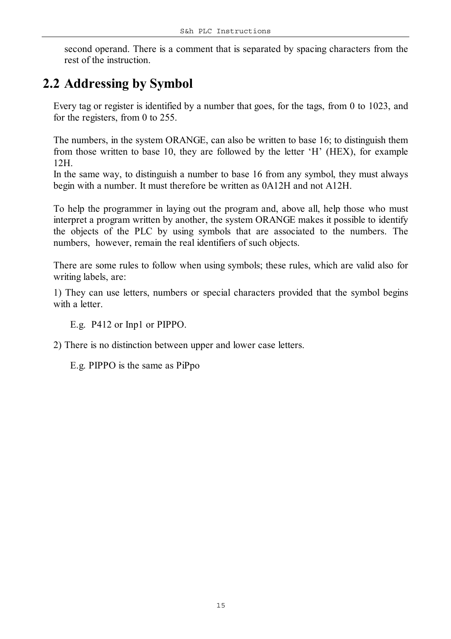second operand. There is a comment that is separated by spacing characters from the rest of the instruction.

## **2.2 Addressing by Symbol**

Every tag or register is identified by a number that goes, for the tags, from 0 to 1023, and for the registers, from 0 to 255.

The numbers, in the system ORANGE, can also be written to base 16; to distinguish them from those written to base 10, they are followed by the letter 'H' (HEX), for example 12H.

In the same way, to distinguish a number to base 16 from any symbol, they must always begin with a number. It must therefore be written as 0A12H and not A12H.

To help the programmer in laying out the program and, above all, help those who must interpret a program written by another, the system ORANGE makes it possible to identify the objects of the PLC by using symbols that are associated to the numbers. The numbers, however, remain the real identifiers of such objects.

There are some rules to follow when using symbols; these rules, which are valid also for writing labels, are:

1) They can use letters, numbers or special characters provided that the symbol begins with a letter.

E.g. P412 or Inp1 or PIPPO.

2) There is no distinction between upper and lower case letters.

E.g. PIPPO is the same as PiPpo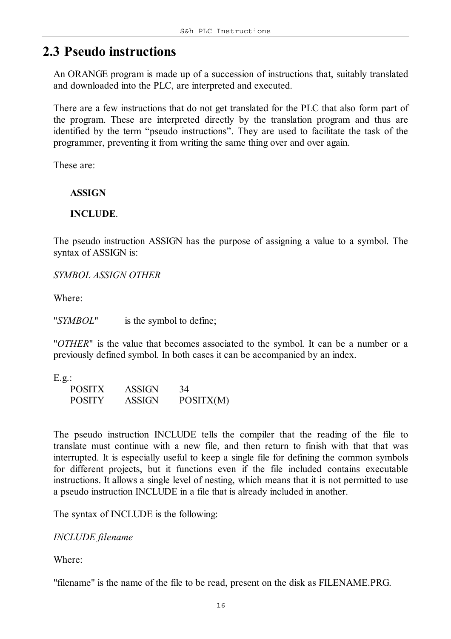## **2.3 Pseudo instructions**

An ORANGE program is made up of a succession of instructions that, suitably translated and downloaded into the PLC, are interpreted and executed.

There are a few instructions that do not get translated for the PLC that also form part of the program. These are interpreted directly by the translation program and thus are identified by the term "pseudo instructions". They are used to facilitate the task of the programmer, preventing it from writing the same thing over and over again.

These are:

#### **ASSIGN**

#### **INCLUDE**.

The pseudo instruction ASSIGN has the purpose of assigning a value to a symbol. The syntax of ASSIGN is:

*SYMBOL ASSIGN OTHER*

Where:

"*SYMBOL*" is the symbol to define;

"*OTHER*" is the value that becomes associated to the symbol. It can be a number or a previously defined symbol. In both cases it can be accompanied by an index.

E.g.:

| <b>POSITX</b> | <b>ASSIGN</b> | 34        |
|---------------|---------------|-----------|
| <b>POSITY</b> | <b>ASSIGN</b> | POSITX(M) |

The pseudo instruction INCLUDE tells the compiler that the reading of the file to translate must continue with a new file, and then return to finish with that that was interrupted. It is especially useful to keep a single file for defining the common symbols for different projects, but it functions even if the file included contains executable instructions. It allows a single level of nesting, which means that it is not permitted to use a pseudo instruction INCLUDE in a file that is already included in another.

The syntax of INCLUDE is the following:

#### *INCLUDE filename*

Where:

"filename" is the name of the file to be read, present on the disk as FILENAME.PRG.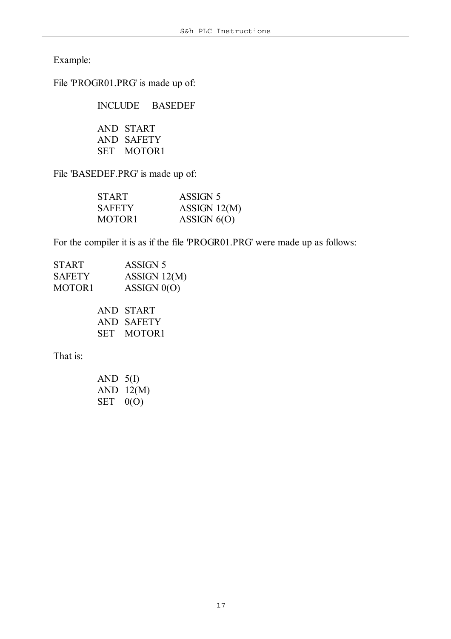Example:

File 'PROGR01.PRG' is made up of:

INCLUDE BASEDEF

AND START AND SAFETY SET MOTOR1

File 'BASEDEF.PRG' is made up of:

| <b>START</b>       | ASSIGN 5       |
|--------------------|----------------|
| <b>SAFETY</b>      | ASSIGN $12(M)$ |
| MOTOR <sub>1</sub> | ASSIGN $6(0)$  |

For the compiler it is as if the file 'PROGR01.PRG' were made up as follows:

| <b>START</b>  | ASSIGN 5       |
|---------------|----------------|
| <b>SAFETY</b> | ASSIGN $12(M)$ |
| MOTOR1        | ASSIGN $0(0)$  |
|               |                |

|     | AND START  |
|-----|------------|
|     | AND SAFETY |
| SET | MOTOR1     |

That is:

| AND        | 5(I)  |
|------------|-------|
| <b>AND</b> | 12(M) |
| SET        | 0(O)  |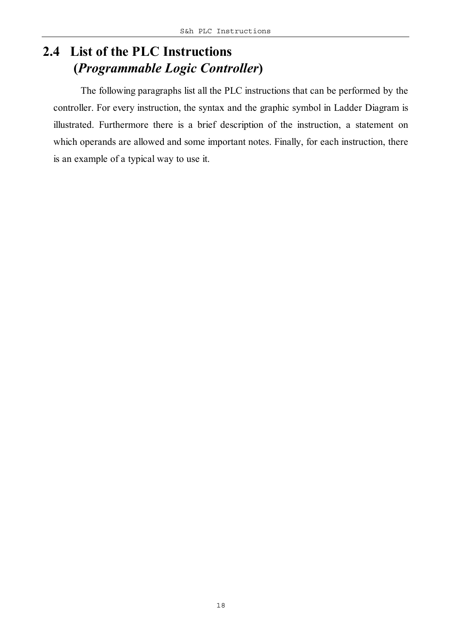## **2.4 List of the PLC Instructions (***Programmable Logic Controller***)**

The following paragraphs list all the PLC instructions that can be performed by the controller. For every instruction, the syntax and the graphic symbol in Ladder Diagram is illustrated. Furthermore there is a brief description of the instruction, a statement on which operands are allowed and some important notes. Finally, for each instruction, there is an example of a typical way to use it.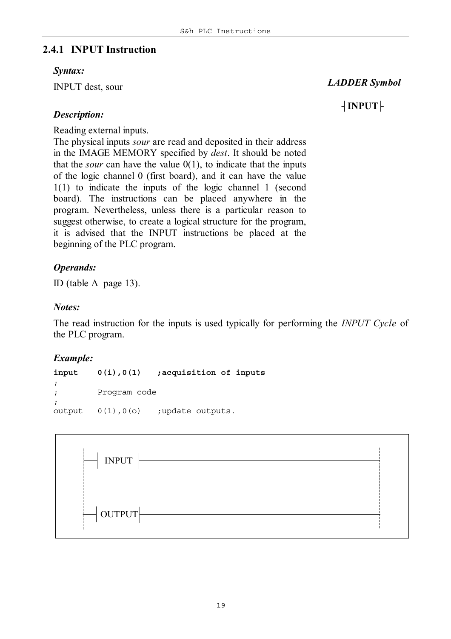#### **2.4.1 INPUT Instruction**

#### *Syntax:*

INPUT dest, sour

 *LADDER Symbol*

## ┤**INPUT**├

#### *Description:*

Reading external inputs.

The physical inputs *sour* are read and deposited in their address in the IMAGE MEMORY specified by *dest*. It should be noted that the *sour* can have the value  $0(1)$ , to indicate that the inputs of the logic channel 0 (first board), and it can have the value 1(1) to indicate the inputs of the logic channel 1 (second board). The instructions can be placed anywhere in the program. Nevertheless, unless there is a particular reason to suggest otherwise, to create a logical structure for the program, it is advised that the INPUT instructions be placed at the beginning of the PLC program.

#### *Operands:*

ID (table A page 13).

#### *Notes:*

The read instruction for the inputs is used typically for performing the *INPUT Cycle* of the PLC program.

#### *Example:*

**input 0(i),0(1)** *;acquisition of inputs ; ; Program code ;* output 0(1),0(o) ;update outputs.

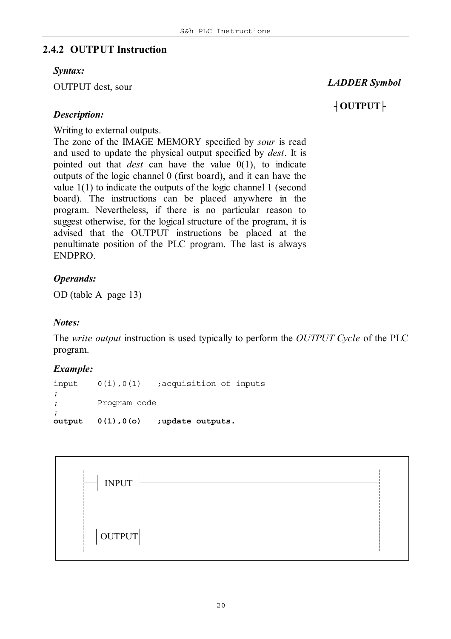#### **2.4.2 OUTPUT Instruction**

#### *Syntax:*

OUTPUT dest, sour

#### *LADDER Symbol*

### ┤**OUTPUT**├

#### *Description:*

Writing to external outputs.

The zone of the IMAGE MEMORY specified by *sour* is read and used to update the physical output specified by *dest*. It is pointed out that *dest* can have the value 0(1), to indicate outputs of the logic channel 0 (first board), and it can have the value 1(1) to indicate the outputs of the logic channel 1 (second board). The instructions can be placed anywhere in the program. Nevertheless, if there is no particular reason to suggest otherwise, for the logical structure of the program, it is advised that the OUTPUT instructions be placed at the penultimate position of the PLC program. The last is always ENDPRO.

#### *Operands:*

OD (table A page 13)

#### *Notes:*

The *write output* instruction is used typically to perform the *OUTPUT Cycle* of the PLC program.

#### *Example:*

```
input 0(i),0(1) ;acquisition of inputs
;
; Program code
;
output 0(1),0(o) ;update outputs.
```
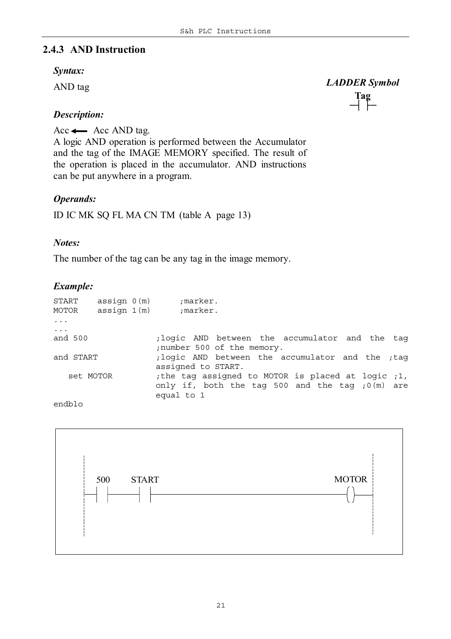#### **2.4.3 AND Instruction**

#### *Syntax:*

AND tag

**Tag** *LADDER Symbol* ─┤ ├─

#### *Description:*

Acc $\leftarrow$  Acc AND tag.

A logic AND operation is performed between the Accumulator and the tag of the IMAGE MEMORY specified. The result of the operation is placed in the accumulator. AND instructions can be put anywhere in a program.

#### *Operands:*

ID IC MK SQ FL MA CN TM (table A page 13)

#### *Notes:*

The number of the tag can be any tag in the image memory.

#### *Example:*

| START<br>MOTOR                 | assign 0(m)<br>assign 1(m) | ;marker.<br>;marker.                                                                                                             |
|--------------------------------|----------------------------|----------------------------------------------------------------------------------------------------------------------------------|
| $\ddots$ .                     |                            |                                                                                                                                  |
| $\cdot \cdot \cdot$<br>and 500 |                            | ; logic AND between the accumulator and the tag<br>; number 500 of the memory.                                                   |
| and START                      |                            | ; logic AND between the accumulator and the ; tag<br>assigned to START.                                                          |
| set MOTOR                      |                            | ; the tag assigned to MOTOR is placed at logic ; 1,<br>only if, both the tag 500 and the tag $(0 \text{ (m)})$ are<br>equal to 1 |

endblo

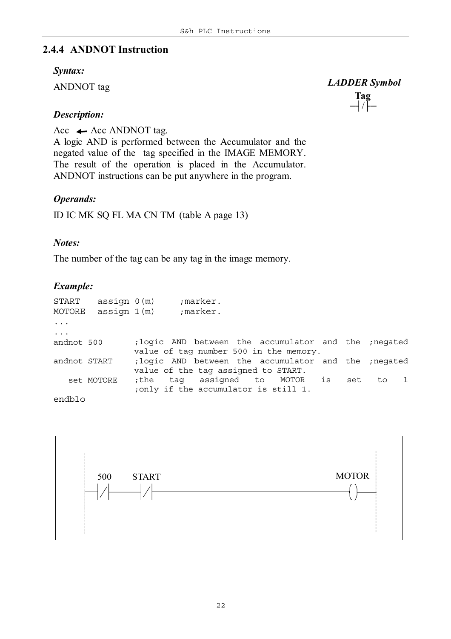#### **2.4.4 ANDNOT Instruction**

#### *Syntax:*

ANDNOT tag

#### **Tag**  *LADDER Symbol*

─┤/├─

#### *Description:*

Acc  $\leftarrow$  Acc ANDNOT tag. A logic AND is performed between the Accumulator and the negated value of the tag specified in the IMAGE MEMORY. The result of the operation is placed in the Accumulator. ANDNOT instructions can be put anywhere in the program.

#### *Operands:*

ID IC MK SQ FL MA CN TM (table A page 13)

#### *Notes:*

The number of the tag can be any tag in the image memory.

#### *Example:*

| START<br>MOTORE          | assign 0(m)<br>assiqn 1(m) |                                                                                                 | ;marker.<br>;marker. |  |  |     |       |  |
|--------------------------|----------------------------|-------------------------------------------------------------------------------------------------|----------------------|--|--|-----|-------|--|
| $\ddots$                 |                            |                                                                                                 |                      |  |  |     |       |  |
| $\ddots$ .<br>andnot 500 |                            | ; logic AND between the accumulator and the ; negated<br>value of tag number 500 in the memory. |                      |  |  |     |       |  |
| andnot START             |                            | ; logic AND between the accumulator and the ; negated<br>value of the tag assigned to START.    |                      |  |  |     |       |  |
|                          | set MOTORE                 | the tag assigned to MOTOR is,<br>; only if the accumulator is still 1.                          |                      |  |  | set | to to |  |
| endblo                   |                            |                                                                                                 |                      |  |  |     |       |  |

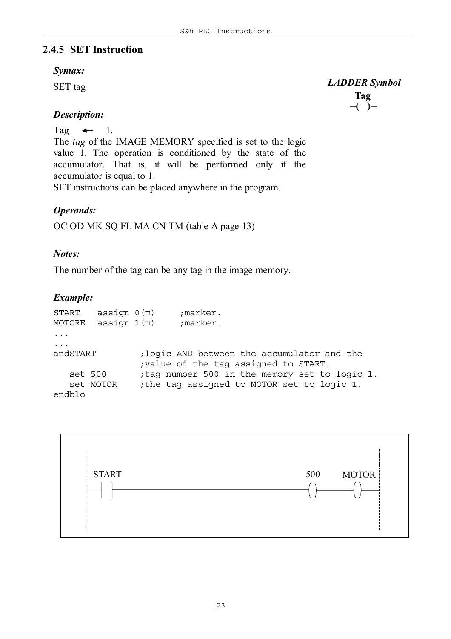#### **2.4.5 SET Instruction**

#### *Syntax:*

SET tag

**Tag**  *LADDER Symbol* ─**( )**─

#### *Description:*

Tag  $\leftarrow$  1.

The *tag* of the IMAGE MEMORY specified is set to the logic value 1. The operation is conditioned by the state of the accumulator. That is, it will be performed only if the accumulator is equal to 1.

SET instructions can be placed anywhere in the program.

#### *Operands:*

OC OD MK SQ FL MA CN TM (table A page 13)

#### *Notes:*

The number of the tag can be any tag in the image memory.

#### *Example:*

START assign 0(m) *;marker.* MOTORE assign 1(m) *;marker.* ... ... andSTART *;logic AND between the accumulator and the ;value of the tag assigned to START.* set 500 *;tag number 500 in the memory set to logic 1.* set MOTOR *;the tag assigned to MOTOR set to logic 1.* endblo

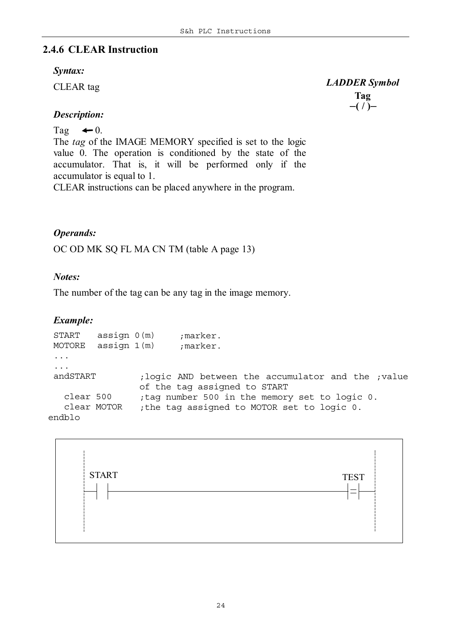#### **2.4.6 CLEAR Instruction**

#### *Syntax:*

CLEAR tag

**Tag** *LADDER Symbol* ─**( / )**─

#### *Description:*

#### Tag  $\leftarrow 0$ .

The *tag* of the IMAGE MEMORY specified is set to the logic value 0. The operation is conditioned by the state of the accumulator. That is, it will be performed only if the accumulator is equal to 1.

CLEAR instructions can be placed anywhere in the program.

#### *Operands:*

OC OD MK SQ FL MA CN TM (table A page 13)

#### *Notes:*

The number of the tag can be any tag in the image memory.

#### *Example:*

```
START assign 0(m) ;marker.
MOTORE assign 1(m) ;marker.
 ...
 ...
 andSTART ;logic AND between the accumulator and the ;value
               of the tag assigned to START
   clear 500 ;tag number 500 in the memory set to logic 0.
   clear MOTOR ;the tag assigned to MOTOR set to logic 0.
endblo
```
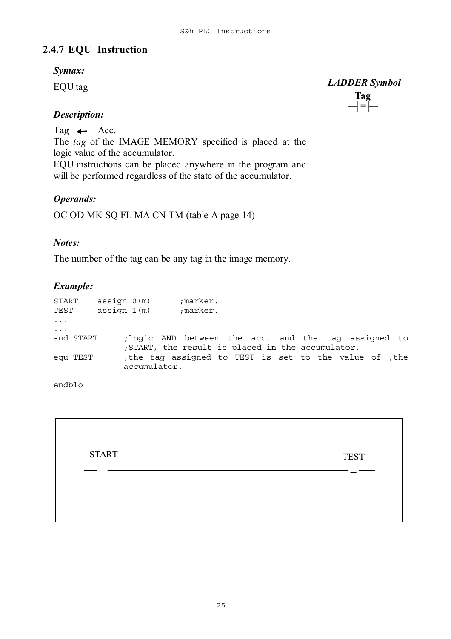#### **2.4.7 EQU Instruction**

#### *Syntax:*

EQU tag

#### *Description:*

Tag  $\leftarrow$  Acc.

The *tag* of the IMAGE MEMORY specified is placed at the logic value of the accumulator.

EQU instructions can be placed anywhere in the program and will be performed regardless of the state of the accumulator.

#### *Operands:*

OC OD MK SQ FL MA CN TM (table A page 14)

#### *Notes:*

The number of the tag can be any tag in the image memory.

#### *Example:*

| START<br>TEST |           | assign 0(m)<br>assign 1(m) |                                                                       | ;marker.<br>;marker. |  |  |  |  |  |
|---------------|-----------|----------------------------|-----------------------------------------------------------------------|----------------------|--|--|--|--|--|
| $\ddots$      |           |                            |                                                                       |                      |  |  |  |  |  |
| $\ddots$      |           |                            |                                                                       |                      |  |  |  |  |  |
|               | and START |                            | ; logic AND between the acc. and the tag assigned to                  |                      |  |  |  |  |  |
|               |           |                            | ; START, the result is placed in the accumulator.                     |                      |  |  |  |  |  |
|               | equ TEST  |                            | the tag assigned to TEST is set to the value of ; the<br>accumulator. |                      |  |  |  |  |  |

endblo



#### *LADDER Symbol*

#### **Tag** ─┤**=**├─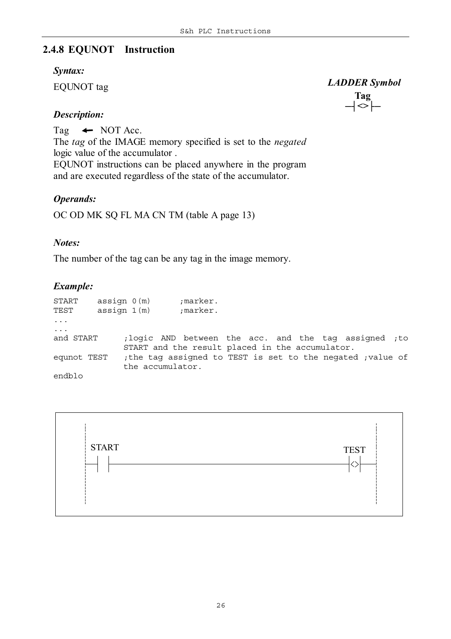### **2.4.8 EQUNOT Instruction**

#### *Syntax:*

EQUNOT tag

#### *Description:*

Tag  $\leftarrow$  NOT Acc.

The *tag* of the IMAGE memory specified is set to the *negated* logic value of the accumulator .

EQUNOT instructions can be placed anywhere in the program and are executed regardless of the state of the accumulator.

#### *Operands:*

OC OD MK SQ FL MA CN TM (table A page 13)

#### *Notes:*

The number of the tag can be any tag in the image memory.

#### *Example:*

| START<br>TEST | assign 0(m)<br>assign 1(m) | ;marker.<br>;marker.                                      |  |  |  |  |
|---------------|----------------------------|-----------------------------------------------------------|--|--|--|--|
| $\ddots$      |                            |                                                           |  |  |  |  |
| $\ddots$ .    |                            |                                                           |  |  |  |  |
| and START     |                            | ; logic AND between the acc. and the tag assigned; to     |  |  |  |  |
|               |                            | START and the result placed in the accumulator.           |  |  |  |  |
| equnot TEST   |                            | the tag assigned to TEST is set to the negated ; value of |  |  |  |  |
|               | the accumulator.           |                                                           |  |  |  |  |
| endblo        |                            |                                                           |  |  |  |  |



 *LADDER Symbol*

#### **Tag** ─┤**<>**├─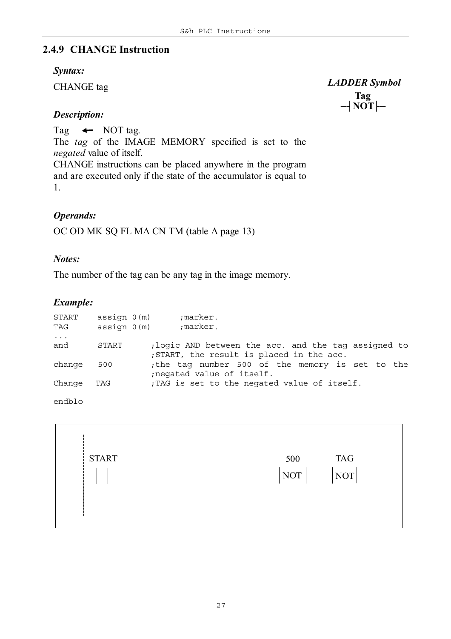#### **2.4.9 CHANGE Instruction**

#### *Syntax:*

CHANGE tag

**Tag**  *LADDER Symbol* ─┤**NOT**├─

#### *Description:*

Tag  $\leftarrow$  NOT tag.

The *tag* of the IMAGE MEMORY specified is set to the *negated* value of itself.

CHANGE instructions can be placed anywhere in the program and are executed only if the state of the accumulator is equal to 1.

#### *Operands:*

OC OD MK SQ FL MA CN TM (table A page 13)

#### *Notes:*

The number of the tag can be any tag in the image memory.

#### *Example:*

| ; logic AND between the acc. and the tag assigned to |
|------------------------------------------------------|
|                                                      |
| the tag number 500 of the memory is set to the       |
|                                                      |
|                                                      |
|                                                      |
|                                                      |

endblo

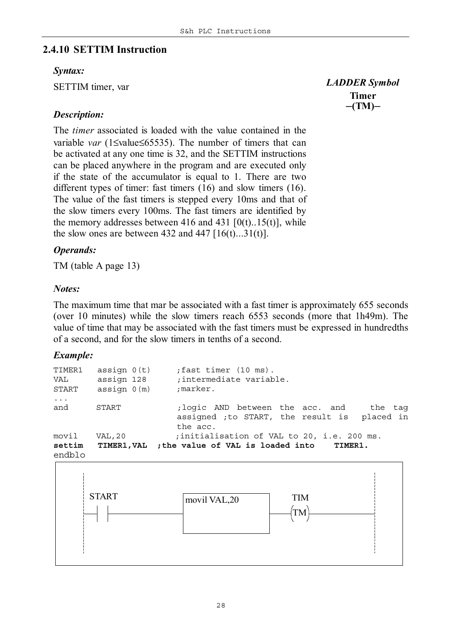#### **2.4.10 SETTIM Instruction**

#### *Syntax:*

SETTIM timer, var

#### *Description:*

The *timer* associated is loaded with the value contained in the variable *var* (1≤value≤65535). The number of timers that can be activated at any one time is 32, and the SETTIM instructions can be placed anywhere in the program and are executed only if the state of the accumulator is equal to 1. There are two different types of timer: fast timers (16) and slow timers (16). The value of the fast timers is stepped every 10ms and that of the slow timers every 100ms. The fast timers are identified by the memory addresses between 416 and 431  $[0(t)$ ...15(t)], while the slow ones are between 432 and 447  $[16(t)...31(t)]$ .

#### *Operands:*

TM (table A page 13)

#### *Notes:*

The maximum time that mar be associated with a fast timer is approximately 655 seconds (over 10 minutes) while the slow timers reach 6553 seconds (more that 1h49m). The value of time that may be associated with the fast timers must be expressed in hundredths of a second, and for the slow timers in tenths of a second.

#### *Example:*

| TIMER1<br>VAL<br>START | assign $0(t)$<br>assign 128<br>assign 0(m) | fast timer (10 ms).<br>; intermediate variable.<br>;marker.                                            |
|------------------------|--------------------------------------------|--------------------------------------------------------------------------------------------------------|
| $\cdots$<br>and        | START                                      | ;logic AND between the acc. and<br>the tag<br>assigned ; to START, the result is placed in<br>the acc. |
| movil<br>settim        | VAL, 20                                    | ; initialisation of VAL to 20, i.e. 200 ms.<br>TIMER1, VAL ; the value of VAL is loaded into TIMER1.   |

endblo



**Timer** *LADDER Symbol* ─**(TM)**─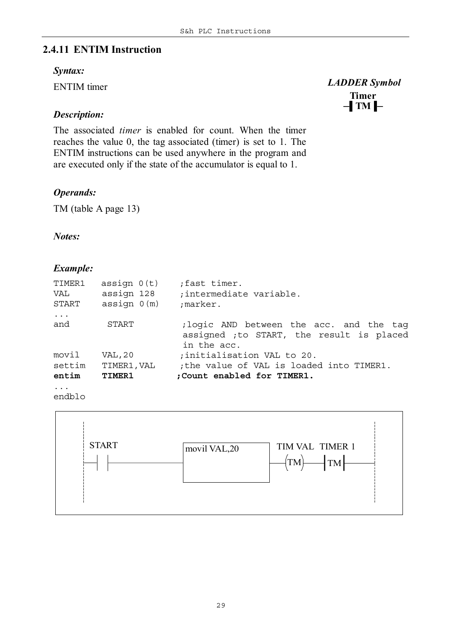#### **2.4.11 ENTIM Instruction**

#### *Syntax:*

ENTIM timer

#### *Description:*

The associated *timer* is enabled for count. When the timer reaches the value 0, the tag associated (timer) is set to 1. The ENTIM instructions can be used anywhere in the program and are executed only if the state of the accumulator is equal to 1.

#### *Operands:*

TM (table A page 13)

#### *Notes:*

#### *Example:*

| TIMER1<br>VAL<br>START | assign $0(t)$<br>assign 128<br>assign 0(m) | fast timer.<br>; intermediate variable.<br>;marker.                                                  |
|------------------------|--------------------------------------------|------------------------------------------------------------------------------------------------------|
| $\ddots$<br>and        | START                                      | ; logic AND between the acc. and the tag<br>assigned ; to START, the result is placed<br>in the acc. |
| movil                  | VAL, 20                                    | ; initialisation VAL to 20.                                                                          |
| settim<br>entim        | TIMER1, VAL<br>TIMER1                      | ; the value of VAL is loaded into TIMER1.<br>; Count enabled for TIMER1.                             |
| $\ddotsc$              |                                            |                                                                                                      |

endblo



**Timer**  *LADDER Symbol* ─▌**TM**▐─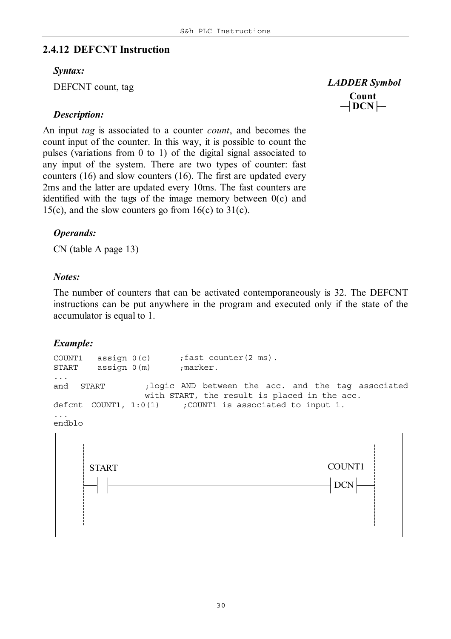#### **2.4.12 DEFCNT Instruction**

#### *Syntax:*

DEFCNT count, tag

#### *Description:*

An input *tag* is associated to a counter *count*, and becomes the count input of the counter. In this way, it is possible to count the pulses (variations from 0 to 1) of the digital signal associated to any input of the system. There are two types of counter: fast counters (16) and slow counters (16). The first are updated every 2ms and the latter are updated every 10ms. The fast counters are identified with the tags of the image memory between 0(c) and 15(c), and the slow counters go from  $16(c)$  to  $31(c)$ .

#### *Operands:*

CN (table A page 13)

#### *Notes:*

The number of counters that can be activated contemporaneously is 32. The DEFCNT instructions can be put anywhere in the program and executed only if the state of the accumulator is equal to 1.

#### *Example:*

COUNT1 assign 0(c) *;fast counter(2 ms).* START assign 0(m) *;marker.* ... and START ;*logic AND between the acc. and the tag associated with START, the result is placed in the acc.* defcnt COUNT1, 1:0(1) *;COUNT1 is associated to input 1.* ... endblo



 *LADDER Symbol*

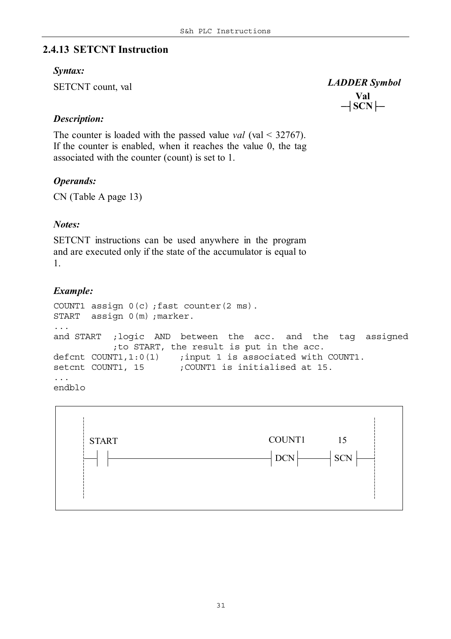#### **2.4.13 SETCNT Instruction**

#### *Syntax:*

SETCNT count, val

**Val**  *LADDER Symbol* ─┤**SCN**├─

#### *Description:*

The counter is loaded with the passed value *val* (val < 32767). If the counter is enabled, when it reaches the value 0, the tag associated with the counter (count) is set to 1.

#### *Operands:*

CN (Table A page 13)

#### *Notes:*

SETCNT instructions can be used anywhere in the program and are executed only if the state of the accumulator is equal to 1.

#### *Example:*

```
COUNT1 assign 0(c) ;fast counter(2 ms).
START assign 0(m) ;marker.
...
and START ;logic AND between the acc. and the tag assigned
          ;to START, the result is put in the acc.
defcnt COUNT1,1:0(1) ;input 1 is associated with COUNT1.
setcnt COUNT1, 15 ;COUNT1 is initialised at 15.
...
endblo
```
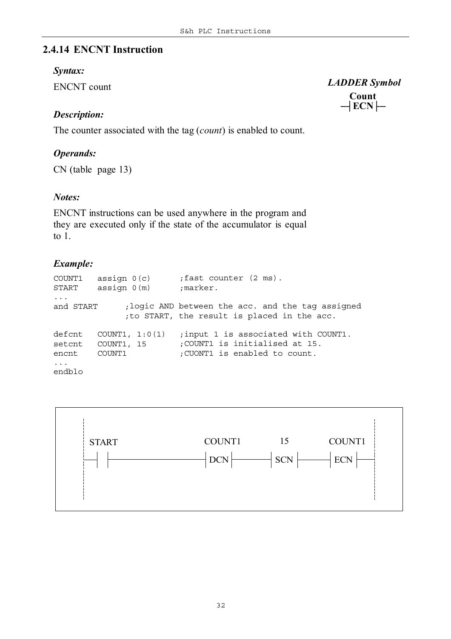#### **2.4.14 ENCNT Instruction**

#### *Syntax:*

ENCNT count

#### *Description:*

The counter associated with the tag (*count*) is enabled to count.

#### *Operands:*

CN (table page 13)

#### *Notes:*

ENCNT instructions can be used anywhere in the program and they are executed only if the state of the accumulator is equal to 1.

#### *Example:*

COUNT1 assign 0(c) *;fast counter (2 ms).* START assign 0(m) *;marker.* ... and START ;*logic AND between the acc. and the tag assigned ;to START, the result is placed in the acc.* defcnt COUNT1, 1:0(1) *;input 1 is associated with COUNT1.* setcnt COUNT1, 15 *;COUNT1 is initialised at 15.* encnt COUNT1 *;CUONT1 is enabled to count.* ... endblo



```
 LADDER Symbol
```
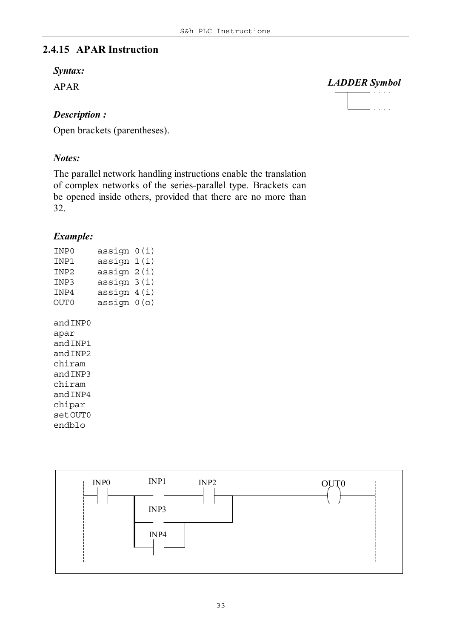#### **2.4.15 APAR Instruction**

#### *Syntax:*

APAR

#### *Description :*

Open brackets (parentheses).

#### *Notes:*

The parallel network handling instructions enable the translation of complex networks of the series-parallel type. Brackets can be opened inside others, provided that there are no more than 32.

#### *Example:*

| INP0 | assign $0(i)$ |  |
|------|---------------|--|
| INP1 | assign 1(i)   |  |
| INP2 | assign 2(i)   |  |
| INP3 | assign 3(i)   |  |
| INP4 | assign $4(i)$ |  |
| OUT0 | assign 0(o)   |  |
|      |               |  |

andINP0 apar andINP1 andINP2 chiram andINP3 chiram andINP4 chipar setOUT0 endblo



 *LADDER Symbol*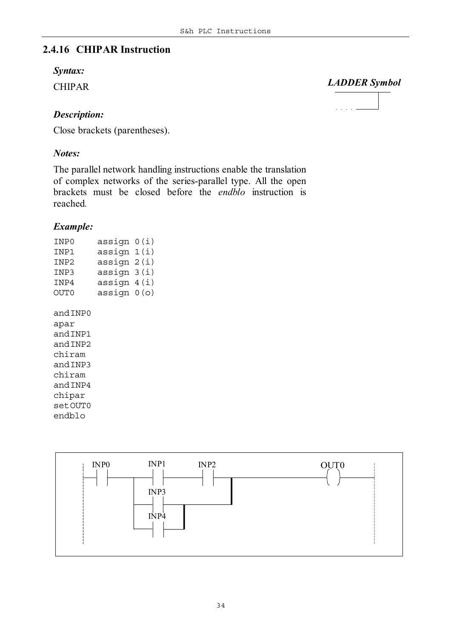### **2.4.16 CHIPAR Instruction**

#### *Syntax:*

CHIPAR

#### *Description:*

Close brackets (parentheses).

#### *Notes:*

The parallel network handling instructions enable the translation of complex networks of the series-parallel type. All the open brackets must be closed before the *endblo* instruction is reached*.*

#### *Example:*

| INP0     | assign      | 0(i)  |
|----------|-------------|-------|
| INP1     | assign 1(i) |       |
| INP2     | assign 2(i) |       |
| TNP3     | assign 3(i) |       |
| TNP4     | assign 4(i) |       |
| OUT0     | assign      | 0 (o) |
|          |             |       |
| and INP0 |             |       |
| apar     |             |       |
| and INP1 |             |       |
| and INP2 |             |       |
| chiram   |             |       |
| and INP3 |             |       |
| chiram   |             |       |
| and INP4 |             |       |
| chipar   |             |       |
| setOUT0  |             |       |
| endblo   |             |       |
|          |             |       |



#### *LADDER Symbol*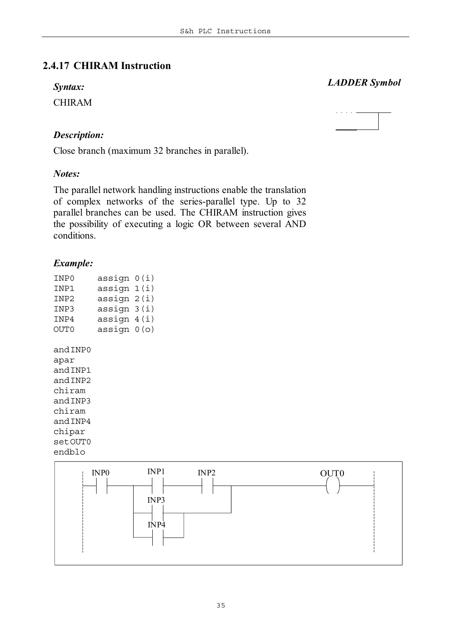#### **2.4.17 CHIRAM Instruction**

#### *Syntax:*

CHIRAM

#### *Description:*

Close branch (maximum 32 branches in parallel).

#### *Notes:*

The parallel network handling instructions enable the translation of complex networks of the series-parallel type. Up to 32 parallel branches can be used. The CHIRAM instruction gives the possibility of executing a logic OR between several AND conditions.

#### *Example:*

| INP0     | assign | 0(i) |
|----------|--------|------|
| TNP1     | assign | 1(i) |
| INP2     | assign | 2(i) |
| INP3     | assign | 3(i) |
| TNP4     | assign | 4(i) |
| OUT0     | assign | 0(0) |
|          |        |      |
| and INP0 |        |      |
| apar     |        |      |
| and INP1 |        |      |
| and INP2 |        |      |
| chiram   |        |      |
| and TNP3 |        |      |
| chiram   |        |      |
| and INP4 |        |      |
| chipar   |        |      |
| setOUT0  |        |      |
| endblo   |        |      |
|          |        |      |



## *LADDER Symbol*

ساديا والوالي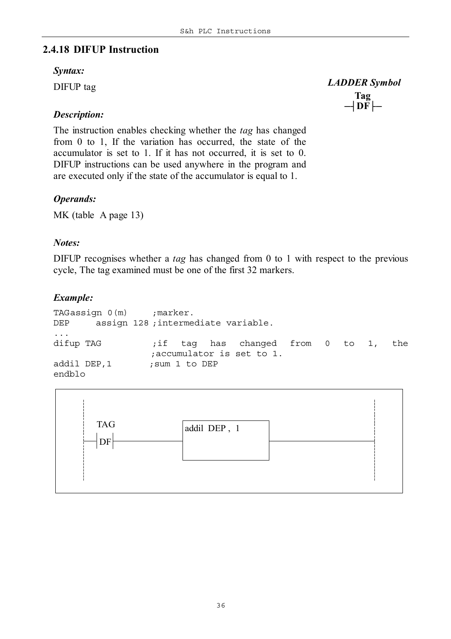#### **2.4.18 DIFUP Instruction**

#### *Syntax:*

DIFUP tag

#### *Description:*

The instruction enables checking whether the *tag* has changed from 0 to 1, If the variation has occurred, the state of the accumulator is set to 1. If it has not occurred, it is set to 0. DIFUP instructions can be used anywhere in the program and are executed only if the state of the accumulator is equal to 1.

#### *Operands:*

MK (table A page 13)

#### *Notes:*

DIFUP recognises whether a *tag* has changed from 0 to 1 with respect to the previous cycle, The tag examined must be one of the first 32 markers.

#### *Example:*

```
TAGassign 0(m) ;marker.
DEP assign 128 ;intermediate variable.
...
difup TAG ;if tag has changed from 0 to 1, the
               ;accumulator is set to 1.
addil DEP,1 ; sum 1 to DEP
endblo
```


#### **Tag**  *LADDER Symbol* ─┤**DF**├─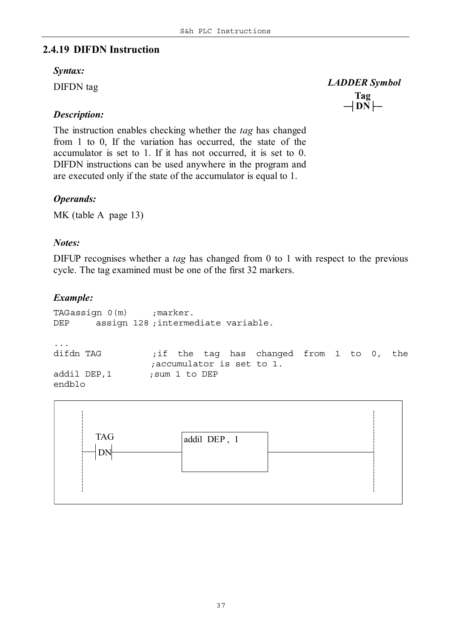# **2.4.19 DIFDN Instruction**

#### *Syntax:*

DIFDN tag

# *Description:*

The instruction enables checking whether the *tag* has changed from 1 to 0, If the variation has occurred, the state of the accumulator is set to 1. If it has not occurred, it is set to 0. DIFDN instructions can be used anywhere in the program and are executed only if the state of the accumulator is equal to 1.

# *Operands:*

MK (table A page 13)

### *Notes:*

DIFUP recognises whether a *tag* has changed from 0 to 1 with respect to the previous cycle. The tag examined must be one of the first 32 markers.

# *Example:*

```
TAGassign 0(m) ;marker.
DEP assign 128 ;intermediate variable.
...
difdn TAG ;if the tag has changed from 1 to 0, the
                ;accumulator is set to 1.
addil DEP,1 ; sum 1 to DEP
endblo
```


# **Tag**  *LADDER Symbol* ─┤**DN**├─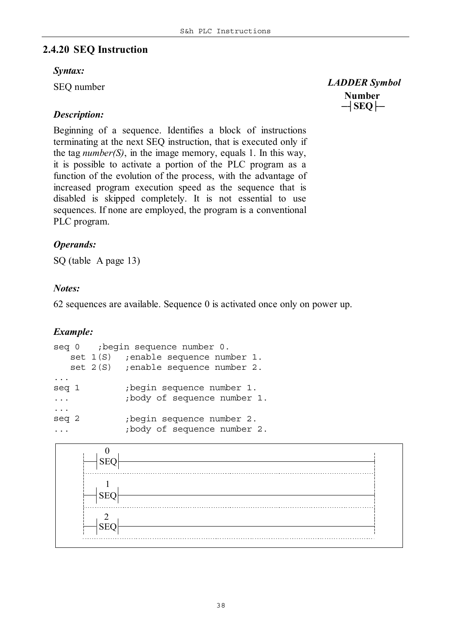# **2.4.20 SEQ Instruction**

#### *Syntax:*

SEQ number

# *Description:*

Beginning of a sequence. Identifies a block of instructions terminating at the next SEQ instruction, that is executed only if the tag *number(S)*, in the image memory, equals 1. In this way, it is possible to activate a portion of the PLC program as a function of the evolution of the process, with the advantage of increased program execution speed as the sequence that is disabled is skipped completely. It is not essential to use sequences. If none are employed, the program is a conventional PLC program.

# *Operands:*

SQ (table A page 13)

# *Notes:*

62 sequences are available. Sequence 0 is activated once only on power up.

# *Example:*

```
seq 0 ;begin sequence number 0.
  set 1(S) ;enable sequence number 1.
  set 2(S) ;enable sequence number 2.
...
seq 1 ;begin sequence number 1.
... ;body of sequence number 1.
...
seq 2 ;begin sequence number 2.
... ;body of sequence number 2.
```


**Number**  *LADDER Symbol* ─┤**SEQ**├─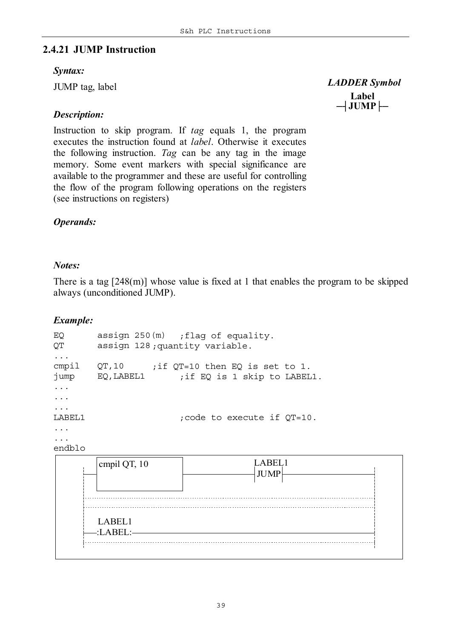# **2.4.21 JUMP Instruction**

#### *Syntax:*

JUMP tag, label

# *Description:*

Instruction to skip program. If *tag* equals 1, the program executes the instruction found at *label*. Otherwise it executes the following instruction. *Tag* can be any tag in the image memory. Some event markers with special significance are available to the programmer and these are useful for controlling the flow of the program following operations on the registers (see instructions on registers)

# *Operands:*

#### *Notes:*

There is a tag [248(m)] whose value is fixed at 1 that enables the program to be skipped always (unconditioned JUMP).

### *Example:*

EQ assign 250(m) *;flag of equality.* QT assign 128 *;quantity variable.* ... cmpil QT,10 *;if QT=10 then EQ is set to 1.* jump EQ,LABEL1 *;if EQ is 1 skip to LABEL1.* ... ... ... LABEL1 *;code to execute if QT=10.* ... ... endblo



**Label**  *LADDER Symbol* ─┤**JUMP**├─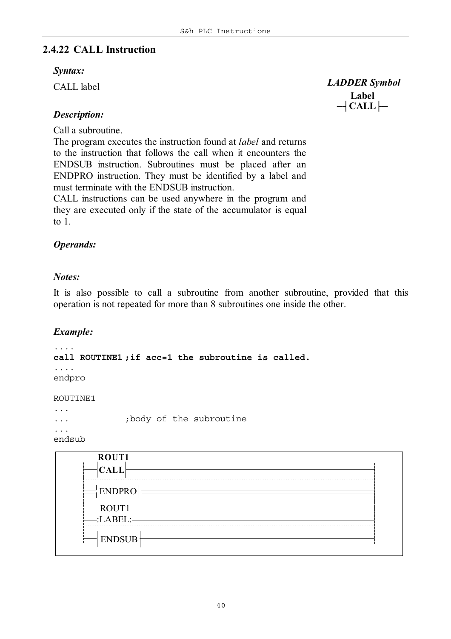# **2.4.22 CALL Instruction**

#### *Syntax:*

CALL label

**Label**  *LADDER Symbol* ─┤**CALL**├─

# *Description:*

Call a subroutine.

The program executes the instruction found at *label* and returns to the instruction that follows the call when it encounters the ENDSUB instruction. Subroutines must be placed after an ENDPRO instruction. They must be identified by a label and must terminate with the ENDSUB instruction.

CALL instructions can be used anywhere in the program and they are executed only if the state of the accumulator is equal to 1.

# *Operands:*

### *Notes:*

It is also possible to call a subroutine from another subroutine, provided that this operation is not repeated for more than 8 subroutines one inside the other.

# *Example:*

```
....
call ROUTINE1 ;if acc=1 the subroutine is called.
....
endpro
```
#### ROUTINE1

```
...
... ;body of the subroutine
...
endsub
```
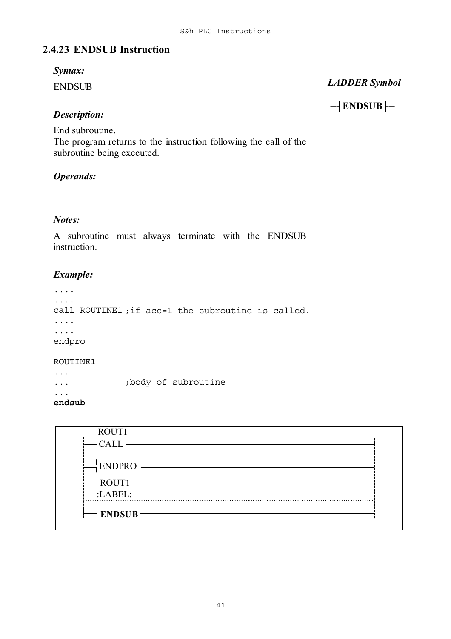# **2.4.23 ENDSUB Instruction**

#### *Syntax:*

ENDSUB

# *LADDER Symbol*

─┤**ENDSUB**├─

# *Description:*

End subroutine.

The program returns to the instruction following the call of the subroutine being executed.

# *Operands:*

### *Notes:*

A subroutine must always terminate with the ENDSUB instruction.

# *Example:*

```
....
....
call ROUTINE1 ;if acc=1 the subroutine is called.
....
....
endpro
```
#### ROUTINE1

... *;body of subroutine*

...

```
endsub
```
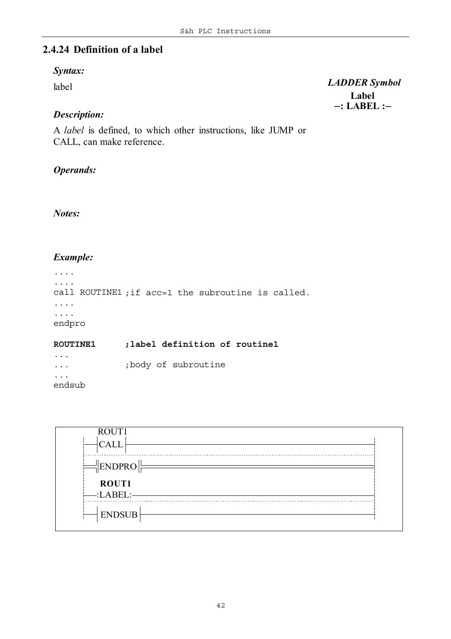# **2.4.24 Definition of a label**

#### *Syntax:*

label

### *Description:*

A *label* is defined, to which other instructions, like JUMP or CALL, can make reference.

#### *Operands:*

*Notes:*

#### *Example:*

```
....
....
call ROUTINE1 ;if acc=1 the subroutine is called.
....
....
endpro
ROUTINE1 ;label definition of routine1
```
... ... *;body of subroutine* ... endsub



**Label**  *LADDER Symbol* ─**: LABEL :**─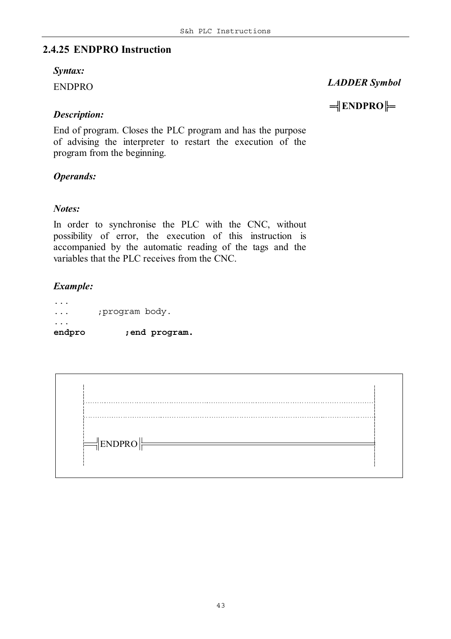# **2.4.25 ENDPRO Instruction**

#### *Syntax:*

ENDPRO

# *LADDER Symbol*

═╣**ENDPRO**╠═

*Description:*

End of program. Closes the PLC program and has the purpose of advising the interpreter to restart the execution of the program from the beginning.

# *Operands:*

### *Notes:*

In order to synchronise the PLC with the CNC, without possibility of error, the execution of this instruction is accompanied by the automatic reading of the tags and the variables that the PLC receives from the CNC.

### *Example:*

... ... *;program body.* ... **endpro** *;end program.*

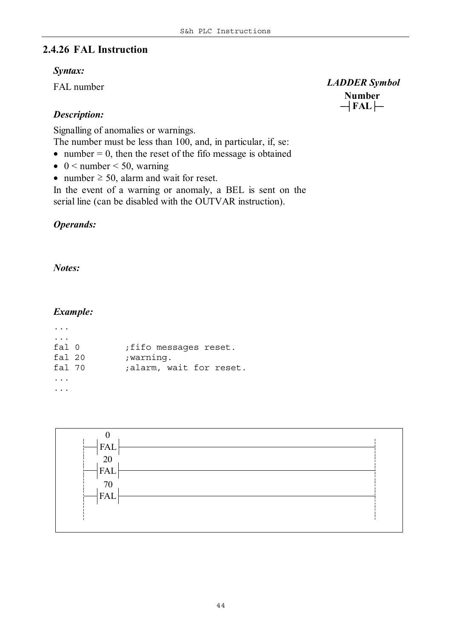### **2.4.26 FAL Instruction**

#### *Syntax:*

FAL number

### *Description:*

Signalling of anomalies or warnings.

The number must be less than 100, and, in particular, if, se:

• number  $= 0$ , then the reset of the fifo message is obtained

- $\bullet$  0 < number < 50, warning
- number  $\geq 50$ , alarm and wait for reset.

In the event of a warning or anomaly, a BEL is sent on the serial line (can be disabled with the OUTVAR instruction).

### *Operands:*

*Notes:*

#### *Example:*

| fa1 <sub>0</sub> | fifo messages reset.    |
|------------------|-------------------------|
| fal 20           | ; warning.              |
| fal 70           | ;alarm, wait for reset. |
|                  |                         |
|                  |                         |



**Number**  *LADDER Symbol* ─┤**FAL**├─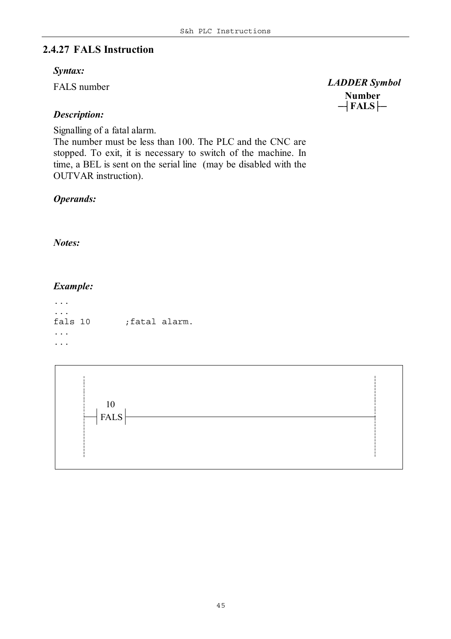# **2.4.27 FALS Instruction**

#### *Syntax:*

FALS number

# *Description:*

Signalling of a fatal alarm.

The number must be less than 100. The PLC and the CNC are stopped. To exit, it is necessary to switch of the machine. In time, a BEL is sent on the serial line (may be disabled with the OUTVAR instruction).

# *Operands:*

*Notes:*

# *Example:*

... ... fals 10 *;fatal alarm.* ... ...



 *LADDER Symbol*

**Number** ─┤**FALS**├─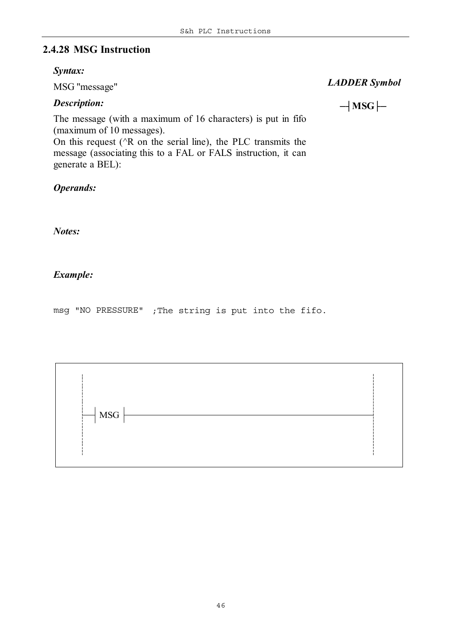# **2.4.28 MSG Instruction**

#### *Syntax:*

MSG "message"

### *Description:*

 *LADDER Symbol*

─┤**MSG**├─

The message (with a maximum of 16 characters) is put in fifo (maximum of 10 messages).

On this request ( $\angle R$  on the serial line), the PLC transmits the message (associating this to a FAL or FALS instruction, it can generate a BEL):

*Operands:*

*Notes:*

# *Example:*

msg "NO PRESSURE" *;The string is put into the fifo.*

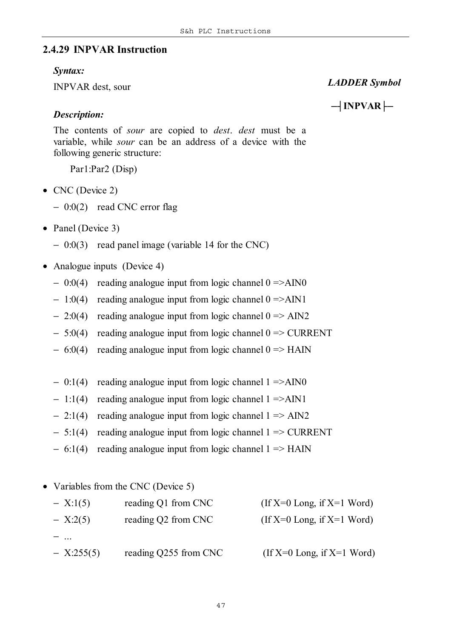#### **2.4.29 INPVAR Instruction**

#### *Syntax:*

INPVAR dest, sour

#### *LADDER Symbol*

*Description:*

─┤**INPVAR**├─

The contents of *sour* are copied to *dest*. *dest* must be a variable, while *sour* can be an address of a device with the following generic structure:

Par1:Par2 (Disp)

- CNC (Device 2)
	- − 0:0(2) read CNC error flag
- Panel (Device 3)
	- − 0:0(3) read panel image (variable 14 for the CNC)
- Analogue inputs (Device 4)
	- − 0:0(4) reading analogue input from logic channel 0 =>AIN0
	- − 1:0(4) reading analogue input from logic channel 0 =>AIN1
	- $2:0(4)$  reading analogue input from logic channel  $0 \Rightarrow \text{AIN2}$
	- − 5:0(4) reading analogue input from logic channel 0 => CURRENT
	- − 6:0(4) reading analogue input from logic channel 0 => HAIN
	- − 0:1(4) reading analogue input from logic channel 1 =>AIN0
	- − 1:1(4) reading analogue input from logic channel 1 =>AIN1
	- − 2:1(4) reading analogue input from logic channel 1 => AIN2
	- − 5:1(4) reading analogue input from logic channel 1 => CURRENT
	- − 6:1(4) reading analogue input from logic channel 1 => HAIN
- Variables from the CNC (Device 5)

| $- X:1(5)$   | reading Q1 from CNC   | (If $X=0$ Long, if $X=1$ Word) |
|--------------|-----------------------|--------------------------------|
| $- X:2(5)$   | reading Q2 from CNC   | $If X=0 Long, if X=1 Word$     |
|              |                       |                                |
| $- X:255(5)$ | reading Q255 from CNC | (If $X=0$ Long, if $X=1$ Word) |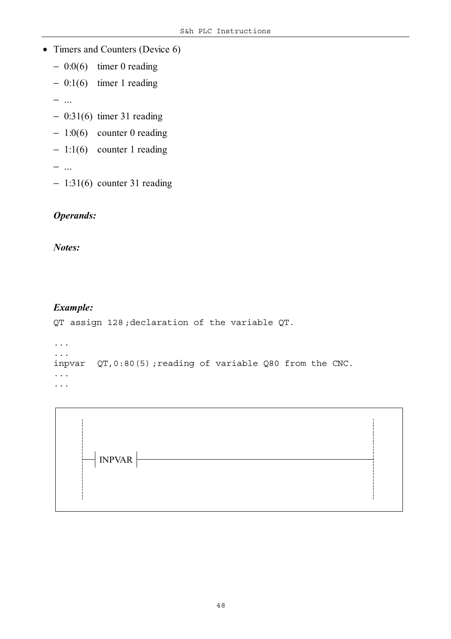- Timers and Counters (Device 6)
	- − 0:0(6) timer 0 reading
	- − 0:1(6) timer 1 reading
	- − ...
	- − 0:31(6) timer 31 reading
	- − 1:0(6) counter 0 reading
	- − 1:1(6) counter 1 reading
	- − ...
	- − 1:31(6) counter 31 reading

# *Operands:*

*Notes:*

### *Example:*

QT assign 128 *;declaration of the variable QT.*

```
...
...
inpvar QT,0:80(5) ;reading of variable Q80 from the CNC.
...
...
```
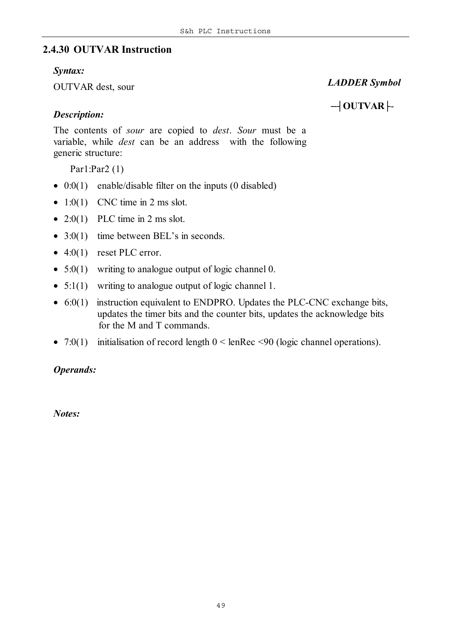# **2.4.30 OUTVAR Instruction**

#### *Syntax:*

OUTVAR dest, sour

# *LADDER Symbol*

─┤**OUTVAR**├-

# *Description:*

The contents of *sour* are copied to *dest*. *Sour* must be a variable, while *dest* can be an address with the following generic structure:

Par1:Par2 (1)

- 0:0(1) enable/disable filter on the inputs (0 disabled)
- $1:0(1)$  CNC time in 2 ms slot.
- 2:0(1) PLC time in 2 ms slot.
- 3:0(1) time between BEL's in seconds.
- $\bullet$  4:0(1) reset PLC error.
- $5:0(1)$  writing to analogue output of logic channel 0.
- 5:1(1) writing to analogue output of logic channel 1.
- 6:0(1) instruction equivalent to ENDPRO. Updates the PLC-CNC exchange bits, updates the timer bits and the counter bits, updates the acknowledge bits for the M and T commands.
- 7:0(1) initialisation of record length  $0 <$  lenRec  $\leq 90$  (logic channel operations).

# *Operands:*

*Notes:*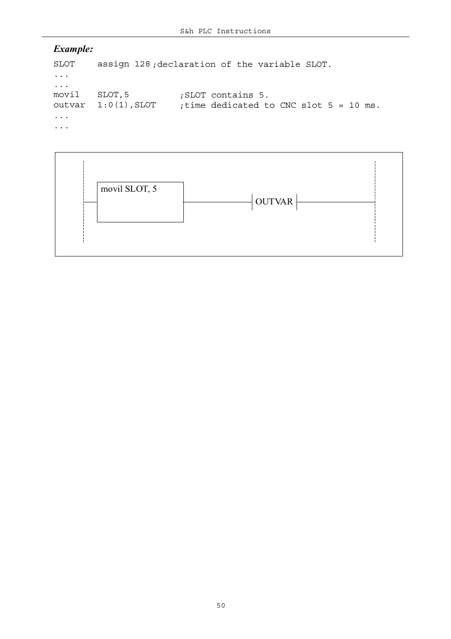```
SLOT assign 128 ;declaration of the variable SLOT.
...
...
movil SLOT,5 ;SLOT contains 5.
outvar 1:0(1),SLOT ;time dedicated to CNC slot 5 = 10 ms.
...
...
```
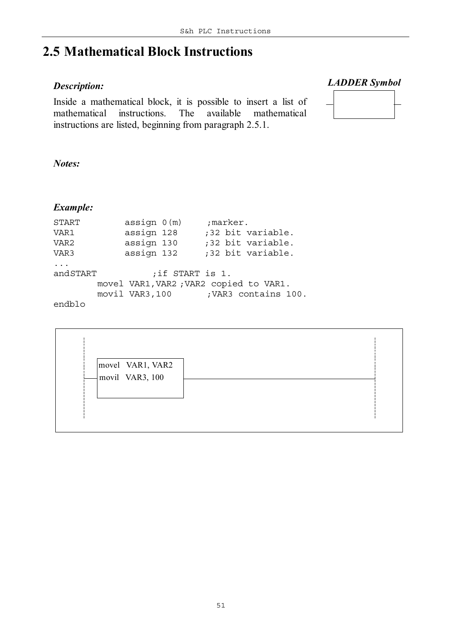# **2.5 Mathematical Block Instructions**

### *Description:*

Inside a mathematical block, it is possible to insert a list of mathematical instructions. The available mathematical instructions are listed, beginning from paragraph 2.5.1.

 *LADDER Symbol*



*Notes:*

| <b>START</b>     | assign 0(m)    | ;marker.                                |  |
|------------------|----------------|-----------------------------------------|--|
| VAR1             | assign 128     | ;32 bit variable.                       |  |
| VAR <sub>2</sub> | assign 130     | ;32 bit variable.                       |  |
| VAR3             | assign 132     | ;32 bit variable.                       |  |
| $\ddots$         |                |                                         |  |
| andSTART         |                | ; if START is 1.                        |  |
|                  |                | movel VAR1, VAR2 ; VAR2 copied to VAR1. |  |
|                  | movil VAR3,100 | ; VAR3 contains 100.                    |  |
| endblo           |                |                                         |  |

| movel VAR1, VAR2<br>movil VAR3, 100 |  |
|-------------------------------------|--|
|                                     |  |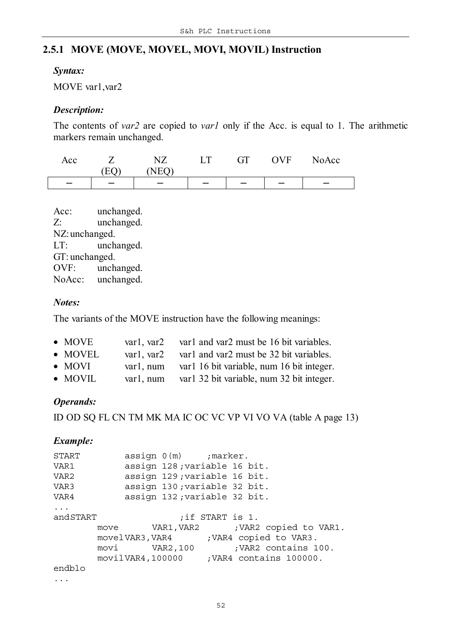# **2.5.1 MOVE (MOVE, MOVEL, MOVI, MOVIL) Instruction**

#### *Syntax:*

MOVE var1,var2

#### *Description:*

The contents of *var2* are copied to *var1* only if the Acc. is equal to 1. The arithmetic markers remain unchanged.

| Acc |                          |     | GТ | <b>OVF</b> | NoAcc |
|-----|--------------------------|-----|----|------------|-------|
|     |                          | IΕΩ |    |            |       |
|     | $\overline{\phantom{0}}$ |     |    |            |       |

Acc: unchanged. Z: unchanged. NZ:unchanged. LT: unchanged. GT: unchanged. OVF: unchanged. NoAcc: unchanged.

#### *Notes:*

The variants of the MOVE instruction have the following meanings:

| $\bullet$ MOVE  | var1, var2 | var1 and var2 must be 16 bit variables.   |
|-----------------|------------|-------------------------------------------|
| $\bullet$ MOVEL | var1. var2 | var1 and var2 must be 32 bit variables.   |
| $\bullet$ MOVI  | var1. num  | var1 16 bit variable, num 16 bit integer. |
| $\bullet$ MOVIL | var1, num  | var1 32 bit variable, num 32 bit integer. |

# *Operands:*

ID OD SQ FL CN TM MK MA IC OC VC VP VI VO VA (table A page 13)

| START    |  | $assign 0(m)$ ; marker.      |                  |                                            |
|----------|--|------------------------------|------------------|--------------------------------------------|
| VAR1     |  | assign 128; variable 16 bit. |                  |                                            |
| VAR2     |  | assign 129; variable 16 bit. |                  |                                            |
| VAR3     |  | assign 130; variable 32 bit. |                  |                                            |
| VAR4     |  | assign 132; variable 32 bit. |                  |                                            |
| $\ddots$ |  |                              |                  |                                            |
| andSTART |  |                              | ; if START is 1. |                                            |
|          |  |                              |                  | move VAR1, VAR2 ; VAR2 copied to VAR1.     |
|          |  | movelVAR3,VAR4               |                  | ; VAR4 copied to VAR3.                     |
|          |  | movi VAR2,100                |                  | ; VAR2 contains 100.                       |
|          |  |                              |                  | movil VAR4, 100000 ; VAR4 contains 100000. |
| endblo   |  |                              |                  |                                            |
| $\cdot$  |  |                              |                  |                                            |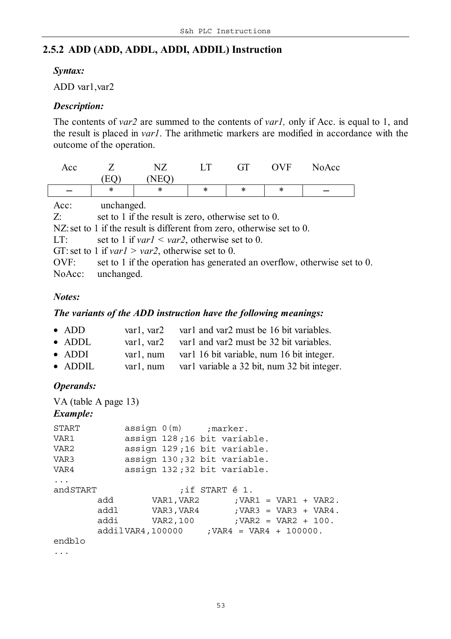# **2.5.2 ADD (ADD, ADDL, ADDI, ADDIL) Instruction**

#### *Syntax:*

ADD var1,var2

#### *Description:*

The contents of *var2* are summed to the contents of *var1,* only if Acc. is equal to 1, and the result is placed in *var1*. The arithmetic markers are modified in accordance with the outcome of the operation.

| Acc |        |     | $\Gamma$ | <b>GT</b> | <b>OVF</b> | NoAcc |
|-----|--------|-----|----------|-----------|------------|-------|
|     |        | NEO |          |           |            |       |
|     | $\ast$ | ∗   | ∗        | ∗         | ∗          |       |
|     |        |     |          |           |            |       |

| Acc:  | unchanged.                                                               |
|-------|--------------------------------------------------------------------------|
| $Z$ : | set to 1 if the result is zero, otherwise set to 0.                      |
|       | NZ: set to 1 if the result is different from zero, otherwise set to 0.   |
| LT:   | set to 1 if $var1 < var2$ , otherwise set to 0.                          |
|       | GT: set to 1 if <i>var1</i> > <i>var2</i> , otherwise set to 0.          |
| OVF:  | set to 1 if the operation has generated an overflow, otherwise set to 0. |
|       | NoAcc: unchanged.                                                        |

#### *Notes:*

 $\sqrt{2}$ 

#### *The variants of the ADD instruction have the following meanings:*

| $\bullet$ ADD   | var1, var2   | var1 and var2 must be 16 bit variables.     |
|-----------------|--------------|---------------------------------------------|
| $\bullet$ ADDL  | var1. var2   | var1 and var2 must be 32 bit variables.     |
| $\bullet$ ADDI  | var1. num    | var1 16 bit variable, num 16 bit integer.   |
| $\bullet$ ADDIL | $var1$ , num | var1 variable a 32 bit, num 32 bit integer. |

#### *Operands:*

```
VA (table A page 13)
Example:
START assign 0(m) ;marker.
VAR1 assign 128 ;16 bit variable.
VAR2 assign 129 ;16 bit variable.
VAR3 assign 130 ;32 bit variable.
VAR4 assign 132 ;32 bit variable.
...
andSTART ;if START é 1.
      add VAR1,VAR2 ;VAR1 = VAR1 + VAR2.
      addl VAR3,VAR4 ;VAR3 = VAR3 + VAR4.
      addi VAR2,100 ;VAR2 = VAR2 + 100.
      addilVAR4,100000 ;VAR4 = VAR4 + 100000.
endblo
...
```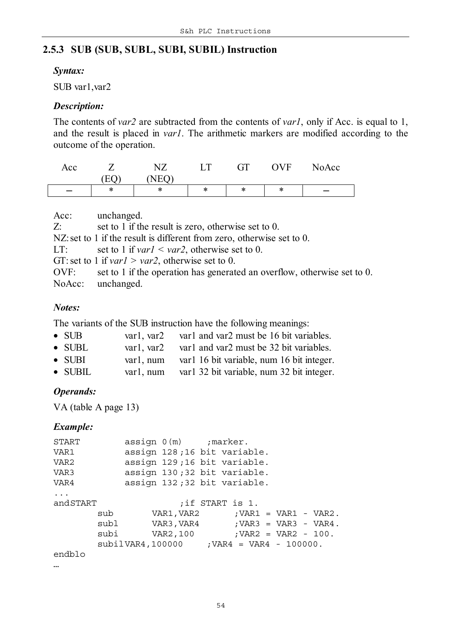# **2.5.3 SUB (SUB, SUBL, SUBI, SUBIL) Instruction**

#### *Syntax:*

SUB var1,var2

#### *Description:*

The contents of *var2* are subtracted from the contents of *var1*, only if Acc. is equal to 1, and the result is placed in *var1*. The arithmetic markers are modified according to the outcome of the operation.

| Acc                      |    | $\sqrt{7}$<br>ΝL | $\mathbf{r}$ | $\cap$ T<br>$\mathbf{r}$<br>UI | <b>OVF</b> | NoAcc |
|--------------------------|----|------------------|--------------|--------------------------------|------------|-------|
|                          | F٥ | JEO<br>⊥◥⊥       |              |                                |            |       |
| $\overline{\phantom{m}}$ | ∗  | ∗                | ∗            | ∗                              | ∗          |       |

| Acc:  | unchanged.                                                               |
|-------|--------------------------------------------------------------------------|
| $Z$ : | set to 1 if the result is zero, otherwise set to 0.                      |
|       | NZ: set to 1 if the result is different from zero, otherwise set to 0.   |
| LT:   | set to 1 if $var1 < var2$ , otherwise set to 0.                          |
|       | GT: set to 1 if $var1 > var2$ , otherwise set to 0.                      |
| OVF:  | set to 1 if the operation has generated an overflow, otherwise set to 0. |
|       | NoAcc: unchanged.                                                        |

### *Notes:*

The variants of the SUB instruction have the following meanings:

| $\bullet$ SUB   | varl. var2 | var1 and var2 must be 16 bit variables.    |
|-----------------|------------|--------------------------------------------|
| $\bullet$ SUBL  | var1. var2 | var1 and var2 must be 32 bit variables.    |
| $\bullet$ SUBI  | var1. num  | var1 16 bit variable, num 16 bit integer.  |
| $\bullet$ SUBIL | var1, num  | var 1 32 bit variable, num 32 bit integer. |

*Operands:*

VA (table A page 13)

#### *Example:*

| START    | $assign 0(m)$ ; marker.                        |  |                  |  |  |  |                                           |
|----------|------------------------------------------------|--|------------------|--|--|--|-------------------------------------------|
| VAR1     | assign 128;16 bit variable.                    |  |                  |  |  |  |                                           |
| VAR2     | assign 129;16 bit variable.                    |  |                  |  |  |  |                                           |
| VAR3     | assign 130;32 bit variable.                    |  |                  |  |  |  |                                           |
| VAR4     | assign 132;32 bit variable.                    |  |                  |  |  |  |                                           |
| $\ddots$ |                                                |  |                  |  |  |  |                                           |
| andSTART |                                                |  | ; if START is 1. |  |  |  |                                           |
|          |                                                |  |                  |  |  |  | $sub$ $VAR1, VAR2$ $;VAR1 = VAR1 - VAR2.$ |
|          |                                                |  |                  |  |  |  | $sub1$ VAR3, VAR4 ; VAR3 = VAR3 - VAR4.   |
|          |                                                |  |                  |  |  |  | $subi$ VAR2, 100 ; VAR2 = VAR2 - 100.     |
|          | $subilVAR4, 100000$ ; $VAR4 = VAR4 - 100000$ . |  |                  |  |  |  |                                           |
| endblo   |                                                |  |                  |  |  |  |                                           |
|          |                                                |  |                  |  |  |  |                                           |

…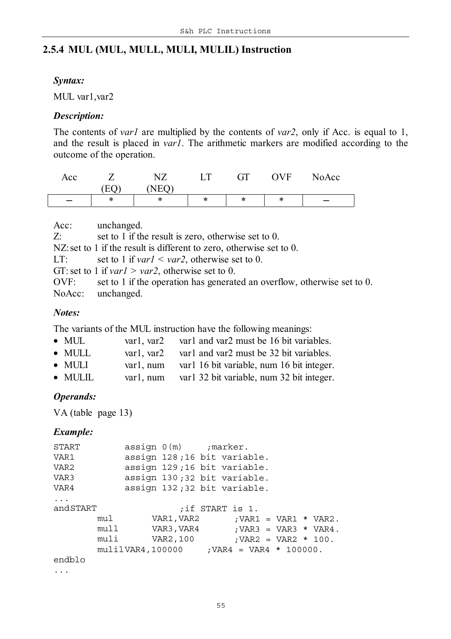# **2.5.4 MUL (MUL, MULL, MULI, MULIL) Instruction**

#### *Syntax:*

MUL var1,var2

#### *Description:*

The contents of *var1* are multiplied by the contents of *var2*, only if Acc. is equal to 1, and the result is placed in *var1*. The arithmetic markers are modified according to the outcome of the operation.

| Acc |                | $\overline{1}$ | ட | GТ<br>$\mathbf{r}$ | $\cdot$ ) V F | NoAcc |
|-----|----------------|----------------|---|--------------------|---------------|-------|
|     | $E\mathcal{C}$ | NEC            |   |                    |               |       |
|     | ∗              | ∗              | ∗ | ∗                  | ∗             | –     |

Acc: unchanged.

Z: set to 1 if the result is zero, otherwise set to 0.

NZ: set to 1 if the result is different to zero, otherwise set to 0.

LT: set to 1 if *var1* < *var2*, otherwise set to 0.

GT: set to 1 if *var1 > var2*, otherwise set to 0.

OVF: set to 1 if the operation has generated an overflow, otherwise set to 0. NoAcc: unchanged.

#### *Notes:*

The variants of the MUL instruction have the following meanings:

| $\bullet$ MUL       | var1, var2 | var1 and var2 must be 16 bit variables.                                                                                                                                                                                                                                                                             |
|---------------------|------------|---------------------------------------------------------------------------------------------------------------------------------------------------------------------------------------------------------------------------------------------------------------------------------------------------------------------|
| $\blacksquare$ MIII |            | $\frac{1}{2}$ $\frac{1}{2}$ $\frac{1}{2}$ $\frac{1}{2}$ $\frac{1}{2}$ $\frac{1}{2}$ $\frac{1}{2}$ $\frac{1}{2}$ $\frac{1}{2}$ $\frac{1}{2}$ $\frac{1}{2}$ $\frac{1}{2}$ $\frac{1}{2}$ $\frac{1}{2}$ $\frac{1}{2}$ $\frac{1}{2}$ $\frac{1}{2}$ $\frac{1}{2}$ $\frac{1}{2}$ $\frac{1}{2}$ $\frac{1}{2}$ $\frac{1}{2}$ |

| $\bullet$ MULL | var1, var2 var1 and var2 must be 32 bit variables. |  |  |  |  |
|----------------|----------------------------------------------------|--|--|--|--|
|                |                                                    |  |  |  |  |

- MULI var1, num var1 16 bit variable, num 16 bit integer.
- MULIL var1, num var1 32 bit variable, num 32 bit integer.

#### *Operands:*

VA (table page 13)

#### *Example:*

```
START assign 0(m) ;marker.
VAR1 assign 128 ;16 bit variable.
VAR2 assign 129 ;16 bit variable.
VAR3 assign 130 ;32 bit variable.
VAR4 assign 132 ;32 bit variable.
...
andSTART ;if START is 1.
      mul VAR1, VAR2 ;VAR1 = VAR1 * VAR2.
      mull VAR3, VAR4 ;VAR3 = VAR3 * VAR4.
      muli VAR2,100 ;VAR2 = VAR2 * 100.
      mulilVAR4,100000 ;VAR4 = VAR4 * 100000.
endblo
```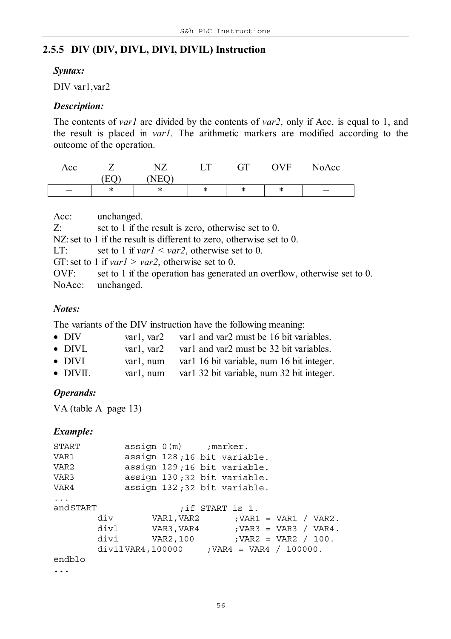# **2.5.5 DIV (DIV, DIVL, DIVI, DIVIL) Instruction**

#### *Syntax:*

DIV var1, var2

#### *Description:*

The contents of *var1* are divided by the contents of *var2*, only if Acc. is equal to 1, and the result is placed in *var1*. The arithmetic markers are modified according to the outcome of the operation.

| Acc |              | NTZ<br>1 Y L        | $\mathbf{r}$ | ÇТ<br>u | OVF | NoAcc                    |
|-----|--------------|---------------------|--------------|---------|-----|--------------------------|
|     | $\mathbf{H}$ | $T_{\rm H}$<br>11 L |              |         |     |                          |
|     | ∗            | ∗                   | ∗            | *       | ∗   | $\overline{\phantom{m}}$ |

| Acc:  | unchanged.                                                               |
|-------|--------------------------------------------------------------------------|
| $Z$ : | set to 1 if the result is zero, otherwise set to 0.                      |
|       | NZ: set to 1 if the result is different to zero, otherwise set to 0.     |
| LT:   | set to 1 if <i>var1</i> < <i>var2</i> , otherwise set to 0.              |
|       | GT: set to 1 if <i>var1</i> > <i>var2</i> , otherwise set to 0.          |
| OVF:  | set to 1 if the operation has generated an overflow, otherwise set to 0. |
|       | NoAcc: unchanged.                                                        |

#### *Notes:*

The variants of the DIV instruction have the following meaning:

| $\bullet$ DIV   | var1, var2 | var1 and var2 must be 16 bit variables.   |
|-----------------|------------|-------------------------------------------|
| $\bullet$ DIVL  | var1, var2 | var1 and var2 must be 32 bit variables.   |
| $\bullet$ DIVI  | var1. num  | var1 16 bit variable, num 16 bit integer. |
| $\bullet$ DIVIL | var1, num  | var1 32 bit variable, num 32 bit integer. |

#### *Operands:*

VA (table A page 13)

### *Example:*

| START    | $assign 0(m)$ ; marker.                        |  |  |                  |                         |  |  |
|----------|------------------------------------------------|--|--|------------------|-------------------------|--|--|
| VAR1     | assign 128;16 bit variable.                    |  |  |                  |                         |  |  |
| VAR2     | assign 129;16 bit variable.                    |  |  |                  |                         |  |  |
| VAR3     | assign 130;32 bit variable.                    |  |  |                  |                         |  |  |
| VAR4     | assign 132;32 bit variable.                    |  |  |                  |                         |  |  |
| $\ddots$ |                                                |  |  |                  |                         |  |  |
| andSTART |                                                |  |  | ; if START is 1. |                         |  |  |
|          | $div$ VAR1, VAR2 ; VAR1 = VAR1 / VAR2.         |  |  |                  |                         |  |  |
|          | $div1$ VAR3, VAR4 ; VAR3 = VAR3 / VAR4.        |  |  |                  |                         |  |  |
|          | divi VAR2,100                                  |  |  |                  | ; VAR2 = VAR2 $/ 100$ . |  |  |
|          | $divilVAR4, 100000$ ; $VAR4 = VAR4 / 100000$ . |  |  |                  |                         |  |  |
| endblo   |                                                |  |  |                  |                         |  |  |
|          |                                                |  |  |                  |                         |  |  |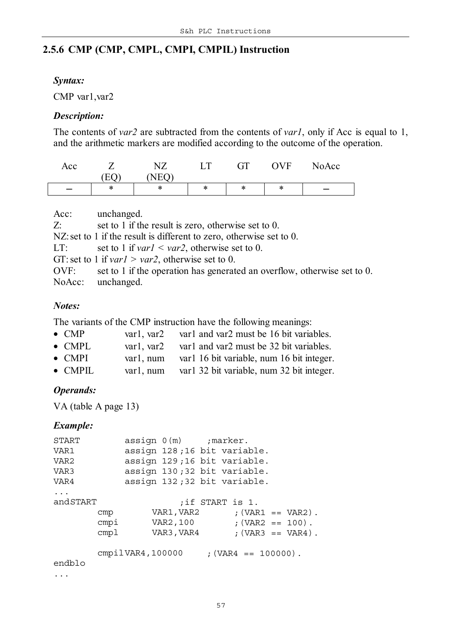# **2.5.6 CMP (CMP, CMPL, CMPI, CMPIL) Instruction**

#### *Syntax:*

CMP var1,var2

#### *Description:*

The contents of *var2* are subtracted from the contents of *var1*, only if Acc is equal to 1, and the arithmetic markers are modified according to the outcome of the operation.

| Acc |   | NTZ | $\mathbf T$ | GТ | <b>OVF</b> | NoAcc |
|-----|---|-----|-------------|----|------------|-------|
|     |   | NED |             |    |            |       |
|     | ж | ж   | *           | ж  | ⋇          |       |

| Acc:  | unchanged.                                                               |
|-------|--------------------------------------------------------------------------|
| $Z$ : | set to 1 if the result is zero, otherwise set to 0.                      |
|       | NZ: set to 1 if the result is different to zero, otherwise set to 0.     |
| LT:   | set to 1 if $var1 < var2$ , otherwise set to 0.                          |
|       | GT: set to 1 if <i>var1</i> > <i>var2</i> , otherwise set to 0.          |
| OVF:  | set to 1 if the operation has generated an overflow, otherwise set to 0. |
|       | NoAcc: unchanged.                                                        |

#### *Notes:*

The variants of the CMP instruction have the following meanings:

| $\bullet$ CMP   | varl. var2   | var1 and var2 must be 16 bit variables.    |
|-----------------|--------------|--------------------------------------------|
| $\bullet$ CMPL  | var1. var2   | var1 and var2 must be 32 bit variables.    |
| $\bullet$ CMPI  | var1. num    | var1 16 bit variable, num 16 bit integer.  |
| $\bullet$ CMPIL | $var1$ , num | var 1 32 bit variable, num 32 bit integer. |

#### *Operands:*

VA (table A page 13)

#### *Example:*

| START    |      | assign 0(m) ; marker. |                                   |  |  |
|----------|------|-----------------------|-----------------------------------|--|--|
| VAR1     |      |                       | assign 128;16 bit variable.       |  |  |
| VAR2     |      |                       | assign 129;16 bit variable.       |  |  |
| VAR3     |      |                       | assign 130;32 bit variable.       |  |  |
| VAR4     |      |                       | assign 132;32 bit variable.       |  |  |
| $\ddots$ |      |                       |                                   |  |  |
| andSTART |      |                       | if START is 1.                    |  |  |
|          | cmp  |                       | $VAR1, VAR2$ ; $(VAR1 == VAR2)$ . |  |  |
|          | cmpi |                       | $VAR2, 100$ ; $(VAR2 == 100)$ .   |  |  |
|          | cmp1 | VAR3, VAR4            | $;$ (VAR3 == VAR4).               |  |  |
|          |      |                       |                                   |  |  |
|          |      | cmpi1VAR4,100000      | ; $(VAR4 == 100000)$ .            |  |  |
| endblo   |      |                       |                                   |  |  |
|          |      |                       |                                   |  |  |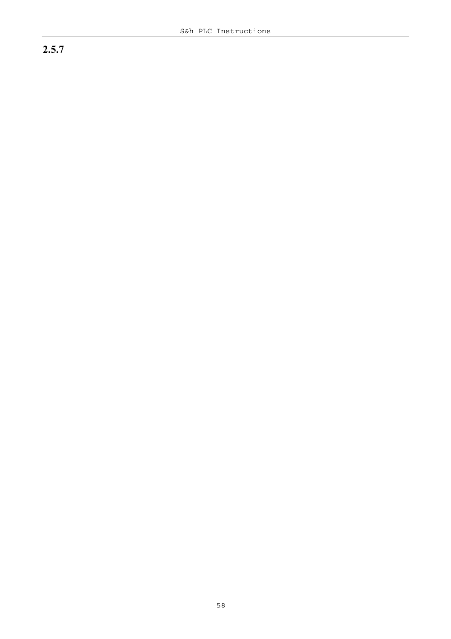# **2.5.7**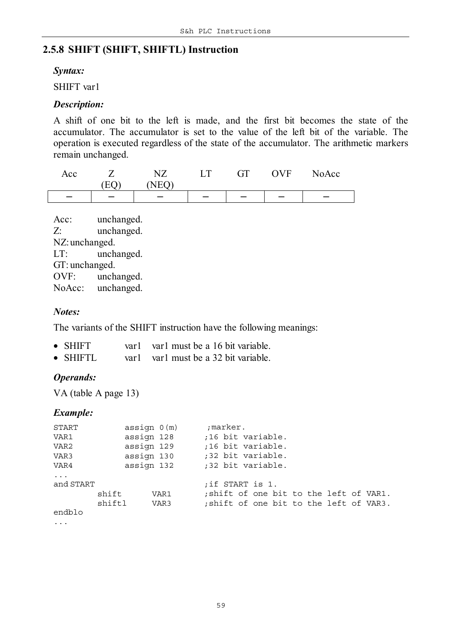# **2.5.8 SHIFT (SHIFT, SHIFTL) Instruction**

#### *Syntax:*

SHIFT var1

#### *Description:*

A shift of one bit to the left is made, and the first bit becomes the state of the accumulator. The accumulator is set to the value of the left bit of the variable. The operation is executed regardless of the state of the accumulator. The arithmetic markers remain unchanged.

| Acc |                | $\Gamma$                 | GТ | <b>OVF</b> | NoAcc |
|-----|----------------|--------------------------|----|------------|-------|
|     | ◥▰<br><b>.</b> |                          |    |            |       |
|     |                | $\overline{\phantom{m}}$ |    |            |       |

Acc: unchanged. Z: unchanged. NZ:unchanged. LT: unchanged. GT: unchanged. OVF: unchanged. NoAcc: unchanged.

#### *Notes:*

The variants of the SHIFT instruction have the following meanings:

- SHIFT varl varl must be a 16 bit variable.
- SHIFTL varl varl must be a 32 bit variable.

#### *Operands:*

VA (table A page 13)

| START                   | assign 0(m) |      | ;marker.          |  |  |  |                                         |
|-------------------------|-------------|------|-------------------|--|--|--|-----------------------------------------|
| VAR1                    | assign 128  |      | ;16 bit variable. |  |  |  |                                         |
| VAR2                    | assign 129  |      | ;16 bit variable. |  |  |  |                                         |
| VAR3                    | assign 130  |      | ;32 bit variable. |  |  |  |                                         |
| VAR4                    | assign 132  |      | ;32 bit variable. |  |  |  |                                         |
| $\ddots$ .<br>and START | shift       | VAR1 | if START is 1.    |  |  |  | ; shift of one bit to the left of VAR1. |
| endblo                  | shiftl      | VAR3 |                   |  |  |  | ; shift of one bit to the left of VAR3. |
| $\cdot$                 |             |      |                   |  |  |  |                                         |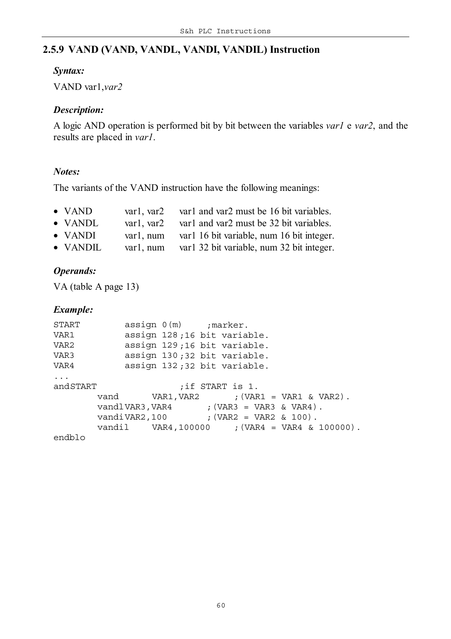# **2.5.9 VAND (VAND, VANDL, VANDI, VANDIL) Instruction**

#### *Syntax:*

VAND var1,*var2*

#### *Description:*

A logic AND operation is performed bit by bit between the variables *var1* e *var2*, and the results are placed in *var1*.

#### *Notes:*

The variants of the VAND instruction have the following meanings:

|  | $\bullet$ VAND | var1, var2 | var1 and var2 must be 16 bit variables. |
|--|----------------|------------|-----------------------------------------|
|--|----------------|------------|-----------------------------------------|

- VANDL var1, var2 var1 and var2 must be 32 bit variables.
- VANDI var1, num var1 16 bit variable, num 16 bit integer.
- VANDIL var1, num var1 32 bit variable, num 32 bit integer.

# *Operands:*

VA (table A page 13)

| START    |                                                | $assign 0(m)$ ; marker.     |                  |  |                             |  |
|----------|------------------------------------------------|-----------------------------|------------------|--|-----------------------------|--|
| VAR1     |                                                | assign 128;16 bit variable. |                  |  |                             |  |
| VAR2     |                                                | assign 129;16 bit variable. |                  |  |                             |  |
| VAR3     |                                                | assign 130;32 bit variable. |                  |  |                             |  |
| VAR4     |                                                | assign 132;32 bit variable. |                  |  |                             |  |
| $\ddots$ |                                                |                             |                  |  |                             |  |
| andSTART |                                                |                             | ; if START is 1. |  |                             |  |
|          | vand VAR1, VAR2                                |                             |                  |  | $: (VARI = VAR1 & (VAR2)$ . |  |
|          | $vand1VAR3, VAR4$ ; $(VAR3 = VAR3 & NAR4)$ .   |                             |                  |  |                             |  |
|          | vandiVAR2, 100 $;$ (VAR2 = VAR2 & 100).        |                             |                  |  |                             |  |
|          | $vandil$ VAR4,100000 ; (VAR4 = VAR4 & 100000). |                             |                  |  |                             |  |
| endblo   |                                                |                             |                  |  |                             |  |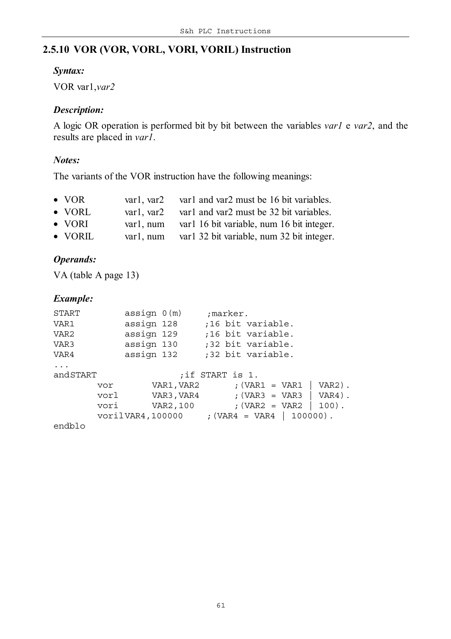# **2.5.10 VOR (VOR, VORL, VORI, VORIL) Instruction**

#### *Syntax:*

VOR var1,*var2*

# *Description:*

A logic OR operation is performed bit by bit between the variables *var1* e *var2*, and the results are placed in *var1*.

#### *Notes:*

The variants of the VOR instruction have the following meanings:

| $\bullet$ VOR                | var1, var2 var1 and var2 must be 16 bit variables.                                                                                                                                                                                                                                                                                                                                   |
|------------------------------|--------------------------------------------------------------------------------------------------------------------------------------------------------------------------------------------------------------------------------------------------------------------------------------------------------------------------------------------------------------------------------------|
| $\bullet$ VORL               | var1, var2 var1 and var2 must be 32 bit variables.                                                                                                                                                                                                                                                                                                                                   |
| $\bullet$ VORI               | var1, num var1 16 bit variable, num 16 bit integer.                                                                                                                                                                                                                                                                                                                                  |
| $\mathbf{V} \cap \mathbf{V}$ | $\overline{1}$ $\overline{1}$ $\overline{1}$ $\overline{1}$ $\overline{1}$ $\overline{1}$ $\overline{1}$ $\overline{1}$ $\overline{1}$ $\overline{1}$ $\overline{1}$ $\overline{1}$ $\overline{1}$ $\overline{1}$ $\overline{1}$ $\overline{1}$ $\overline{1}$ $\overline{1}$ $\overline{1}$ $\overline{1}$ $\overline{1}$ $\overline{1}$ $\overline{1}$ $\overline{1}$ $\overline{$ |

# • VORIL var1, num var1 32 bit variable, num 32 bit integer.

# *Operands:*

VA (table A page 13)

#### *Example:*

| START    |      | assign 0(m) | ;marker.                                   |
|----------|------|-------------|--------------------------------------------|
| VAR1     |      | assign 128  | ;16 bit variable.                          |
| VAR2     |      | assign 129  | ;16 bit variable.                          |
| VAR3     |      | assign 130  | ;32 bit variable.                          |
| VAR4     |      | assign 132  | ;32 bit variable.                          |
| $\ddots$ |      |             |                                            |
| andSTART |      |             | ; if START is 1.                           |
|          | vor  | VAR1,VAR2   | $VAR2)$ .<br>; $\text{VAR1} = \text{VAR1}$ |
|          | vorl | VAR3,VAR4   | $VAR4)$ .<br>; $\text{VAR3} = \text{VAR3}$ |
|          | vori | VAR2,100    | ; $\text{VAR2} = \text{VAR2}$<br>$100)$ .  |
|          |      |             | vorilVAR4,100000 ; (VAR4 = VAR4   100000). |
| andhlo   |      |             |                                            |

endblo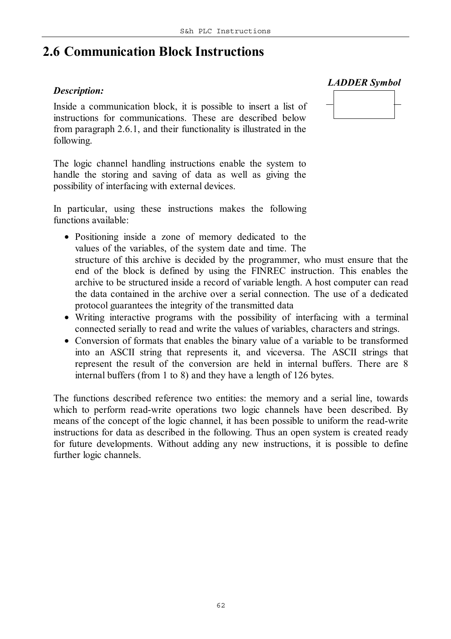# **2.6 Communication Block Instructions**

#### *Description:*

Inside a communication block, it is possible to insert a list of instructions for communications. These are described below from paragraph 2.6.1, and their functionality is illustrated in the following.

The logic channel handling instructions enable the system to handle the storing and saving of data as well as giving the possibility of interfacing with external devices.

In particular, using these instructions makes the following functions available:

- Positioning inside a zone of memory dedicated to the values of the variables, of the system date and time. The structure of this archive is decided by the programmer, who must ensure that the end of the block is defined by using the FINREC instruction. This enables the archive to be structured inside a record of variable length. A host computer can read the data contained in the archive over a serial connection. The use of a dedicated
- protocol guarantees the integrity of the transmitted data • Writing interactive programs with the possibility of interfacing with a terminal connected serially to read and write the values of variables, characters and strings.
- Conversion of formats that enables the binary value of a variable to be transformed into an ASCII string that represents it, and viceversa. The ASCII strings that represent the result of the conversion are held in internal buffers. There are 8 internal buffers (from 1 to 8) and they have a length of 126 bytes.

The functions described reference two entities: the memory and a serial line, towards which to perform read-write operations two logic channels have been described. By means of the concept of the logic channel, it has been possible to uniform the read-write instructions for data as described in the following. Thus an open system is created ready for future developments. Without adding any new instructions, it is possible to define further logic channels.

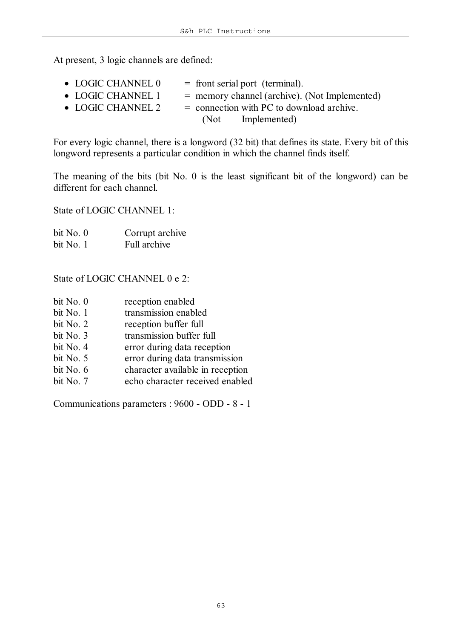At present, 3 logic channels are defined:

| $\bullet$ LOGIC CHANNEL $0$ | $=$ front serial port (terminal).               |
|-----------------------------|-------------------------------------------------|
| • LOGIC CHANNEL 1           | $=$ memory channel (archive). (Not Implemented) |
| $\bullet$ LOGIC CHANNEL 2   | $=$ connection with PC to download archive.     |
|                             | (Not Implemented)                               |

For every logic channel, there is a longword (32 bit) that defines its state. Every bit of this longword represents a particular condition in which the channel finds itself.

The meaning of the bits (bit No. 0 is the least significant bit of the longword) can be different for each channel.

State of LOGIC CHANNEL 1:

| bit No. $0$ | Corrupt archive |
|-------------|-----------------|
| bit No. 1   | Full archive    |

State of LOGIC CHANNEL 0 e 2:

| bit No. 0   | reception enabled                |
|-------------|----------------------------------|
| bit No. 1   | transmission enabled             |
| bit No. $2$ | reception buffer full            |
| bit No. 3   | transmission buffer full         |
| bit No. 4   | error during data reception      |
| bit No. 5   | error during data transmission   |
| bit No. 6   | character available in reception |
| bit No. 7   | echo character received enabled  |
|             |                                  |

Communications parameters : 9600 - ODD - 8 - 1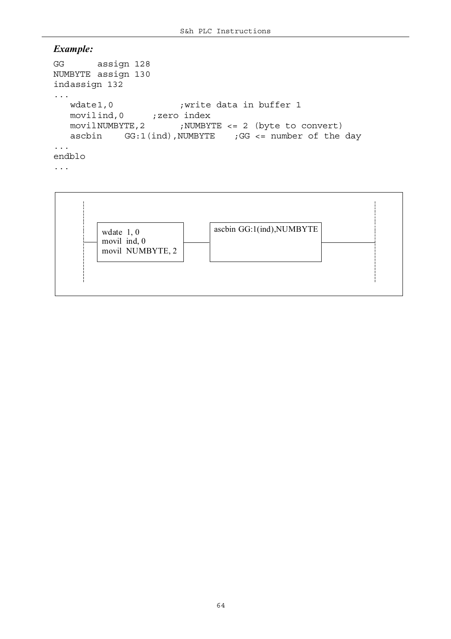```
GG assign 128
NUMBYTE assign 130
indassign 132
...
   wdate1,0 (write data in buffer 1
   movilind,0 ; zero index
   movilNUMBYTE,2 ;NUMBYTE <= 2 (byte to convert)
  ascbin GG:1(ind), NUMBYTE ; GG \leq number of the day
...
endblo
...
```
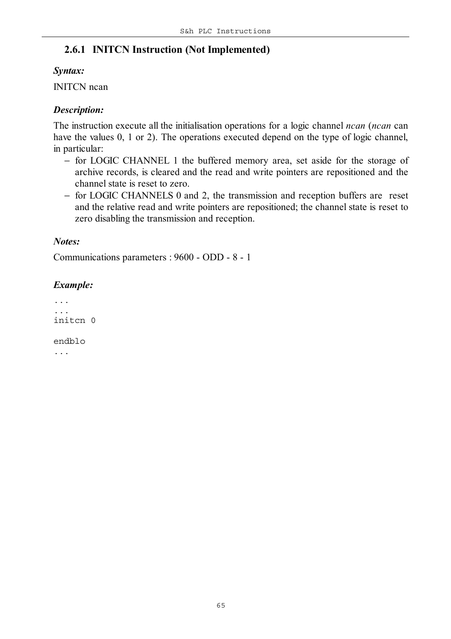# **2.6.1 INITCN Instruction (Not Implemented)**

### *Syntax:*

INITCN ncan

# *Description:*

The instruction execute all the initialisation operations for a logic channel *ncan* (*ncan* can have the values 0, 1 or 2). The operations executed depend on the type of logic channel, in particular:

- − for LOGIC CHANNEL 1 the buffered memory area, set aside for the storage of archive records, is cleared and the read and write pointers are repositioned and the channel state is reset to zero.
- − for LOGIC CHANNELS 0 and 2, the transmission and reception buffers are reset and the relative read and write pointers are repositioned; the channel state is reset to zero disabling the transmission and reception.

# *Notes:*

Communications parameters : 9600 - ODD - 8 - 1

# *Example:*

*... ...* initcn 0 endblo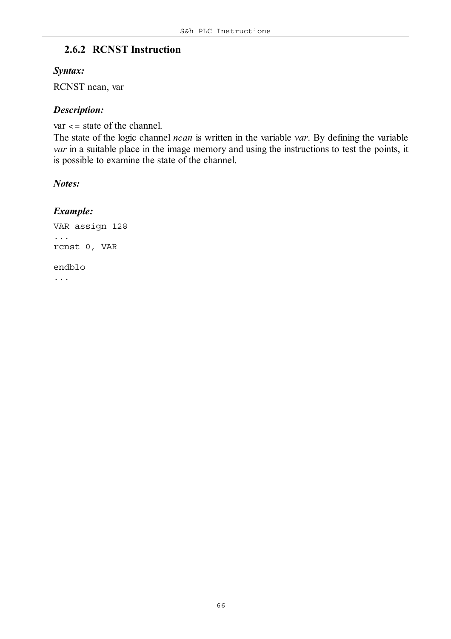# **2.6.2 RCNST Instruction**

#### *Syntax:*

RCNST ncan, var

### *Description:*

var <= state of the channel.

The state of the logic channel *ncan* is written in the variable *var*. By defining the variable *var* in a suitable place in the image memory and using the instructions to test the points, it is possible to examine the state of the channel.

#### *Notes:*

# *Example:*

VAR assign 128 ... rcnst 0, VAR endblo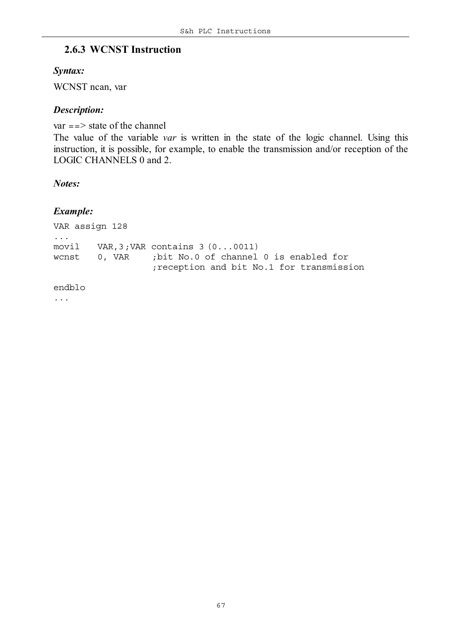# **2.6.3 WCNST Instruction**

#### *Syntax:*

WCNST ncan, var

#### *Description:*

 $var = => state of the channel$ The value of the variable *var* is written in the state of the logic channel. Using this instruction, it is possible, for example, to enable the transmission and/or reception of the LOGIC CHANNELS 0 and 2.

#### *Notes:*

#### *Example:*

VAR assign 128 ... movil VAR,3*;VAR contains 3 (0...0011)* wcnst 0, VAR *;bit No.0 of channel 0 is enabled for ;reception and bit No.1 for transmission*

#### endblo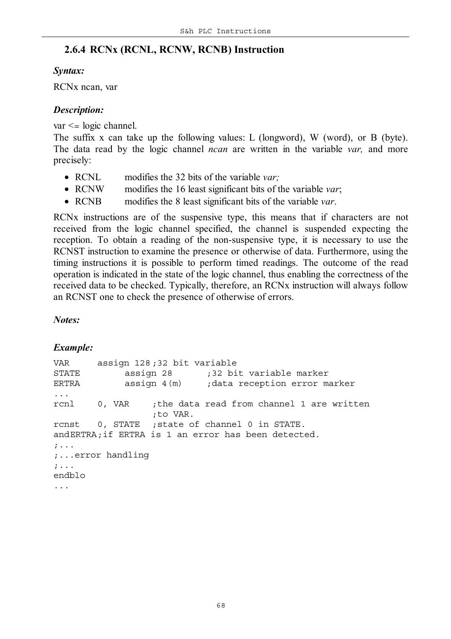# **2.6.4 RCNx (RCNL, RCNW, RCNB) Instruction**

#### *Syntax:*

RCNx ncan, var

### *Description:*

var <= logic channel.

The suffix x can take up the following values: L (longword), W (word), or B (byte). The data read by the logic channel *ncan* are written in the variable *var,* and more precisely:

- RCNL modifies the 32 bits of the variable *var*;
- RCNW modifies the 16 least significant bits of the variable *var*;
- RCNB modifies the 8 least significant bits of the variable *var*.

RCNx instructions are of the suspensive type, this means that if characters are not received from the logic channel specified, the channel is suspended expecting the reception. To obtain a reading of the non-suspensive type, it is necessary to use the RCNST instruction to examine the presence or otherwise of data. Furthermore, using the timing instructions it is possible to perform timed readings. The outcome of the read operation is indicated in the state of the logic channel, thus enabling the correctness of the received data to be checked. Typically, therefore, an RCNx instruction will always follow an RCNST one to check the presence of otherwise of errors.

#### *Notes:*

```
VAR assign 128 ;32 bit variable
STATE assign 28 ;32 bit variable marker
ERTRA assign 4(m) ;data reception error marker
...
rcnl 0, VAR ;the data read from channel 1 are written
                 ;to VAR.
rcnst 0, STATE ;state of channel 0 in STATE.
andERTRA;if ERTRA is 1 an error has been detected.
;...
;...error handling
;...
endblo
...
```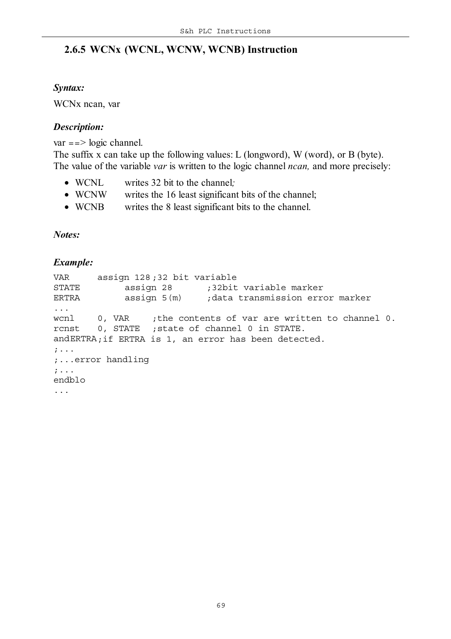# **2.6.5 WCNx (WCNL, WCNW, WCNB) Instruction**

#### *Syntax:*

WCNx ncan, var

#### *Description:*

 $var = => logic channel$ .

The suffix x can take up the following values: L (longword), W (word), or B (byte). The value of the variable *var* is written to the logic channel *ncan,* and more precisely:

- WCNL writes 32 bit to the channel*;*
- WCNW writes the 16 least significant bits of the channel;
- WCNB writes the 8 least significant bits to the channel.

*Notes:*

```
VAR assign 128 ;32 bit variable
STATE assign 28 ;32bit variable marker
ERTRA assign 5(m) ;data transmission error marker
...
wcnl 0, VAR ;the contents of var are written to channel 0.
rcnst 0, STATE ;state of channel 0 in STATE.
andERTRA;if ERTRA is 1, an error has been detected.
;...
;...error handling
;...
endblo
...
```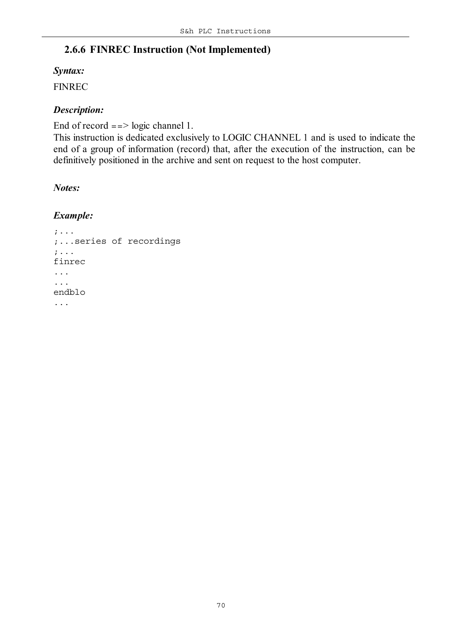# **2.6.6 FINREC Instruction (Not Implemented)**

#### *Syntax:*

FINREC

# *Description:*

End of record  $==$  logic channel 1.

This instruction is dedicated exclusively to LOGIC CHANNEL 1 and is used to indicate the end of a group of information (record) that, after the execution of the instruction, can be definitively positioned in the archive and sent on request to the host computer.

# *Notes:*

```
;...
;...series of recordings
;...
finrec
...
...
endblo
...
```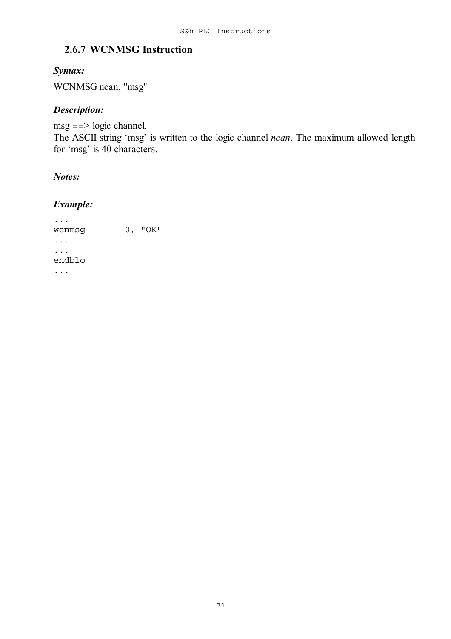# **2.6.7 WCNMSG Instruction**

#### *Syntax:*

WCNMSG ncan, "msg"

#### *Description:*

 $msg == > logic channel.$ The ASCII string 'msg' is written to the logic channel *ncan*. The maximum allowed length for 'msg' is 40 characters.

*Notes:*

### *Example:*

... wcnmsg 0, "OK" ... ... endblo ...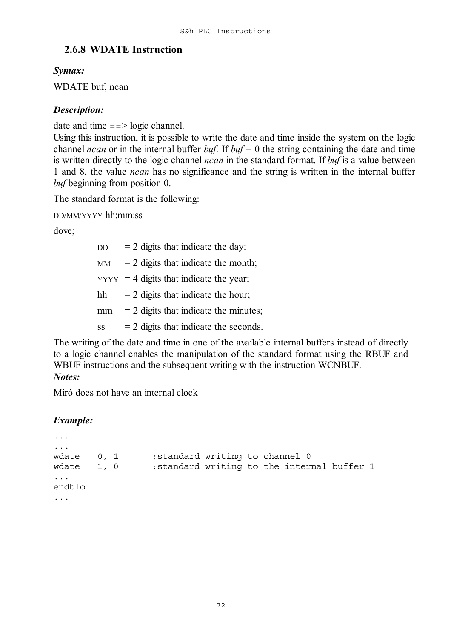# **2.6.8 WDATE Instruction**

### *Syntax:*

WDATE buf, ncan

# *Description:*

date and time  $==$  logic channel.

Using this instruction, it is possible to write the date and time inside the system on the logic channel *ncan* or in the internal buffer *buf*. If  $buf = 0$  the string containing the date and time is written directly to the logic channel *ncan* in the standard format. If *buf* is a value between 1 and 8, the value *ncan* has no significance and the string is written in the internal buffer *buf* beginning from position 0.

The standard format is the following:

DD/MM/YYYY hh:mm:ss

dove;

| DD | $= 2$ digits that indicate the day;       |
|----|-------------------------------------------|
| MM | $= 2$ digits that indicate the month;     |
|    | $YYYY = 4$ digits that indicate the year; |
| hh | $=$ 2 digits that indicate the hour;      |
| mm | $= 2$ digits that indicate the minutes;   |
| SS | $= 2$ digits that indicate the seconds.   |
|    |                                           |

The writing of the date and time in one of the available internal buffers instead of directly to a logic channel enables the manipulation of the standard format using the RBUF and WBUF instructions and the subsequent writing with the instruction WCNBUF. *Notes:*

Miró does not have an internal clock

```
...
...
wdate 0, 1 ;standard writing to channel 0
wdate 1, 0 ;standard writing to the internal buffer 1
...
endblo
...
```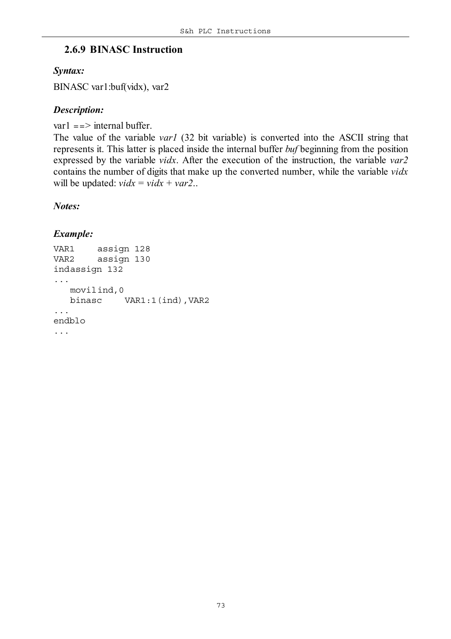#### **2.6.9 BINASC Instruction**

#### *Syntax:*

BINASC var1:buf(vidx), var2

#### *Description:*

var $1 ==$  internal buffer.

The value of the variable *var1* (32 bit variable) is converted into the ASCII string that represents it. This latter is placed inside the internal buffer *buf* beginning from the position expressed by the variable *vidx*. After the execution of the instruction, the variable *var2* contains the number of digits that make up the converted number, while the variable *vidx* will be updated:  $vidx = vidx + var2$ ..

#### *Notes:*

```
VAR1 assign 128
VAR2 assign 130
indassign 132
...
   movilind,0
  binasc VAR1:1(ind),VAR2
...
endblo
...
```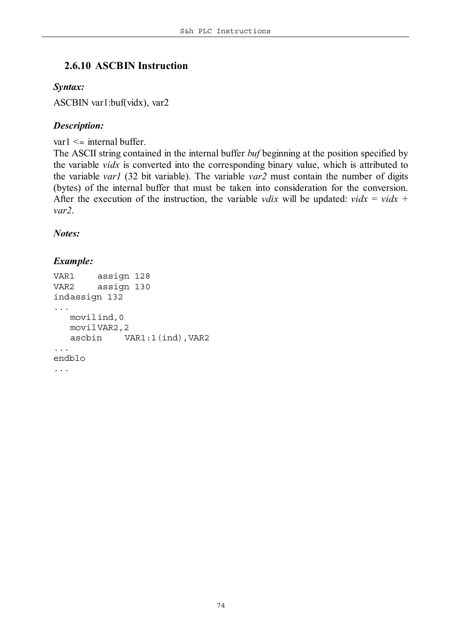#### **2.6.10 ASCBIN Instruction**

#### *Syntax:*

ASCBIN var1:buf(vidx), var2

#### *Description:*

 $var1 \leq \text{internal buffer.}$ 

The ASCII string contained in the internal buffer *buf* beginning at the position specified by the variable *vidx* is converted into the corresponding binary value, which is attributed to the variable *var1* (32 bit variable). The variable *var2* must contain the number of digits (bytes) of the internal buffer that must be taken into consideration for the conversion. After the execution of the instruction, the variable *vdix* will be updated: *vidx* = *vidx* + *var2*.

*Notes:*

```
VAR1 assign 128
VAR2 assign 130
indassign 132
...
   movilind,0
   movilVAR2,2
   ascbin VAR1:1(ind),VAR2
...
endblo
...
```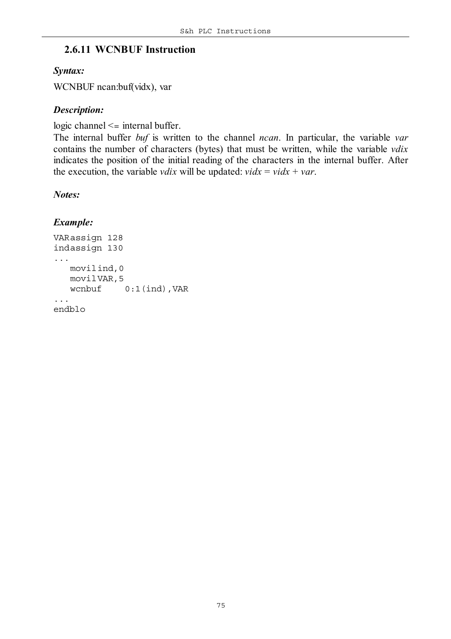#### **2.6.11 WCNBUF Instruction**

#### *Syntax:*

WCNBUF ncan:buf(vidx), var

#### *Description:*

logic channel <= internal buffer.

The internal buffer *buf* is written to the channel *ncan*. In particular, the variable *var* contains the number of characters (bytes) that must be written, while the variable *vdix* indicates the position of the initial reading of the characters in the internal buffer. After the execution, the variable *vdix* will be updated:  $vidx = vidx + var$ .

#### *Notes:*

```
VARassign 128
indassign 130
...
   movilind,0
   movilVAR,5
   wcnbuf 0:1(ind),VAR
...
endblo
```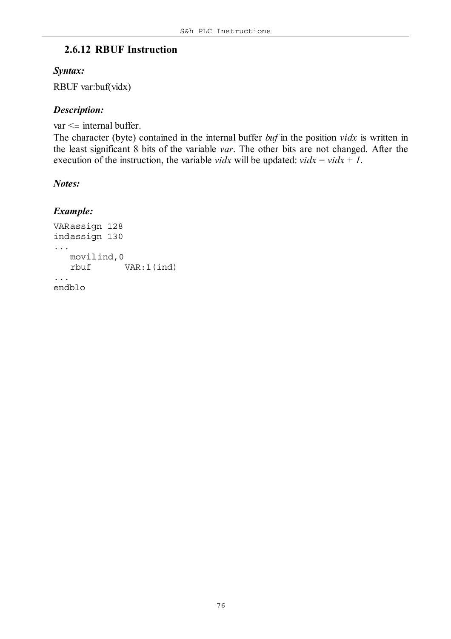#### **2.6.12 RBUF Instruction**

#### *Syntax:*

RBUF var:buf(vidx)

#### *Description:*

```
var <= internal buffer.
```

```
The character (byte) contained in the internal buffer buf in the position vidx is written in
the least significant 8 bits of the variable var. The other bits are not changed. After the
execution of the instruction, the variable vidx will be updated: vidx = vidx + 1.
```
#### *Notes:*

```
VARassign 128
indassign 130
...
   movilind,0
   rbuf VAR:1(ind)
...
endblo
```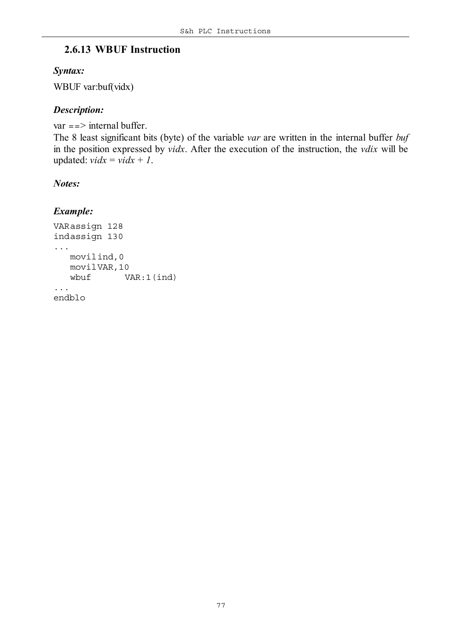#### **2.6.13 WBUF Instruction**

#### *Syntax:*

WBUF var:buf(vidx)

#### *Description:*

```
var = => internal buffer.
The 8 least significant bits (byte) of the variable var are written in the internal buffer buf
in the position expressed by vidx. After the execution of the instruction, the vdix will be
updated: vidx = vidx + 1.
```
#### *Notes:*

```
VARassign 128
indassign 130
...
   movilind,0
   movilVAR,10
   wbuf VAR:1(ind)
...
endblo
```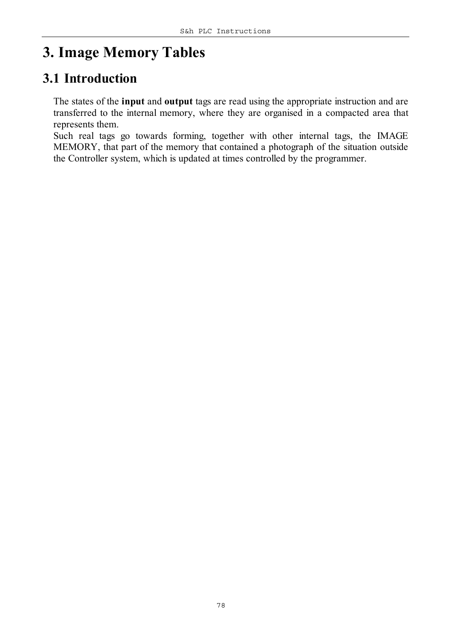# **3. Image Memory Tables**

#### **3.1 Introduction**

The states of the **input** and **output** tags are read using the appropriate instruction and are transferred to the internal memory, where they are organised in a compacted area that represents them.

Such real tags go towards forming, together with other internal tags, the IMAGE MEMORY, that part of the memory that contained a photograph of the situation outside the Controller system, which is updated at times controlled by the programmer.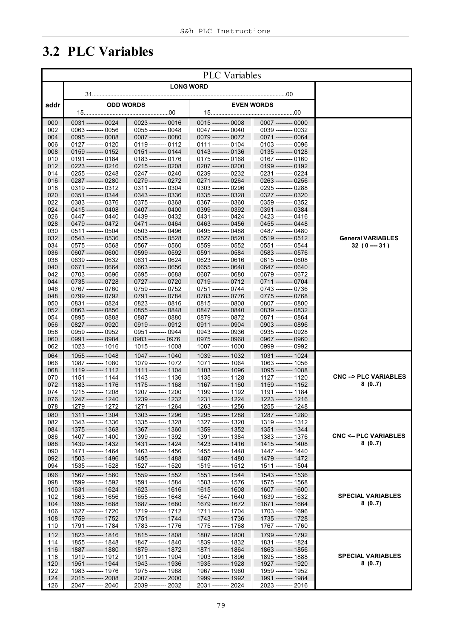# **3.2 PLC Variables**

|            | <b>PLC</b> Variables |                                            |                     |                                            |                                            |  |                   |                                            |                                          |
|------------|----------------------|--------------------------------------------|---------------------|--------------------------------------------|--------------------------------------------|--|-------------------|--------------------------------------------|------------------------------------------|
|            | <b>LONG WORD</b>     |                                            |                     |                                            |                                            |  |                   |                                            |                                          |
|            |                      |                                            |                     |                                            |                                            |  |                   |                                            |                                          |
| addr       |                      |                                            | <b>ODD WORDS</b>    |                                            |                                            |  | <b>EVEN WORDS</b> |                                            |                                          |
| 000        |                      | 0031 --------- 0024                        |                     | 0023 -------- 0016                         | 0015 --------- 0008                        |  |                   | 0007 -------- 0000                         |                                          |
| 002        |                      | 0063 --------- 0056                        |                     | 0055 --------- 0048                        | 0047 --------- 0040                        |  |                   | 0039 --------- 0032                        |                                          |
| 004        |                      | 0095 --------- 0088                        |                     | 0087 --------- 0080                        | 0079 -------- 0072                         |  |                   | 0071 --------- 0064                        |                                          |
| 006<br>008 |                      | 0127 --------- 0120<br>0159 --------- 0152 |                     | 0119 --------- 0112<br>0151 --------- 0144 | 0111 -------- 0104<br>0143 --------- 0136  |  |                   | 0103 -------- 0096<br>0135 --------- 0128  |                                          |
| 010        |                      | 0191 --------- 0184                        |                     | 0183 -------- 0176                         | 0175 --------- 0168                        |  |                   | 0167 -------- 0160                         |                                          |
| 012        |                      | 0223 --------- 0216                        |                     | 0215 --------- 0208                        | 0207 --------- 0200                        |  |                   | 0199 --------- 0192                        |                                          |
| 014        |                      | 0255 --------- 0248                        |                     | 0247 --------- 0240                        | 0239 --------- 0232                        |  |                   | 0231 --------- 0224                        |                                          |
| 016        |                      | 0287 --------- 0280                        |                     | 0279 --------- 0272                        | 0271 --------- 0264                        |  |                   | 0263 --------- 0256                        |                                          |
| 018        |                      | 0319 --------- 0312<br>0351 --------- 0344 |                     | 0311 -------- 0304                         | 0303 --------- 0296                        |  |                   | 0295 --------- 0288<br>0327 -------- 0320  |                                          |
| 020<br>022 |                      | 0383 -------- 0376                         |                     | 0343 --------- 0336<br>0375 --------- 0368 | 0335 --------- 0328<br>0367 --------- 0360 |  |                   | 0359 --------- 0352                        |                                          |
| 024        |                      | 0415 --------- 0408                        |                     | 0407 --------- 0400                        | 0399 --------- 0392                        |  |                   | 0391 --------- 0384                        |                                          |
| 026        |                      | 0447 --------- 0440                        |                     | 0439 --------- 0432                        | 0431 --------- 0424                        |  |                   | 0423 --------- 0416                        |                                          |
| 028        |                      | 0479 --------- 0472                        |                     | 0471 --------- 0464                        | 0463 --------- 0456                        |  |                   | 0455 --------- 0448                        |                                          |
| 030        |                      | 0511 --------- 0504                        |                     | 0503 --------- 0496                        | 0495 --------- 0488                        |  |                   | 0487 --------- 0480                        |                                          |
| 032<br>034 |                      | 0543 --------- 0536<br>0575 --------- 0568 |                     | 0535 --------- 0528<br>0567 --------- 0560 | 0527 --------- 0520<br>0559 --------- 0552 |  |                   | 0519 --------- 0512<br>0551 --------- 0544 | <b>General VARIABLES</b><br>$32(0 - 31)$ |
| 036        |                      | 0607 --------- 0600                        |                     | 0599 --------- 0592                        | 0591 --------- 0584                        |  |                   | 0583 --------- 0576                        |                                          |
| 038        |                      | 0639 --------- 0632                        |                     | 0631 --------- 0624                        | 0623 --------- 0616                        |  |                   | 0615 --------- 0608                        |                                          |
| 040        |                      | 0671 --------- 0664                        |                     | 0663 -------- 0656                         | 0655 --------- 0648                        |  |                   | 0647 --------- 0640                        |                                          |
| 042        |                      | 0703 --------- 0696                        |                     | 0695 --------- 0688                        | 0687 --------- 0680                        |  |                   | 0679 --------- 0672                        |                                          |
| 044        |                      | 0735 --------- 0728                        |                     | 0727 --------- 0720                        | 0719 --------- 0712                        |  |                   | 0711 -------- 0704                         |                                          |
| 046<br>048 |                      | 0767 --------- 0760<br>0799 --------- 0792 |                     | 0759 --------- 0752<br>0791 --------- 0784 | 0751 --------- 0744<br>0783 --------- 0776 |  |                   | 0743 --------- 0736<br>0775 --------- 0768 |                                          |
| 050        |                      | 0831 --------- 0824                        |                     | 0823 --------- 0816                        | 0815 --------- 0808                        |  |                   | 0807 --------- 0800                        |                                          |
| 052        |                      | 0863 -------- 0856                         |                     | 0855 --------- 0848                        | 0847 --------- 0840                        |  |                   | 0839 --------- 0832                        |                                          |
| 054        |                      | 0895 --------- 0888                        |                     | 0887 --------- 0880                        | 0879 --------- 0872                        |  |                   | 0871 --------- 0864                        |                                          |
| 056        |                      | 0827 --------- 0920                        |                     | 0919 --------- 0912                        | 0911 --------- 0904                        |  |                   | 0903 --------- 0896                        |                                          |
| 058        |                      | 0959 --------- 0952                        |                     | 0951 --------- 0944                        | 0943 -------- 0936                         |  |                   | 0935 --------- 0928                        |                                          |
| 060<br>062 |                      | 0991 --------- 0984<br>1023 --------- 1016 | 0983 --------- 0976 | 1015 --------- 1008                        | 0975 --------- 0968<br>1007 --------- 1000 |  |                   | 0967 --------- 0960<br>0999 --------- 0992 |                                          |
| 064        |                      | 1055 --------- 1048                        |                     | 1047 -------- 1040                         | 1039 --------- 1032                        |  |                   | 1031 --------- 1024                        |                                          |
| 066        |                      | 1087 --------- 1080                        |                     | 1079 --------- 1072                        | 1071 --------- 1064                        |  |                   | 1063 --------- 1056                        |                                          |
| 068        |                      | 1119 --------- 1112                        |                     | 1111 --------- 1104                        | 1103 --------- 1096                        |  |                   | 1095 --------- 1088                        |                                          |
| 070        |                      | 1151 --------- 1144                        |                     | 1143 --------- 1136                        | 1135 -------- 1128                         |  |                   | 1127 -------- 1120                         | <b>CNC --&gt; PLC VARIABLES</b>          |
| 072<br>074 |                      | 1183 --------- 1176<br>1215 --------- 1208 |                     | 1175 --------- 1168<br>1207 --------- 1200 | 1167 --------- 1160<br>1199 --------- 1192 |  |                   | 1159 --------- 1152<br>1191 --------- 1184 | 8(07)                                    |
| 076        |                      | 1247 --------- 1240                        |                     | 1239 --------- 1232                        | 1231 --------- 1224                        |  |                   | 1223 --------- 1216                        |                                          |
| 078        |                      | 1279 --------- 1272                        |                     | 1271 -------- 1264                         | 1263 --------- 1256                        |  |                   | 1255 --------- 1248                        |                                          |
| 080        |                      | 1311 --------- 1304                        |                     | 1303 --------- 1296                        | 1295 --------- 1288                        |  |                   | 1287 --------- 1280                        |                                          |
| 082        |                      | 1343 --------- 1336                        |                     | 1335 --------- 1328                        | 1327 --------- 1320                        |  |                   | 1319 --------- 1312                        |                                          |
| 084        |                      | 1375 --------- 1368                        |                     | 1367 --------- 1360                        | 1359 --------- 1352<br>1391 --------- 1384 |  |                   | 1351 --------- 1344                        | <b>CNC &lt;-- PLC VARIABLES</b>          |
| 086<br>088 |                      | 1407 --------- 1400<br>1439 --------- 1432 |                     | 1399 --------- 1392<br>1431 --------- 1424 | 1423 --------- 1416                        |  |                   | 1383 --------- 1376<br>1415 --------- 1408 | 8(07)                                    |
| 090        |                      | 1471 --------- 1464                        |                     | 1463 --------- 1456                        | 1455 --------- 1448                        |  |                   | 1447 --------- 1440                        |                                          |
| 092        |                      | 1503 --------- 1496                        |                     | 1495 --------- 1488                        | 1487 --------- 1480                        |  |                   | 1479 --------- 1472                        |                                          |
| 094        |                      | 1535 ---------- 1528                       |                     | 1527 --------- 1520                        | 1519 --------- 1512                        |  |                   | 1511 --------- 1504                        |                                          |
| 096        |                      | 1567 --------- 1560                        |                     | 1559 --------- 1552                        | 1551 --------- 1544                        |  |                   | 1543 --------- 1536                        |                                          |
| 098        |                      | 1599 --------- 1592                        |                     | 1591 --------- 1584                        | 1583 --------- 1576                        |  |                   | 1575 --------- 1568                        |                                          |
| 100<br>102 |                      | 1631 --------- 1624<br>1663 --------- 1656 |                     | 1623 --------- 1616<br>1655 --------- 1648 | 1615 --------- 1608<br>1647 --------- 1640 |  |                   | 1607 --------- 1600<br>1639 --------- 1632 | <b>SPECIAL VARIABLES</b>                 |
| 104        |                      | 1695 --------- 1688                        |                     | 1687 --------- 1680                        | 1679 --------- 1672                        |  |                   | 1671 --------- 1664                        | 8(07)                                    |
| 106        |                      | 1627 --------- 1720                        |                     | 1719 --------- 1712                        | 1711 --------- 1704                        |  |                   | 1703 --------- 1696                        |                                          |
| 108        |                      | 1759 --------- 1752                        |                     | 1751 --------- 1744                        | 1743 --------- 1736                        |  |                   | 1735 --------- 1728                        |                                          |
| 110        |                      | 1791 --------- 1784                        |                     | 1783 --------- 1776                        | 1775 --------- 1768                        |  |                   | 1767 --------- 1760                        |                                          |
| 112        |                      | 1823 --------- 1816                        |                     | 1815 --------- 1808                        | 1807 --------- 1800                        |  |                   | 1799 --------- 1792                        |                                          |
| 114        |                      | 1855 --------- 1848                        |                     | 1847 --------- 1840                        | 1839 --------- 1832                        |  |                   | 1831 --------- 1824                        |                                          |
| 116<br>118 |                      | 1887 --------- 1880<br>1919 -------- 1912  |                     | 1879 --------- 1872<br>1911 -------- 1904  | 1871 --------- 1864<br>1903 --------- 1896 |  |                   | 1863 --------- 1856<br>1895 --------- 1888 | <b>SPECIAL VARIABLES</b>                 |
| 120        |                      | 1951 --------- 1944                        |                     | 1943 --------- 1936                        | 1935 --------- 1928                        |  |                   | 1927 ---------- 1920                       | 8(07)                                    |
| 122        |                      | 1983 --------- 1976                        |                     | 1975 --------- 1968                        | 1967 --------- 1960                        |  |                   | 1959 --------- 1952                        |                                          |
| 124        |                      | 2015 --------- 2008                        |                     | 2007 --------- 2000                        | 1999 ---------- 1992                       |  |                   | 1991 --------- 1984                        |                                          |
| 126        |                      | 2047 --------- 2040                        |                     | 2039 -------- 2032                         | 2031 --------- 2024                        |  |                   | 2023 -------- 2016                         |                                          |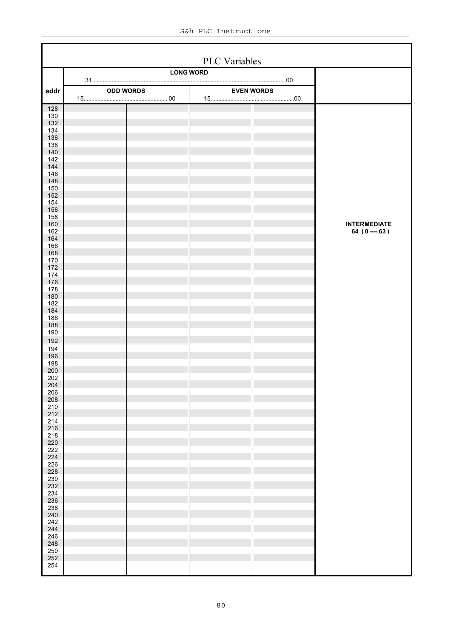|                   | PLC Variables |                  |                  |                   |                                      |  |  |  |
|-------------------|---------------|------------------|------------------|-------------------|--------------------------------------|--|--|--|
|                   |               |                  | <b>LONG WORD</b> |                   |                                      |  |  |  |
| addr              |               | <b>ODD WORDS</b> |                  | <b>EVEN WORDS</b> |                                      |  |  |  |
| 128               |               |                  |                  |                   |                                      |  |  |  |
| 130<br>132        |               |                  |                  |                   |                                      |  |  |  |
| 134<br>136        |               |                  |                  |                   |                                      |  |  |  |
| 138               |               |                  |                  |                   |                                      |  |  |  |
| 140<br>142        |               |                  |                  |                   |                                      |  |  |  |
| 144<br>146        |               |                  |                  |                   |                                      |  |  |  |
| 148               |               |                  |                  |                   |                                      |  |  |  |
| 150<br>152        |               |                  |                  |                   |                                      |  |  |  |
| 154<br>156        |               |                  |                  |                   |                                      |  |  |  |
| 158               |               |                  |                  |                   |                                      |  |  |  |
| 160<br>162        |               |                  |                  |                   | <b>INTERMEDIATE</b><br>64 (0 --- 63) |  |  |  |
| 164<br>166        |               |                  |                  |                   |                                      |  |  |  |
| 168               |               |                  |                  |                   |                                      |  |  |  |
| 170<br>172        |               |                  |                  |                   |                                      |  |  |  |
| 174<br>176        |               |                  |                  |                   |                                      |  |  |  |
| 178               |               |                  |                  |                   |                                      |  |  |  |
| 180<br>182        |               |                  |                  |                   |                                      |  |  |  |
| 184               |               |                  |                  |                   |                                      |  |  |  |
| 186<br>188        |               |                  |                  |                   |                                      |  |  |  |
| 190<br>192        |               |                  |                  |                   |                                      |  |  |  |
| 194               |               |                  |                  |                   |                                      |  |  |  |
| 196<br>198        |               |                  |                  |                   |                                      |  |  |  |
| 200               |               |                  |                  |                   |                                      |  |  |  |
| 202<br>204<br>206 |               |                  |                  |                   |                                      |  |  |  |
| 208               |               |                  |                  |                   |                                      |  |  |  |
| 210               |               |                  |                  |                   |                                      |  |  |  |
| 212<br>$214\,$    |               |                  |                  |                   |                                      |  |  |  |
| 216<br>$218\,$    |               |                  |                  |                   |                                      |  |  |  |
| 220               |               |                  |                  |                   |                                      |  |  |  |
| 222<br>224        |               |                  |                  |                   |                                      |  |  |  |
| 226<br>228        |               |                  |                  |                   |                                      |  |  |  |
| 230               |               |                  |                  |                   |                                      |  |  |  |
| 232<br>234        |               |                  |                  |                   |                                      |  |  |  |
| 236<br>238        |               |                  |                  |                   |                                      |  |  |  |
| 240               |               |                  |                  |                   |                                      |  |  |  |
| 242<br>244        |               |                  |                  |                   |                                      |  |  |  |
| 246<br>248        |               |                  |                  |                   |                                      |  |  |  |
| 250               |               |                  |                  |                   |                                      |  |  |  |
| 252<br>254        |               |                  |                  |                   |                                      |  |  |  |
|                   |               |                  |                  |                   |                                      |  |  |  |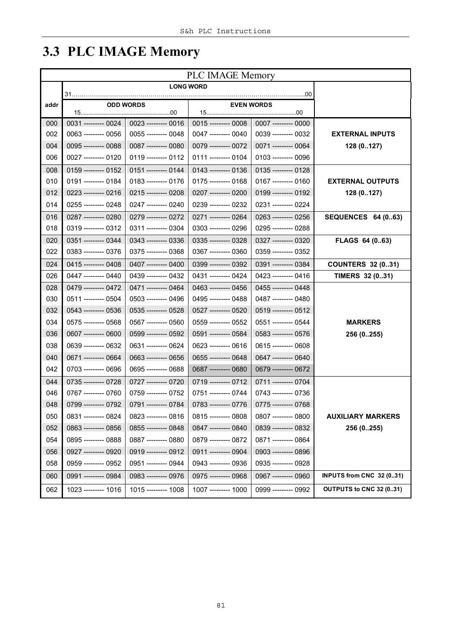# **3.3 PLC IMAGE Memory**

|      | <b>PLC IMAGE Memory</b> |                       |                      |                      |                           |  |  |  |  |
|------|-------------------------|-----------------------|----------------------|----------------------|---------------------------|--|--|--|--|
|      |                         |                       | <b>LONG WORD</b>     |                      |                           |  |  |  |  |
| addr | 31.                     | <b>ODD WORDS</b>      |                      | <b>EVEN WORDS</b>    |                           |  |  |  |  |
|      |                         |                       |                      |                      |                           |  |  |  |  |
| 000  | 0031 --------- 0024     | 0023 --------- 0016   | $0015$ -------- 0008 | $0007$ -------- 0000 |                           |  |  |  |  |
| 002  | 0063 --------- 0056     | 0055 --------- 0048   | 0047 --------- 0040  | 0039 --------- 0032  | <b>EXTERNAL INPUTS</b>    |  |  |  |  |
| 004  | 0095 --------- 0088     | 0087 --------- 0080   | 0079 --------- 0072  | 0071 --------- 0064  | 128 (0127)                |  |  |  |  |
| 006  | 0027 --------- 0120     | 0119 --------- 0112   | 0111 --------- 0104  | 0103 --------- 0096  |                           |  |  |  |  |
| 008  | $0159$ -------- 0152    | 0151 --------- 0144   | $0143$ -------- 0136 | 0135 --------- 0128  |                           |  |  |  |  |
| 010  | 0191 --------- 0184     | 0183 -------- 0176    | 0175 --------- 0168  | 0167 --------- 0160  | <b>EXTERNAL OUTPUTS</b>   |  |  |  |  |
| 012  | 0223 --------- 0216     | 0215 -------- 0208    | 0207 --------- 0200  | 0199 --------- 0192  | 128 (0127)                |  |  |  |  |
| 014  | 0255 --------- 0248     | 0247 --------- 0240   | 0239 --------- 0232  | 0231 --------- 0224  |                           |  |  |  |  |
| 016  | 0287 --------- 0280     | 0279 --------- 0272   | 0271 -------- 0264   | 0263 --------- 0256  | <b>SEQUENCES 64 (063)</b> |  |  |  |  |
| 018  | 0319 --------- 0312     | 0311 --------- 0304   | 0303 --------- 0296  | 0295 --------- 0288  |                           |  |  |  |  |
| 020  | 0351 --------- 0344     | $0343$ --------- 0336 | 0335 --------- 0328  | 0327 -------- 0320   | FLAGS 64 (063)            |  |  |  |  |
| 022  | 0383 --------- 0376     | 0375 --------- 0368   | 0367 --------- 0360  | 0359 --------- 0352  |                           |  |  |  |  |
| 024  | 0415 --------- 0408     | 0407 --------- 0400   | 0399 --------- 0392  | 0391 --------- 0384  | <b>COUNTERS 32 (031)</b>  |  |  |  |  |
| 026  | 0447 --------- 0440     | 0439 --------- 0432   | 0431 --------- 0424  | 0423 --------- 0416  | TIMERS 32 (031)           |  |  |  |  |
| 028  | 0479 --------- 0472     | 0471 --------- 0464   | 0463 --------- 0456  | 0455 --------- 0448  |                           |  |  |  |  |
| 030  | 0511 --------- 0504     | 0503 --------- 0496   | 0495 --------- 0488  | 0487 --------- 0480  |                           |  |  |  |  |
| 032  | 0543 --------- 0536     | 0535 --------- 0528   | 0527 --------- 0520  | 0519 --------- 0512  |                           |  |  |  |  |
| 034  | 0575 --------- 0568     | 0567 --------- 0560   | 0559 --------- 0552  | 0551 --------- 0544  | <b>MARKERS</b>            |  |  |  |  |
| 036  | 0607 -------- 0600      | 0599 --------- 0592   | 0591 --------- 0584  | 0583 --------- 0576  | 256 (0255)                |  |  |  |  |
| 038  | 0639 --------- 0632     | 0631 --------- 0624   | 0623 --------- 0616  | 0615 --------- 0608  |                           |  |  |  |  |
| 040  | 0671 --------- 0664     | 0663 --------- 0656   | 0655 -------- 0648   | 0647 -------- 0640   |                           |  |  |  |  |
| 042  | 0703 --------- 0696     | 0695 --------- 0688   | 0687 -------- 0680   | 0679 --------- 0672  |                           |  |  |  |  |
| 044  | 0735 --------- 0728     | 0727 --------- 0720   | 0719 --------- 0712  | 0711 --------- 0704  |                           |  |  |  |  |
| 046  | 0767 --------- 0760     | 0759 --------- 0752   | 0751 --------- 0744  | 0743 --------- 0736  |                           |  |  |  |  |
| 048  | 0799 -------- 0792      | 0791 --------- 0784   | 0783 -------- 0776   | 0775 --------- 0768  |                           |  |  |  |  |
| 050  | 0831 --------- 0824     | 0823 --------- 0816   | 0815 --------- 0808  | 0807 --------- 0800  | <b>AUXILIARY MARKERS</b>  |  |  |  |  |
| 052  | 0863 --------- 0856     | 0855 --------- 0848   | 0847 -------- 0840   | 0839 --------- 0832  | 256 (0255)                |  |  |  |  |
| 054  | 0895 --------- 0888     | 0887 -------- 0880    | 0879 -------- 0872   | 0871 --------- 0864  |                           |  |  |  |  |
| 056  | 0927 --------- 0920     | 0919 --------- 0912   | 0911 --------- 0904  | 0903 --------- 0896  |                           |  |  |  |  |
| 058  | 0959 --------- 0952     | 0951 --------- 0944   | 0943 --------- 0936  | 0935 --------- 0928  |                           |  |  |  |  |
| 060  | 0991 --------- 0984     | 0983 --------- 0976   | 0975 --------- 0968  | 0967 --------- 0960  | INPUTS from CNC 32 (031)  |  |  |  |  |
| 062  | 1023 --------- 1016     | 1015 --------- 1008   | 1007 --------- 1000  | 0999 --------- 0992  | OUTPUTS to CNC 32 (031)   |  |  |  |  |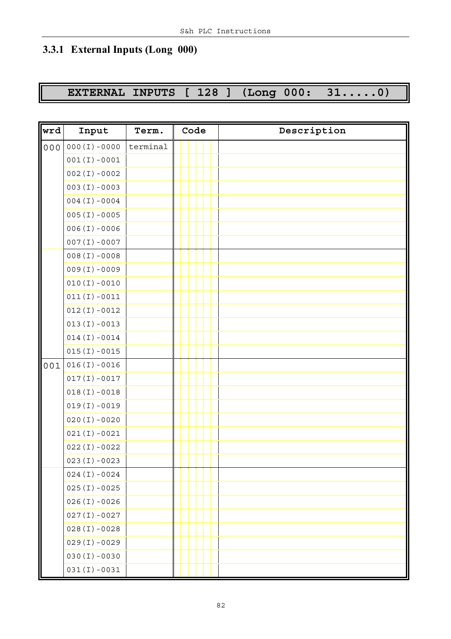### **3.3.1 External Inputs (Long 000)**

# **EXTERNAL INPUTS [ 128 ] (Long 000: 31.....0)**

| wrd | Input            | Term.    | Code | Description |
|-----|------------------|----------|------|-------------|
| 000 | $000(I) - 0000$  | terminal |      |             |
|     | $001(I) - 0001$  |          |      |             |
|     | $002(I) - 0002$  |          |      |             |
|     | $003 (I) - 0003$ |          |      |             |
|     | $004 (I) - 0004$ |          |      |             |
|     | $005(I) - 0005$  |          |      |             |
|     | $006(I) - 0006$  |          |      |             |
|     | $007(I) - 0007$  |          |      |             |
|     | $008(I) - 0008$  |          |      |             |
|     | $009(I) - 0009$  |          |      |             |
|     | $010(I) - 0010$  |          |      |             |
|     | $011(I) - 0011$  |          |      |             |
|     | $012(I) - 0012$  |          |      |             |
|     | $013(I) - 0013$  |          |      |             |
|     | $014(I) - 0014$  |          |      |             |
|     | $015(I) - 0015$  |          |      |             |
| 001 | $016(I) - 0016$  |          |      |             |
|     | $017(I) - 0017$  |          |      |             |
|     | $018(I) - 0018$  |          |      |             |
|     | $019(I) - 0019$  |          |      |             |
|     | $020(I) - 0020$  |          |      |             |
|     | $021(I) - 0021$  |          |      |             |
|     | $022(I) - 0022$  |          |      |             |
|     | $023(I) - 0023$  |          |      |             |
|     | $024(I) - 0024$  |          |      |             |
|     | $025(I) - 0025$  |          |      |             |
|     | $026(I) - 0026$  |          |      |             |
|     | $027(I) - 0027$  |          |      |             |
|     | $028(I) - 0028$  |          |      |             |
|     | $029(I) - 0029$  |          |      |             |
|     | $030(I) - 0030$  |          |      |             |
|     | $031(I) - 0031$  |          |      |             |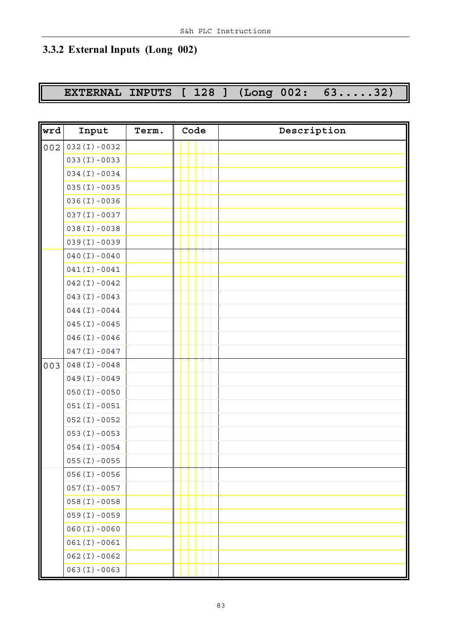### **3.3.2 External Inputs (Long 002)**

### **EXTERNAL INPUTS [ 128 ] (Long 002: 63.....32)**

| wrd | Input             | Term. | Code | Description |
|-----|-------------------|-------|------|-------------|
| 002 | $032(I) - 0032$   |       |      |             |
|     | $033(I) - 0033$   |       |      |             |
|     | $034(I) - 0034$   |       |      |             |
|     | $035(I) - 0035$   |       |      |             |
|     | $036(I) - 0036$   |       |      |             |
|     | $037(I) - 0037$   |       |      |             |
|     | $038(I) - 0038$   |       |      |             |
|     | $039(I) - 0039$   |       |      |             |
|     | $040(I) - 0040$   |       |      |             |
|     | $041(I) - 0041$   |       |      |             |
|     | $042(I) - 0042$   |       |      |             |
|     | $043(I) - 0043$   |       |      |             |
|     | $044 (I) - 0044$  |       |      |             |
|     | $045(I) - 0045$   |       |      |             |
|     | $046(I) - 0046$   |       |      |             |
|     | $047(I) - 0047$   |       |      |             |
| 003 | $048(I) - 0048$   |       |      |             |
|     | $049(I) - 0049$   |       |      |             |
|     | $050(I) - 0050$   |       |      |             |
|     | $051(I) - 0051$   |       |      |             |
|     | $052(I) - 0052$   |       |      |             |
|     | $053 (I) - 0053$  |       |      |             |
|     | $054(I) - 0054$   |       |      |             |
|     | $055(I) - 0055$   |       |      |             |
|     | $056(I) - 0056$   |       |      |             |
|     | $057(I) - 0057$   |       |      |             |
|     | $058(I) - 0058$   |       |      |             |
|     | $059(I) - 0059$   |       |      |             |
|     | $060 (I) - 0060$  |       |      |             |
|     | $061(I) - 0061$   |       |      |             |
|     | $062$ (I) $-0062$ |       |      |             |
|     | $063 (I) - 0063$  |       |      |             |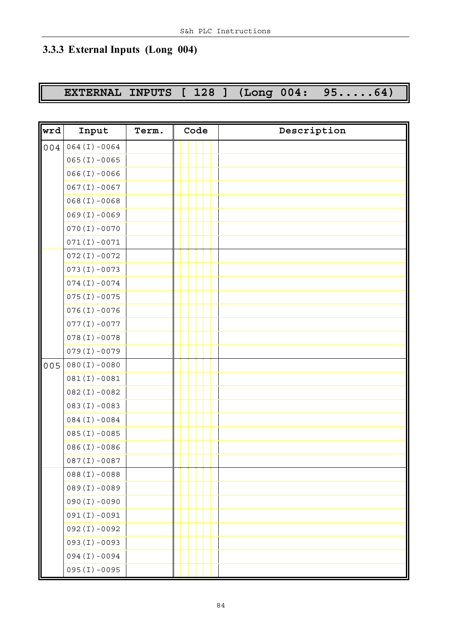### **3.3.3 External Inputs (Long 004)**

### **EXTERNAL INPUTS [ 128 ] (Long 004: 95.....64)**

| wrd | Input            | Term. | Code | Description |
|-----|------------------|-------|------|-------------|
| 004 | $064 (I) - 0064$ |       |      |             |
|     | $065(I) - 0065$  |       |      |             |
|     | $066(I) - 0066$  |       |      |             |
|     | $067(I) - 0067$  |       |      |             |
|     | $068(I) - 0068$  |       |      |             |
|     | $069(I) - 0069$  |       |      |             |
|     | $070(I) - 0070$  |       |      |             |
|     | $071(I) - 0071$  |       |      |             |
|     | $072(I) - 0072$  |       |      |             |
|     | $073(I) - 0073$  |       |      |             |
|     | $074(I) - 0074$  |       |      |             |
|     | $075(I) - 0075$  |       |      |             |
|     | $076(I) - 0076$  |       |      |             |
|     | $077(I) - 0077$  |       |      |             |
|     | $078(I) - 0078$  |       |      |             |
|     | $079(I) - 0079$  |       |      |             |
| 005 | $080(I) - 0080$  |       |      |             |
|     | $081(I) - 0081$  |       |      |             |
|     | $082(I) - 0082$  |       |      |             |
|     | $083(I) - 0083$  |       |      |             |
|     | $084(I) - 0084$  |       |      |             |
|     | $085(I) - 0085$  |       |      |             |
|     | $086(I) - 0086$  |       |      |             |
|     | $087(I) - 0087$  |       |      |             |
|     | $088(I) - 0088$  |       |      |             |
|     | $089(I) - 0089$  |       |      |             |
|     | $090(I) - 0090$  |       |      |             |
|     | $091(I) - 0091$  |       |      |             |
|     | $092(I) - 0092$  |       |      |             |
|     | $093 (I) - 0093$ |       |      |             |
|     | $094 (I) - 0094$ |       |      |             |
|     | $095(I) - 0095$  |       |      |             |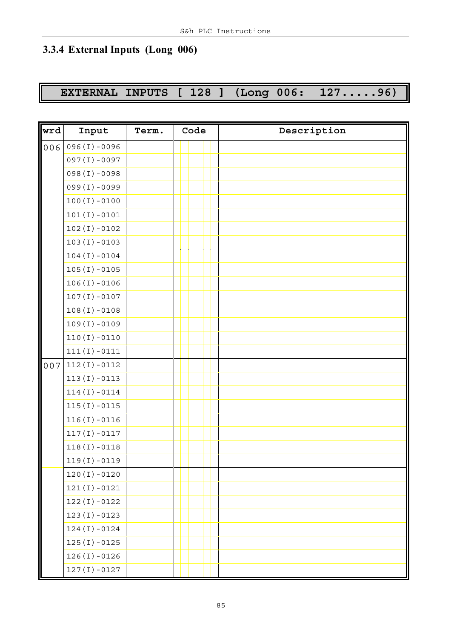### **3.3.4 External Inputs (Long 006)**

### **EXTERNAL INPUTS [ 128 ] (Long 006: 127.....96)**

| wrd | Input           | Term. | Code | Description |
|-----|-----------------|-------|------|-------------|
| 006 | $096(I) - 0096$ |       |      |             |
|     | $097(I) - 0097$ |       |      |             |
|     | 098(I)-0098     |       |      |             |
|     | 099(I)-0099     |       |      |             |
|     | $100(I) - 0100$ |       |      |             |
|     | $101(I) - 0101$ |       |      |             |
|     | $102(I) - 0102$ |       |      |             |
|     | $103(I) - 0103$ |       |      |             |
|     | $104(I) - 0104$ |       |      |             |
|     | $105(I) - 0105$ |       |      |             |
|     | $106(I) - 0106$ |       |      |             |
|     | $107(I) - 0107$ |       |      |             |
|     | $108(I) - 0108$ |       |      |             |
|     | $109(I) - 0109$ |       |      |             |
|     | $110(I) - 0110$ |       |      |             |
|     | $111(I) - 0111$ |       |      |             |
| 007 | $112(I) - 0112$ |       |      |             |
|     | $113(I) - 0113$ |       |      |             |
|     | $114(I) - 0114$ |       |      |             |
|     | $115(I) - 0115$ |       |      |             |
|     | $116(I) - 0116$ |       |      |             |
|     | $117(I) - 0117$ |       |      |             |
|     | $118(I) - 0118$ |       |      |             |
|     | $119(I) - 0119$ |       |      |             |
|     | $120(I) - 0120$ |       |      |             |
|     | $121(I) - 0121$ |       |      |             |
|     | $122(I) - 0122$ |       |      |             |
|     | $123(I) - 0123$ |       |      |             |
|     | $124(I) - 0124$ |       |      |             |
|     | $125(I) - 0125$ |       |      |             |
|     | $126(I) - 0126$ |       |      |             |
|     | $127(I) - 0127$ |       |      |             |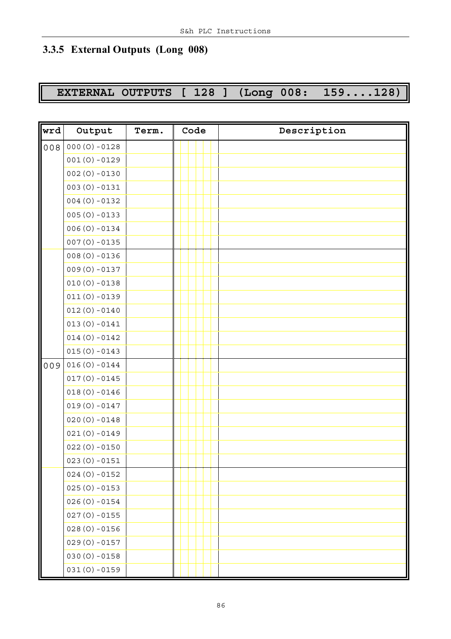# **3.3.5 External Outputs (Long 008)**

# **EXTERNAL OUTPUTS [ 128 ] (Long 008: 159....128)**

| wrd   | Output          | Term. | Code | Description |
|-------|-----------------|-------|------|-------------|
| $008$ | $000(0) - 0128$ |       |      |             |
|       | $001(0) - 0129$ |       |      |             |
|       | $002(0) - 0130$ |       |      |             |
|       | $003(0) - 0131$ |       |      |             |
|       | $004(0) - 0132$ |       |      |             |
|       | $005(0) - 0133$ |       |      |             |
|       | $006(0) - 0134$ |       |      |             |
|       | $007(0) - 0135$ |       |      |             |
|       | $008(0) - 0136$ |       |      |             |
|       | $009(0) - 0137$ |       |      |             |
|       | $010(0) - 0138$ |       |      |             |
|       | $011(0) - 0139$ |       |      |             |
|       | $012(0) - 0140$ |       |      |             |
|       | $013(0) - 0141$ |       |      |             |
|       | $014(0) - 0142$ |       |      |             |
|       | $015(0) - 0143$ |       |      |             |
| 009   | $016(0) - 0144$ |       |      |             |
|       | $017(0) - 0145$ |       |      |             |
|       | $018(0) - 0146$ |       |      |             |
|       | $019(0) - 0147$ |       |      |             |
|       | $020(0) - 0148$ |       |      |             |
|       | $021(0) - 0149$ |       |      |             |
|       | $022(0) - 0150$ |       |      |             |
|       | $023(0) - 0151$ |       |      |             |
|       | $024(0) - 0152$ |       |      |             |
|       | $025(0) - 0153$ |       |      |             |
|       | $026(0) - 0154$ |       |      |             |
|       | $027(0) - 0155$ |       |      |             |
|       | $028(0) - 0156$ |       |      |             |
|       | $029(0) - 0157$ |       |      |             |
|       | $030(0) - 0158$ |       |      |             |
|       | $031(0) - 0159$ |       |      |             |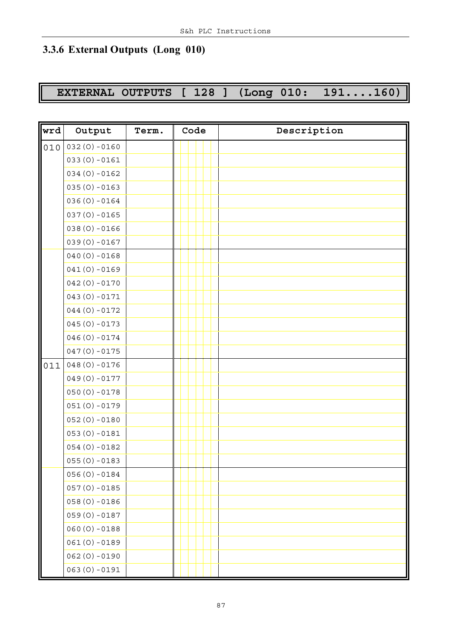### **3.3.6 External Outputs (Long 010)**

# **EXTERNAL OUTPUTS [ 128 ] (Long 010: 191....160)**

| wrd | Output          | Term. | Code | Description |
|-----|-----------------|-------|------|-------------|
| 010 | $032(0) - 0160$ |       |      |             |
|     | $033(0) - 0161$ |       |      |             |
|     | $034(0) - 0162$ |       |      |             |
|     | $035(0) - 0163$ |       |      |             |
|     | $036(0) - 0164$ |       |      |             |
|     | $037(0) - 0165$ |       |      |             |
|     | $038(0) - 0166$ |       |      |             |
|     | $039(0) - 0167$ |       |      |             |
|     | $040(0) - 0168$ |       |      |             |
|     | $041(0) - 0169$ |       |      |             |
|     | $042(0) - 0170$ |       |      |             |
|     | $043(0) - 0171$ |       |      |             |
|     | $044(0) - 0172$ |       |      |             |
|     | $045(0) - 0173$ |       |      |             |
|     | $046(0) - 0174$ |       |      |             |
|     | $047(0) - 0175$ |       |      |             |
| 011 | $048(0) - 0176$ |       |      |             |
|     | $049(0) - 0177$ |       |      |             |
|     | $050(0) - 0178$ |       |      |             |
|     | $051(0) - 0179$ |       |      |             |
|     | $052(0) - 0180$ |       |      |             |
|     | $053(0) - 0181$ |       |      |             |
|     | $054(0) - 0182$ |       |      |             |
|     | $055(0) - 0183$ |       |      |             |
|     | $056(0) - 0184$ |       |      |             |
|     | $057(0) - 0185$ |       |      |             |
|     | $058(0) - 0186$ |       |      |             |
|     | $059(0) - 0187$ |       |      |             |
|     | $060(0) - 0188$ |       |      |             |
|     | $061(0) - 0189$ |       |      |             |
|     | $062(0) - 0190$ |       |      |             |
|     | $063(0) - 0191$ |       |      |             |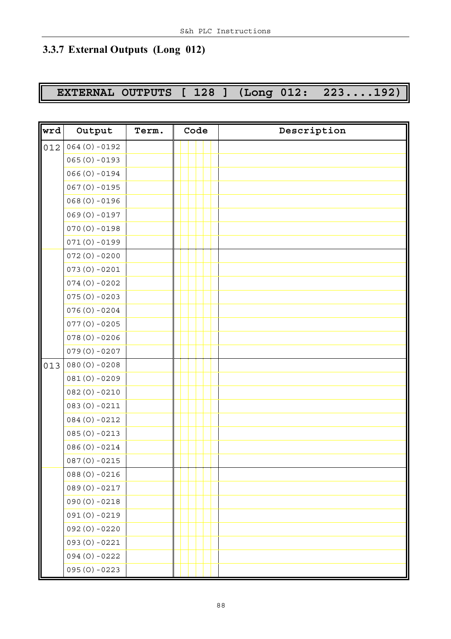# **3.3.7 External Outputs (Long 012)**

# **EXTERNAL OUTPUTS [ 128 ] (Long 012: 223....192)**

| wrd | Output          | Term. | Code | Description |
|-----|-----------------|-------|------|-------------|
| 012 | $064(0) - 0192$ |       |      |             |
|     | $065(0) - 0193$ |       |      |             |
|     | $066(0) - 0194$ |       |      |             |
|     | $067(0) - 0195$ |       |      |             |
|     | $068(0) - 0196$ |       |      |             |
|     | $069(0) - 0197$ |       |      |             |
|     | $070(0) - 0198$ |       |      |             |
|     | $071(0) - 0199$ |       |      |             |
|     | $072(0) - 0200$ |       |      |             |
|     | $073(0) - 0201$ |       |      |             |
|     | $074(0) - 0202$ |       |      |             |
|     | $075(0) - 0203$ |       |      |             |
|     | $076(0) - 0204$ |       |      |             |
|     | $077(0) - 0205$ |       |      |             |
|     | $078(0) - 0206$ |       |      |             |
|     | $079(0) - 0207$ |       |      |             |
| 013 | $080(0) - 0208$ |       |      |             |
|     | $081(0) - 0209$ |       |      |             |
|     | $082(0) - 0210$ |       |      |             |
|     | $083(0) - 0211$ |       |      |             |
|     | $084(0) - 0212$ |       |      |             |
|     | $085(0) - 0213$ |       |      |             |
|     | $086(0) - 0214$ |       |      |             |
|     | $087(0) - 0215$ |       |      |             |
|     | $088(0) - 0216$ |       |      |             |
|     | $089(0) - 0217$ |       |      |             |
|     | $090(0) - 0218$ |       |      |             |
|     | $091(0) - 0219$ |       |      |             |
|     | 092 (0) -0220   |       |      |             |
|     | $093(0) - 0221$ |       |      |             |
|     | $094(0) - 0222$ |       |      |             |
|     | $095(0) - 0223$ |       |      |             |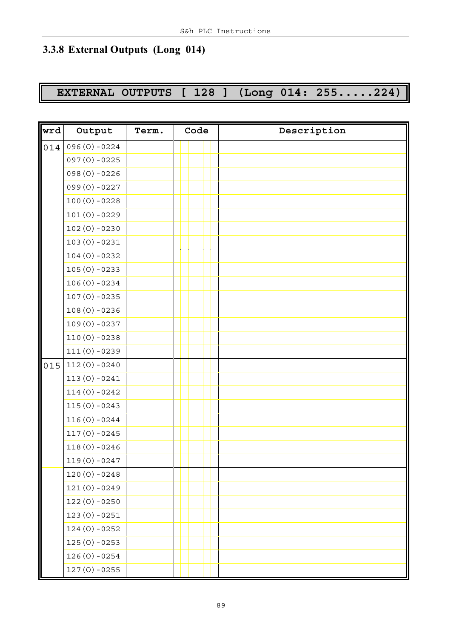### **3.3.8 External Outputs (Long 014)**

# **EXTERNAL OUTPUTS [ 128 ] (Long 014: 255.....224)**

| wrd | Output          | Term. | Code | Description |
|-----|-----------------|-------|------|-------------|
| 014 | $096(0) - 0224$ |       |      |             |
|     | $097(0) - 0225$ |       |      |             |
|     | 098 (0) -0226   |       |      |             |
|     | 099 (0) -0227   |       |      |             |
|     | $100(0) - 0228$ |       |      |             |
|     | $101(0) - 0229$ |       |      |             |
|     | $102(0) - 0230$ |       |      |             |
|     | $103(0) - 0231$ |       |      |             |
|     | $104(0) - 0232$ |       |      |             |
|     | $105(0) - 0233$ |       |      |             |
|     | $106(0) - 0234$ |       |      |             |
|     | $107(0) - 0235$ |       |      |             |
|     | $108(0) - 0236$ |       |      |             |
|     | $109(0) - 0237$ |       |      |             |
|     | $110(0) - 0238$ |       |      |             |
|     | $111(0) - 0239$ |       |      |             |
| 015 | $112(0) - 0240$ |       |      |             |
|     | $113(0) - 0241$ |       |      |             |
|     | $114(0) - 0242$ |       |      |             |
|     | $115(0) - 0243$ |       |      |             |
|     | $116(0) - 0244$ |       |      |             |
|     | $117(0) - 0245$ |       |      |             |
|     | $118(0) - 0246$ |       |      |             |
|     | $119(0) - 0247$ |       |      |             |
|     | $120(0) - 0248$ |       |      |             |
|     | $121(0) - 0249$ |       |      |             |
|     | $122(0) - 0250$ |       |      |             |
|     | $123(0) - 0251$ |       |      |             |
|     | $124(0) - 0252$ |       |      |             |
|     | $125(0) - 0253$ |       |      |             |
|     | $126(0) - 0254$ |       |      |             |
|     | $127(0) - 0255$ |       |      |             |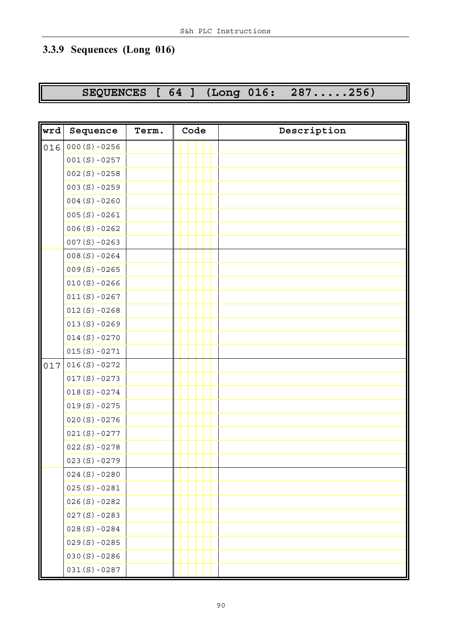# **3.3.9 Sequences (Long 016)**

# **SEQUENCES [ 64 ] (Long 016: 287.....256)**

| wrd | Sequence        | Term. | Code | Description |
|-----|-----------------|-------|------|-------------|
| 016 | $000(S) - 0256$ |       |      |             |
|     | $001(S) - 0257$ |       |      |             |
|     | $002(S) - 0258$ |       |      |             |
|     | $003(S) - 0259$ |       |      |             |
|     | $004(S) - 0260$ |       |      |             |
|     | $005(S) - 0261$ |       |      |             |
|     | $006(S) - 0262$ |       |      |             |
|     | $007(S) - 0263$ |       |      |             |
|     | $008(S) - 0264$ |       |      |             |
|     | $009(S) - 0265$ |       |      |             |
|     | $010(S) - 0266$ |       |      |             |
|     | $011(S) - 0267$ |       |      |             |
|     | $012(S) - 0268$ |       |      |             |
|     | $013(S) - 0269$ |       |      |             |
|     | $014(S) - 0270$ |       |      |             |
|     | $015(S) - 0271$ |       |      |             |
| 017 | $016(S) - 0272$ |       |      |             |
|     | $017(S) - 0273$ |       |      |             |
|     | $018(S) - 0274$ |       |      |             |
|     | $019(S) - 0275$ |       |      |             |
|     | $020(S) - 0276$ |       |      |             |
|     | $021(S) - 0277$ |       |      |             |
|     | $022(S) - 0278$ |       |      |             |
|     | $023(S)-0279$   |       |      |             |
|     | $024(S) - 0280$ |       |      |             |
|     | $025(S) - 0281$ |       |      |             |
|     | $026(S) - 0282$ |       |      |             |
|     | $027(S) - 0283$ |       |      |             |
|     | $028(S) - 0284$ |       |      |             |
|     | $029(S) - 0285$ |       |      |             |
|     | $030(S) - 0286$ |       |      |             |
|     | $031(S) - 0287$ |       |      |             |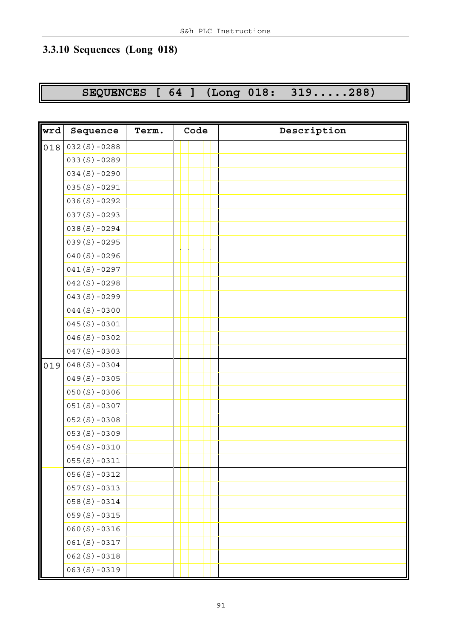### **3.3.10 Sequences (Long 018)**

# **SEQUENCES [ 64 ] (Long 018: 319.....288)**

| wrd | Sequence        | Term. | Code | Description |
|-----|-----------------|-------|------|-------------|
| 018 | $032(S) - 0288$ |       |      |             |
|     | $033(S) - 0289$ |       |      |             |
|     | $034(S) - 0290$ |       |      |             |
|     | $035(S) - 0291$ |       |      |             |
|     | $036(S) - 0292$ |       |      |             |
|     | $037(S) - 0293$ |       |      |             |
|     | $038(S) - 0294$ |       |      |             |
|     | $039(S) - 0295$ |       |      |             |
|     | $040(S) - 0296$ |       |      |             |
|     | $041(S) - 0297$ |       |      |             |
|     | $042(S) - 0298$ |       |      |             |
|     | $043(S) - 0299$ |       |      |             |
|     | $044(S) - 0300$ |       |      |             |
|     | $045(S) - 0301$ |       |      |             |
|     | $046(S) - 0302$ |       |      |             |
|     | $047(S) - 0303$ |       |      |             |
| 019 | $048(S) - 0304$ |       |      |             |
|     | $049(S) - 0305$ |       |      |             |
|     | $050(S) - 0306$ |       |      |             |
|     | $051(S) - 0307$ |       |      |             |
|     | $052(S) - 0308$ |       |      |             |
|     | $053(S) - 0309$ |       |      |             |
|     | $054(S) - 0310$ |       |      |             |
|     | $055(S) - 0311$ |       |      |             |
|     | $056(S) - 0312$ |       |      |             |
|     | $057(S) - 0313$ |       |      |             |
|     | $058(S) - 0314$ |       |      |             |
|     | $059(S) - 0315$ |       |      |             |
|     | $060(S) - 0316$ |       |      |             |
|     | $061(S) - 0317$ |       |      |             |
|     | $062(S) - 0318$ |       |      |             |
|     | $063(S) - 0319$ |       |      |             |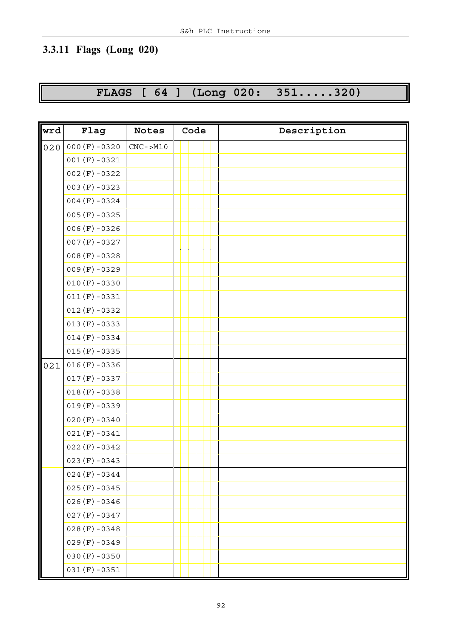# **3.3.11 Flags (Long 020)**

**FLAGS [ 64 ] (Long 020: 351.....320)**

| wrd | Flag            | <b>Notes</b> | Code | Description |
|-----|-----------------|--------------|------|-------------|
| 020 | $000(F) - 0320$ | $CNC$ ->M10  |      |             |
|     | $001(F) - 0321$ |              |      |             |
|     | $002(F) - 0322$ |              |      |             |
|     | $003(F) - 0323$ |              |      |             |
|     | $004(F) - 0324$ |              |      |             |
|     | $005(F) - 0325$ |              |      |             |
|     | $006(F) - 0326$ |              |      |             |
|     | $007(F) - 0327$ |              |      |             |
|     | $008(F) - 0328$ |              |      |             |
|     | $009(F) - 0329$ |              |      |             |
|     | $010(F) - 0330$ |              |      |             |
|     | $011(F) - 0331$ |              |      |             |
|     | $012(F) - 0332$ |              |      |             |
|     | $013(F) - 0333$ |              |      |             |
|     | $014(F) - 0334$ |              |      |             |
|     | $015(F) - 0335$ |              |      |             |
| 021 | $016(F) - 0336$ |              |      |             |
|     | $017(F) - 0337$ |              |      |             |
|     | $018(F) - 0338$ |              |      |             |
|     | $019(F) - 0339$ |              |      |             |
|     | $020(F) - 0340$ |              |      |             |
|     | $021(F) - 0341$ |              |      |             |
|     | $022(F) - 0342$ |              |      |             |
|     | $023(F) - 0343$ |              |      |             |
|     | $024(F) - 0344$ |              |      |             |
|     | $025(F) - 0345$ |              |      |             |
|     | $026(F) - 0346$ |              |      |             |
|     | $027(F) - 0347$ |              |      |             |
|     | $028(F) - 0348$ |              |      |             |
|     | $029(F) - 0349$ |              |      |             |
|     | $030(F) - 0350$ |              |      |             |
|     | $031(F) - 0351$ |              |      |             |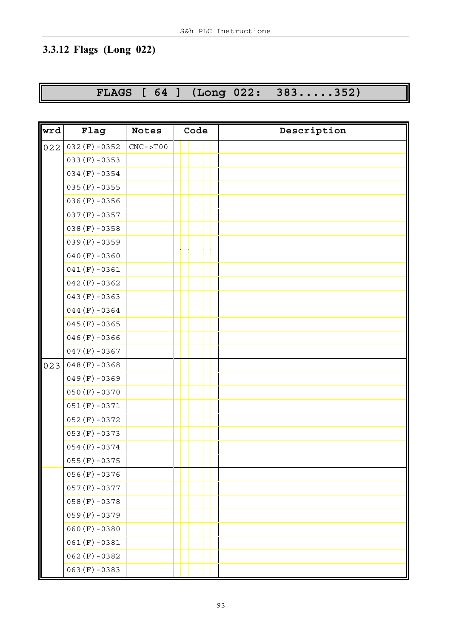# **3.3.12 Flags (Long 022)**

**FLAGS [ 64 ] (Long 022: 383.....352)**

| wrd | Flag            | <b>Notes</b> | Code | Description |
|-----|-----------------|--------------|------|-------------|
| 022 | $032(F) - 0352$ | $CNC->TOO$   |      |             |
|     | $033(F) - 0353$ |              |      |             |
|     | $034(F) - 0354$ |              |      |             |
|     | $035(F) - 0355$ |              |      |             |
|     | $036(F) - 0356$ |              |      |             |
|     | $037(F) - 0357$ |              |      |             |
|     | $038(F) - 0358$ |              |      |             |
|     | $039(F) - 0359$ |              |      |             |
|     | $040(F) - 0360$ |              |      |             |
|     | $041(F) - 0361$ |              |      |             |
|     | $042(F) - 0362$ |              |      |             |
|     | $043(F) - 0363$ |              |      |             |
|     | $044(F) - 0364$ |              |      |             |
|     | $045(F) - 0365$ |              |      |             |
|     | $046(F) - 0366$ |              |      |             |
|     | $047(F) - 0367$ |              |      |             |
| 023 | $048(F) - 0368$ |              |      |             |
|     | $049(F) - 0369$ |              |      |             |
|     | $050(F) - 0370$ |              |      |             |
|     | $051(F) - 0371$ |              |      |             |
|     | $052(F) - 0372$ |              |      |             |
|     | $053(F) - 0373$ |              |      |             |
|     | $054(F) - 0374$ |              |      |             |
|     | $055(F) - 0375$ |              |      |             |
|     | $056(F) - 0376$ |              |      |             |
|     | $057(F) - 0377$ |              |      |             |
|     | $058(F) - 0378$ |              |      |             |
|     | $059(F) - 0379$ |              |      |             |
|     | $060(F) - 0380$ |              |      |             |
|     | $061(F) - 0381$ |              |      |             |
|     | $062(F) - 0382$ |              |      |             |
|     | $063(F) - 0383$ |              |      |             |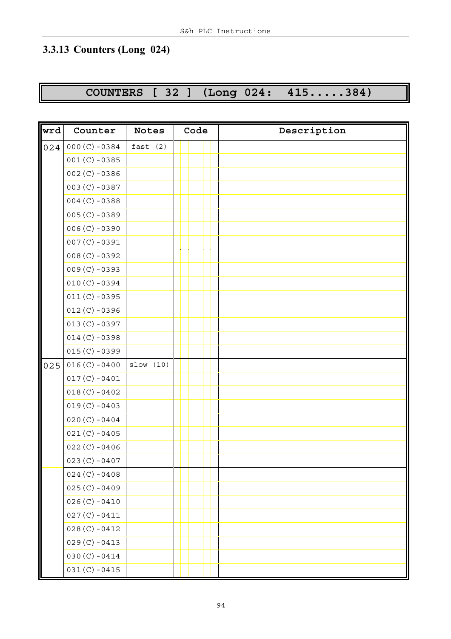# **3.3.13 Counters (Long 024)**

# **COUNTERS [ 32 ] (Long 024: 415.....384)**

| wrd | Counter          | <b>Notes</b> | Code | Description |
|-----|------------------|--------------|------|-------------|
| 024 | $000(C) - 0384$  | fast $(2)$   |      |             |
|     | $001(C) - 0385$  |              |      |             |
|     | $002 (C) - 0386$ |              |      |             |
|     | $003 (C) - 0387$ |              |      |             |
|     | $004 (C) - 0388$ |              |      |             |
|     | $005(C) - 0389$  |              |      |             |
|     | $006(C) - 0390$  |              |      |             |
|     | $007(C) - 0391$  |              |      |             |
|     | $008(C) - 0392$  |              |      |             |
|     | $009(C) - 0393$  |              |      |             |
|     | $010(C) - 0394$  |              |      |             |
|     | $011(C) - 0395$  |              |      |             |
|     | $012 (C) - 0396$ |              |      |             |
|     | $013 (C) - 0397$ |              |      |             |
|     | $014 (C) - 0398$ |              |      |             |
|     | $015(C) - 0399$  |              |      |             |
| 025 | $016(C) - 0400$  | slow(10)     |      |             |
|     | $017(C) - 0401$  |              |      |             |
|     | $018(C) - 0402$  |              |      |             |
|     | $019(C) - 0403$  |              |      |             |
|     | $020 (C) - 0404$ |              |      |             |
|     | $021(C) - 0405$  |              |      |             |
|     | $022 (C) - 0406$ |              |      |             |
|     | $023 (C) - 0407$ |              |      |             |
|     | $024 (C) - 0408$ |              |      |             |
|     | $025(C) - 0409$  |              |      |             |
|     | $026(C) - 0410$  |              |      |             |
|     | $027(C) - 0411$  |              |      |             |
|     | $028(C) - 0412$  |              |      |             |
|     | $029(C) - 0413$  |              |      |             |
|     | $030(C) - 0414$  |              |      |             |
|     | $031(C) - 0415$  |              |      |             |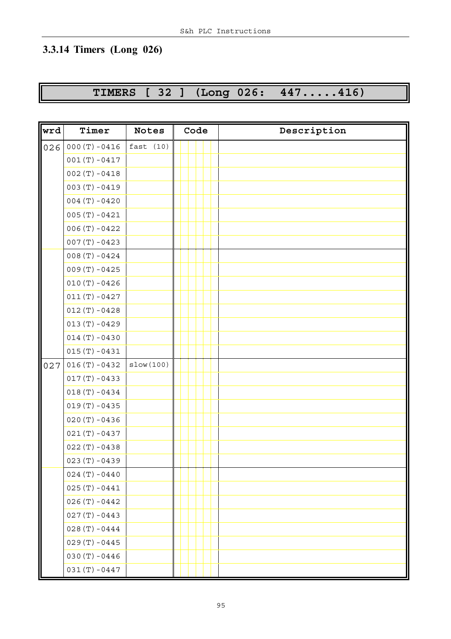# **3.3.14 Timers (Long 026)**

# **TIMERS [ 32 ] (Long 026: 447.....416)**

| wrd | Timer           | <b>Notes</b> | Code | Description |
|-----|-----------------|--------------|------|-------------|
| 026 | $000(T) - 0416$ | fast(10)     |      |             |
|     | $001(T) - 0417$ |              |      |             |
|     | $002(T) - 0418$ |              |      |             |
|     | $003(T) - 0419$ |              |      |             |
|     | $004(T) - 0420$ |              |      |             |
|     | $005(T) - 0421$ |              |      |             |
|     | $006(T) - 0422$ |              |      |             |
|     | $007(T) - 0423$ |              |      |             |
|     | $008(T) - 0424$ |              |      |             |
|     | $009(T) - 0425$ |              |      |             |
|     | $010(T) - 0426$ |              |      |             |
|     | $011(T) - 0427$ |              |      |             |
|     | $012(T) - 0428$ |              |      |             |
|     | $013(T) - 0429$ |              |      |             |
|     | $014(T) - 0430$ |              |      |             |
|     | $015(T) - 0431$ |              |      |             |
| 027 | $016(T) - 0432$ | slow(100)    |      |             |
|     | $017(T) - 0433$ |              |      |             |
|     | $018(T) - 0434$ |              |      |             |
|     | $019(T) - 0435$ |              |      |             |
|     | $020(T) - 0436$ |              |      |             |
|     | $021(T) - 0437$ |              |      |             |
|     | $022(T) - 0438$ |              |      |             |
|     | $023(T) - 0439$ |              |      |             |
|     | $024(T) - 0440$ |              |      |             |
|     | $025(T) - 0441$ |              |      |             |
|     | $026(T) - 0442$ |              |      |             |
|     | $027(T) - 0443$ |              |      |             |
|     | $028(T) - 0444$ |              |      |             |
|     | $029(T) - 0445$ |              |      |             |
|     | $030(T) - 0446$ |              |      |             |
|     | $031(T) - 0447$ |              |      |             |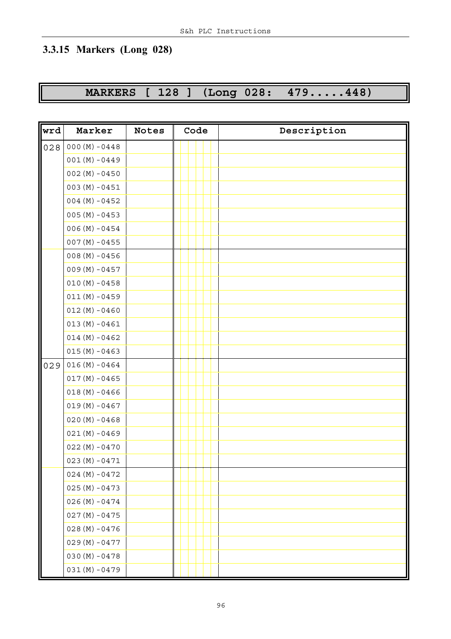# **3.3.15 Markers (Long 028)**

# **MARKERS [ 128 ] (Long 028: 479.....448)**

| wrd | Marker           | Notes | Code | Description |
|-----|------------------|-------|------|-------------|
| 028 | $000 (M) - 0448$ |       |      |             |
|     | $001(M)-0449$    |       |      |             |
|     | $002(M) - 0450$  |       |      |             |
|     | $003(M) - 0451$  |       |      |             |
|     | $004 (M) - 0452$ |       |      |             |
|     | $005 (M) - 0453$ |       |      |             |
|     | $006 (M) - 0454$ |       |      |             |
|     | $007 (M) - 0455$ |       |      |             |
|     | $008 (M) - 0456$ |       |      |             |
|     | $009(M)-0457$    |       |      |             |
|     | $010 (M) - 0458$ |       |      |             |
|     | $011(M) - 0459$  |       |      |             |
|     | $012(M) - 0460$  |       |      |             |
|     | $013(M) - 0461$  |       |      |             |
|     | $014 (M) - 0462$ |       |      |             |
|     | $015(M) - 0463$  |       |      |             |
| 029 | $016(M) - 0464$  |       |      |             |
|     | $017 (M) - 0465$ |       |      |             |
|     | $018(M) - 0466$  |       |      |             |
|     | $019(M) - 0467$  |       |      |             |
|     | $020 (M) - 0468$ |       |      |             |
|     | $021(M) - 0469$  |       |      |             |
|     | $022(M) - 0470$  |       |      |             |
|     | $023(M) - 0471$  |       |      |             |
|     | $024 (M) - 0472$ |       |      |             |
|     | $025(M) - 0473$  |       |      |             |
|     | $026(M) - 0474$  |       |      |             |
|     | $027 (M) - 0475$ |       |      |             |
|     | $028(M) - 0476$  |       |      |             |
|     | $029(M)-0477$    |       |      |             |
|     | $030 (M) - 0478$ |       |      |             |
|     | $031(M)-0479$    |       |      |             |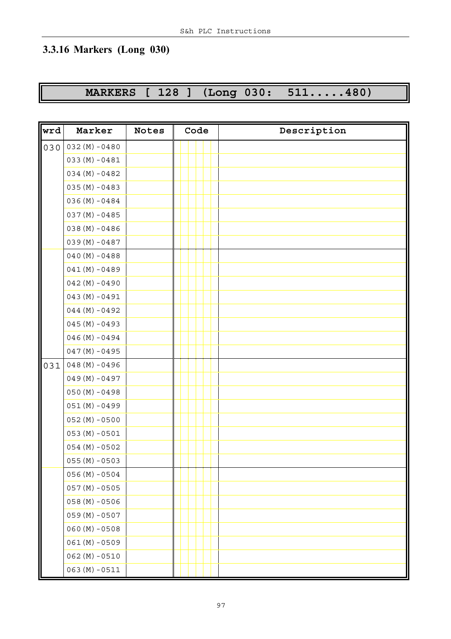# **3.3.16 Markers (Long 030)**

# **MARKERS [ 128 ] (Long 030: 511.....480)**

| wrd | Marker           | <b>Notes</b> | Code | Description |
|-----|------------------|--------------|------|-------------|
| 030 | $032(M) - 0480$  |              |      |             |
|     | $033 (M) - 0481$ |              |      |             |
|     | $034 (M) - 0482$ |              |      |             |
|     | $035(M) - 0483$  |              |      |             |
|     | $036(M) - 0484$  |              |      |             |
|     | $037 (M) - 0485$ |              |      |             |
|     | $038(M) - 0486$  |              |      |             |
|     | $039(M) - 0487$  |              |      |             |
|     | $040 (M) - 0488$ |              |      |             |
|     | $041(M) - 0489$  |              |      |             |
|     | $042(M) - 0490$  |              |      |             |
|     | $043(M) - 0491$  |              |      |             |
|     | $044 (M) - 0492$ |              |      |             |
|     | $045(M) - 0493$  |              |      |             |
|     | $046(M) - 0494$  |              |      |             |
|     | $047 (M) - 0495$ |              |      |             |
| 031 | $048(M) - 0496$  |              |      |             |
|     | $049(M) - 0497$  |              |      |             |
|     | $050 (M) - 0498$ |              |      |             |
|     | $051(M) - 0499$  |              |      |             |
|     | $052(M) - 0500$  |              |      |             |
|     | $053(M) - 0501$  |              |      |             |
|     | $054 (M) - 0502$ |              |      |             |
|     | $055 (M) - 0503$ |              |      |             |
|     | $056 (M) - 0504$ |              |      |             |
|     | $057 (M) - 0505$ |              |      |             |
|     | $058(M) - 0506$  |              |      |             |
|     | $059(M) - 0507$  |              |      |             |
|     | $060 (M) - 0508$ |              |      |             |
|     | $061(M) - 0509$  |              |      |             |
|     | $062(M) - 0510$  |              |      |             |
|     | $063(M) - 0511$  |              |      |             |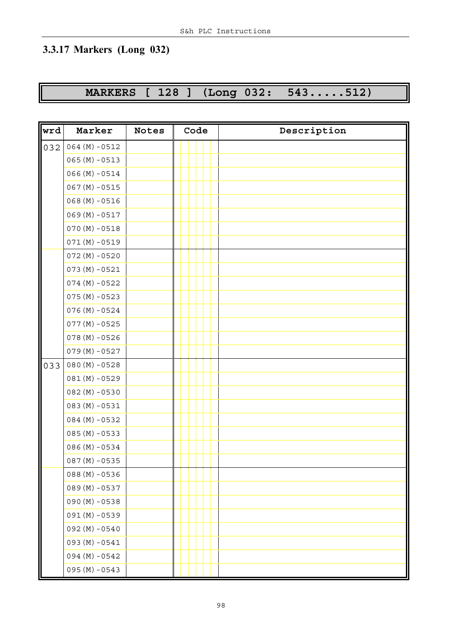# **3.3.17 Markers (Long 032)**

# **MARKERS [ 128 ] (Long 032: 543.....512)**

| wrd | Marker           | Notes | Code | Description |
|-----|------------------|-------|------|-------------|
| 032 | $064 (M) - 0512$ |       |      |             |
|     | $065 (M) - 0513$ |       |      |             |
|     | $066(M) - 0514$  |       |      |             |
|     | $067 (M) - 0515$ |       |      |             |
|     | $068(M) - 0516$  |       |      |             |
|     | $069(M) - 0517$  |       |      |             |
|     | $070 (M) - 0518$ |       |      |             |
|     | $071(M)-0519$    |       |      |             |
|     | $072(M) - 0520$  |       |      |             |
|     | $073(M) - 0521$  |       |      |             |
|     | $074 (M) - 0522$ |       |      |             |
|     | $075(M) - 0523$  |       |      |             |
|     | $076(M) - 0524$  |       |      |             |
|     | $077(M) - 0525$  |       |      |             |
|     | $078(M) - 0526$  |       |      |             |
|     | $079(M) - 0527$  |       |      |             |
| 033 | $080 (M) - 0528$ |       |      |             |
|     | $081(M) - 0529$  |       |      |             |
|     | $082(M) - 0530$  |       |      |             |
|     | $083(M) - 0531$  |       |      |             |
|     | $084 (M) - 0532$ |       |      |             |
|     | $085(M) - 0533$  |       |      |             |
|     | $086(M) - 0534$  |       |      |             |
|     | $087 (M) - 0535$ |       |      |             |
|     | $088(M) - 0536$  |       |      |             |
|     | $089 (M) - 0537$ |       |      |             |
|     | $090 (M) - 0538$ |       |      |             |
|     | $091(M) - 0539$  |       |      |             |
|     | $092 (M) - 0540$ |       |      |             |
|     | $093 (M) - 0541$ |       |      |             |
|     | $094 (M) - 0542$ |       |      |             |
|     | $095 (M) - 0543$ |       |      |             |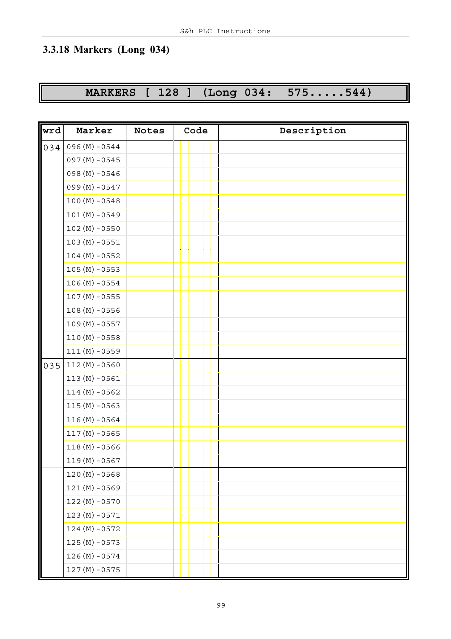# **3.3.18 Markers (Long 034)**

# **MARKERS [ 128 ] (Long 034: 575.....544)**

| wrd | Marker           | <b>Notes</b> | Code | Description |
|-----|------------------|--------------|------|-------------|
| 034 | $096(M) - 0544$  |              |      |             |
|     | $097 (M) - 0545$ |              |      |             |
|     | $098(M) - 0546$  |              |      |             |
|     | $099 (M) - 0547$ |              |      |             |
|     | $100 (M) - 0548$ |              |      |             |
|     | $101(M)-0549$    |              |      |             |
|     | $102 (M) - 0550$ |              |      |             |
|     | $103(M) - 0551$  |              |      |             |
|     | $104 (M) - 0552$ |              |      |             |
|     | $105 (M) - 0553$ |              |      |             |
|     | $106 (M) - 0554$ |              |      |             |
|     | $107 (M) - 0555$ |              |      |             |
|     | $108(M) - 0556$  |              |      |             |
|     | $109(M) - 0557$  |              |      |             |
|     | $110(M)-0558$    |              |      |             |
|     | $111(M)-0559$    |              |      |             |
| 035 | $112(M) - 0560$  |              |      |             |
|     | $113(M) - 0561$  |              |      |             |
|     | $114(M) - 0562$  |              |      |             |
|     | $115(M) - 0563$  |              |      |             |
|     | $116(M) - 0564$  |              |      |             |
|     | $117(M) - 0565$  |              |      |             |
|     | $118(M) - 0566$  |              |      |             |
|     | $119(M)-0567$    |              |      |             |
|     | $120 (M) - 0568$ |              |      |             |
|     | $121(M)-0569$    |              |      |             |
|     | $122(M) - 0570$  |              |      |             |
|     | $123(M) - 0571$  |              |      |             |
|     | $124 (M) - 0572$ |              |      |             |
|     | $125(M) - 0573$  |              |      |             |
|     | $126(M) - 0574$  |              |      |             |
|     | $127(M) - 0575$  |              |      |             |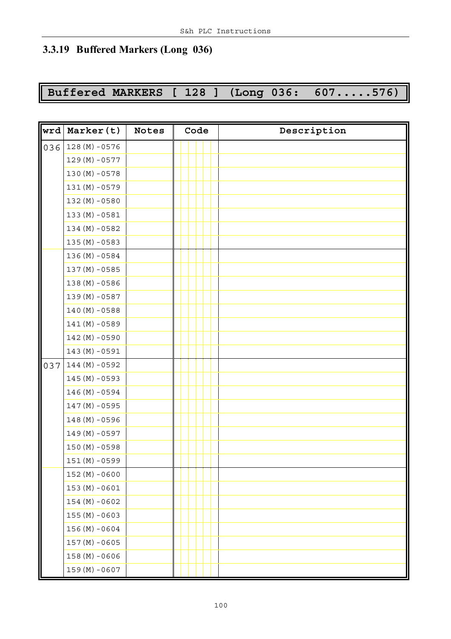#### **3.3.19 Buffered Markers (Long 036)**

# **Buffered MARKERS [ 128 ] (Long 036: 607.....576)**

| wrd | Marker(t)        | <b>Notes</b> | Code | Description |
|-----|------------------|--------------|------|-------------|
| 036 | $128(M) - 0576$  |              |      |             |
|     | $129(M)-0577$    |              |      |             |
|     | $130 (M) - 0578$ |              |      |             |
|     | $131(M)-0579$    |              |      |             |
|     | $132(M) - 0580$  |              |      |             |
|     | $133(M) - 0581$  |              |      |             |
|     | $134(M) - 0582$  |              |      |             |
|     | $135(M) - 0583$  |              |      |             |
|     | 136 (M) - 0584   |              |      |             |
|     | $137(M) - 0585$  |              |      |             |
|     | $138(M) - 0586$  |              |      |             |
|     | 139 (M) - 0587   |              |      |             |
|     | $140 (M) - 0588$ |              |      |             |
|     | $141(M) - 0589$  |              |      |             |
|     | $142(M) - 0590$  |              |      |             |
|     | $143(M) - 0591$  |              |      |             |
| 037 | $144 (M) - 0592$ |              |      |             |
|     | $145(M) - 0593$  |              |      |             |
|     | $146(M) - 0594$  |              |      |             |
|     | $147(M) - 0595$  |              |      |             |
|     | $148(M) - 0596$  |              |      |             |
|     | 149 (M) - 0597   |              |      |             |
|     | $150 (M) - 0598$ |              |      |             |
|     | $151(M)-0599$    |              |      |             |
|     | $152(M) - 0600$  |              |      |             |
|     | $153(M) - 0601$  |              |      |             |
|     | $154 (M) - 0602$ |              |      |             |
|     | $155(M) - 0603$  |              |      |             |
|     | $156(M) - 0604$  |              |      |             |
|     | $157 (M) - 0605$ |              |      |             |
|     | $158(M) - 0606$  |              |      |             |
|     | $159(M) - 0607$  |              |      |             |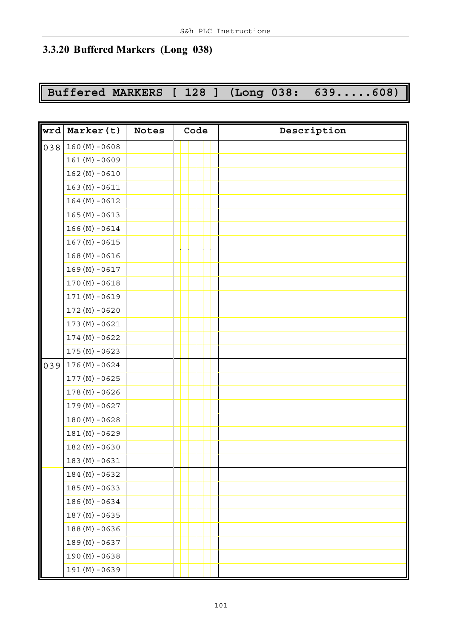#### **3.3.20 Buffered Markers (Long 038)**

# **Buffered MARKERS [ 128 ] (Long 038: 639.....608)**

| wrd | Marker(t)        | <b>Notes</b> | Code | Description |
|-----|------------------|--------------|------|-------------|
| 038 | $160 (M) - 0608$ |              |      |             |
|     | $161(M) - 0609$  |              |      |             |
|     | $162(M) - 0610$  |              |      |             |
|     | $163(M) - 0611$  |              |      |             |
|     | $164 (M) - 0612$ |              |      |             |
|     | $165 (M) - 0613$ |              |      |             |
|     | $166(M) - 0614$  |              |      |             |
|     | $167 (M) - 0615$ |              |      |             |
|     | $168(M) - 0616$  |              |      |             |
|     | $169(M) - 0617$  |              |      |             |
|     | $170(M) - 0618$  |              |      |             |
|     | $171(M)-0619$    |              |      |             |
|     | $172(M) - 0620$  |              |      |             |
|     | $173(M) - 0621$  |              |      |             |
|     | $174(M) - 0622$  |              |      |             |
|     | $175(M) - 0623$  |              |      |             |
| 039 | $176(M) - 0624$  |              |      |             |
|     | $177(M) - 0625$  |              |      |             |
|     | $178(M) - 0626$  |              |      |             |
|     | $179(M) - 0627$  |              |      |             |
|     | $180 (M) - 0628$ |              |      |             |
|     | $181(M) - 0629$  |              |      |             |
|     | $182(M) - 0630$  |              |      |             |
|     | $183(M) - 0631$  |              |      |             |
|     | $184 (M) - 0632$ |              |      |             |
|     | $185(M) - 0633$  |              |      |             |
|     | 186 (M) - 0634   |              |      |             |
|     | $187(M) - 0635$  |              |      |             |
|     | 188 (M) -0636    |              |      |             |
|     | 189 (M) - 0637   |              |      |             |
|     | $190 (M) - 0638$ |              |      |             |
|     | 191 (M) - 0639   |              |      |             |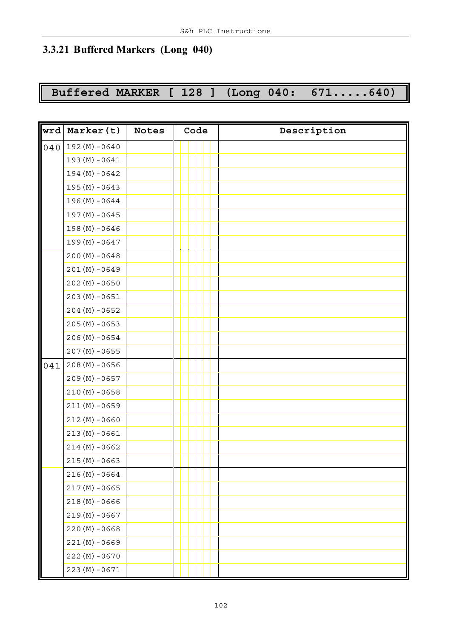#### **3.3.21 Buffered Markers (Long 040)**

# **Buffered MARKER [ 128 ] (Long 040: 671.....640)**

| wrd | Marker(t)        | <b>Notes</b> | Code | Description |
|-----|------------------|--------------|------|-------------|
| 040 | $192(M) - 0640$  |              |      |             |
|     | $193(M) - 0641$  |              |      |             |
|     | $194 (M) - 0642$ |              |      |             |
|     | $195(M) - 0643$  |              |      |             |
|     | 196 (M) - 0644   |              |      |             |
|     | 197 (M) - 0645   |              |      |             |
|     | $198(M) - 0646$  |              |      |             |
|     | 199 (M) - 0647   |              |      |             |
|     | $200 (M) - 0648$ |              |      |             |
|     | $201(M) - 0649$  |              |      |             |
|     | $202(M) - 0650$  |              |      |             |
|     | $203(M) - 0651$  |              |      |             |
|     | $204 (M) - 0652$ |              |      |             |
|     | $205(M) - 0653$  |              |      |             |
|     | $206(M) - 0654$  |              |      |             |
|     | $207 (M) - 0655$ |              |      |             |
| 041 | $208(M) - 0656$  |              |      |             |
|     | $209(M) - 0657$  |              |      |             |
|     | $210(M) - 0658$  |              |      |             |
|     | $211(M) - 0659$  |              |      |             |
|     | $212(M) - 0660$  |              |      |             |
|     | $213(M) - 0661$  |              |      |             |
|     | $214(M) - 0662$  |              |      |             |
|     | $215(M) - 0663$  |              |      |             |
|     | $216(M) - 0664$  |              |      |             |
|     | $217(M) - 0665$  |              |      |             |
|     | $218(M) - 0666$  |              |      |             |
|     | $219(M) - 0667$  |              |      |             |
|     | $220(M) - 0668$  |              |      |             |
|     | $221(M) - 0669$  |              |      |             |
|     | $222(M) - 0670$  |              |      |             |
|     | $223(M) - 0671$  |              |      |             |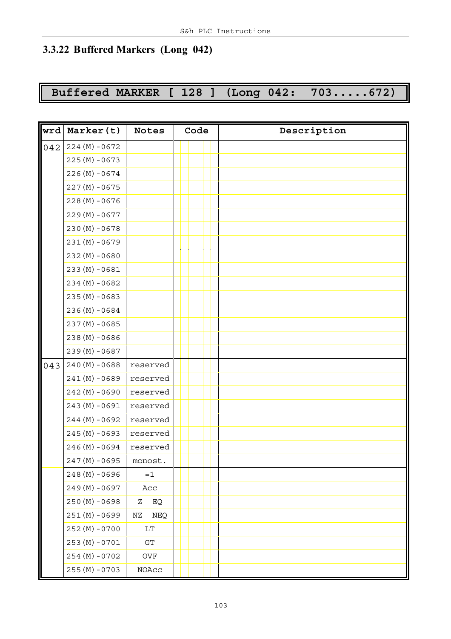#### **3.3.22 Buffered Markers (Long 042)**

# **Buffered MARKER [ 128 ] (Long 042: 703.....672)**

| wrd | Marker(t)        | <b>Notes</b>     | Code |  | Description |
|-----|------------------|------------------|------|--|-------------|
| 042 | $224(M) - 0672$  |                  |      |  |             |
|     | $225(M) - 0673$  |                  |      |  |             |
|     | $226(M) - 0674$  |                  |      |  |             |
|     | $227(M) - 0675$  |                  |      |  |             |
|     | $228(M) - 0676$  |                  |      |  |             |
|     | $229(M) - 0677$  |                  |      |  |             |
|     | $230 (M) - 0678$ |                  |      |  |             |
|     | $231(M) - 0679$  |                  |      |  |             |
|     | $232(M) - 0680$  |                  |      |  |             |
|     | $233(M) - 0681$  |                  |      |  |             |
|     | $234 (M) - 0682$ |                  |      |  |             |
|     | $235(M) - 0683$  |                  |      |  |             |
|     | $236(M) - 0684$  |                  |      |  |             |
|     | $237(M) - 0685$  |                  |      |  |             |
|     | $238(M) - 0686$  |                  |      |  |             |
|     | 239 (M) - 0687   |                  |      |  |             |
| 043 | $240 (M) - 0688$ | reserved         |      |  |             |
|     | $241(M) - 0689$  | reserved         |      |  |             |
|     | $242(M) - 0690$  | reserved         |      |  |             |
|     | $243(M) - 0691$  | reserved         |      |  |             |
|     | 244 (M) - 0692   | reserved         |      |  |             |
|     | $245(M) - 0693$  | reserved         |      |  |             |
|     | $246(M) - 0694$  | reserved         |      |  |             |
|     | 247 (M) -0695    | monost.          |      |  |             |
|     | 248 (M) - 0696   | $=1$             |      |  |             |
|     | 249 (M) - 0697   | Acc              |      |  |             |
|     | $250 (M) - 0698$ | EQ<br>Ζ          |      |  |             |
|     | $251(M) - 0699$  | <b>NEQ</b><br>ΝZ |      |  |             |
|     | $252(M) - 0700$  | $\rm LT$         |      |  |             |
|     | $253(M) - 0701$  | ${\rm GT}$       |      |  |             |
|     | $254(M) - 0702$  | $_{\rm OVF}$     |      |  |             |
|     | $255(M) - 0703$  | $\rm NOAcc$      |      |  |             |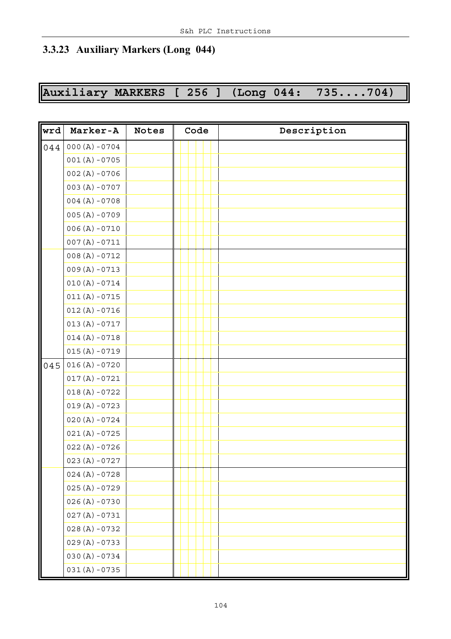#### **3.3.23 Auxiliary Markers (Long 044)**

# **Auxiliary MARKERS [ 256 ] (Long 044: 735....704)**

| wrd | Marker-A         | <b>Notes</b> | Code | Description |
|-----|------------------|--------------|------|-------------|
| 044 | $000 (A) - 0704$ |              |      |             |
|     | $001(A) - 0705$  |              |      |             |
|     | $002(A) - 0706$  |              |      |             |
|     | $003 (A) - 0707$ |              |      |             |
|     | $004(A) - 0708$  |              |      |             |
|     | $005 (A) - 0709$ |              |      |             |
|     | $006(A) - 0710$  |              |      |             |
|     | $007(A) - 0711$  |              |      |             |
|     | $008(A) - 0712$  |              |      |             |
|     | $009(A) - 0713$  |              |      |             |
|     | $010(A) - 0714$  |              |      |             |
|     | $011(A) - 0715$  |              |      |             |
|     | $012(A) - 0716$  |              |      |             |
|     | $013(A) - 0717$  |              |      |             |
|     | $014 (A) - 0718$ |              |      |             |
|     | $015(A) - 0719$  |              |      |             |
| 045 | $016(A) - 0720$  |              |      |             |
|     | $017(A) - 0721$  |              |      |             |
|     | $018(A) - 0722$  |              |      |             |
|     | $019(A) - 0723$  |              |      |             |
|     | $020 (A) - 0724$ |              |      |             |
|     | $021(A) - 0725$  |              |      |             |
|     | $022(A) - 0726$  |              |      |             |
|     | $023 (A) - 0727$ |              |      |             |
|     | $024 (A) - 0728$ |              |      |             |
|     | $025(A) - 0729$  |              |      |             |
|     | $026 (A) - 0730$ |              |      |             |
|     | $027(A) - 0731$  |              |      |             |
|     | $028(A) - 0732$  |              |      |             |
|     | $029 (A) - 0733$ |              |      |             |
|     | $030 (A) - 0734$ |              |      |             |
|     | $031(A) - 0735$  |              |      |             |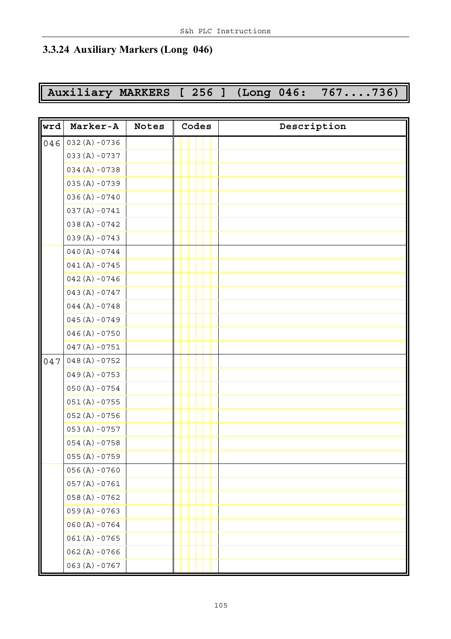#### **3.3.24 Auxiliary Markers (Long 046)**

**Auxiliary MARKERS [ 256 ] (Long 046: 767....736)**

| wrd | Marker-A         | <b>Notes</b> | Codes | Description |
|-----|------------------|--------------|-------|-------------|
| 046 | $032(A) - 0736$  |              |       |             |
|     | $033 (A) - 0737$ |              |       |             |
|     | $034 (A) - 0738$ |              |       |             |
|     | $035(A) - 0739$  |              |       |             |
|     | $036 (A) - 0740$ |              |       |             |
|     | $037(A) - 0741$  |              |       |             |
|     | $038(A) - 0742$  |              |       |             |
|     | $039(A) - 0743$  |              |       |             |
|     | $040 (A) - 0744$ |              |       |             |
|     | $041(A) - 0745$  |              |       |             |
|     | $042(A) - 0746$  |              |       |             |
|     | $043 (A) - 0747$ |              |       |             |
|     | $044 (A) - 0748$ |              |       |             |
|     | $045 (A) - 0749$ |              |       |             |
|     | $046 (A) - 0750$ |              |       |             |
|     | $047(A) - 0751$  |              |       |             |
| 047 | $048(A) - 0752$  |              |       |             |
|     | $049(A) - 0753$  |              |       |             |
|     | $050 (A) - 0754$ |              |       |             |
|     | $051(A) - 0755$  |              |       |             |
|     | $052 (A) - 0756$ |              |       |             |
|     | $053 (A) - 0757$ |              |       |             |
|     | $054 (A) - 0758$ |              |       |             |
|     | $055 (A) - 0759$ |              |       |             |
|     | $056 (A) - 0760$ |              |       |             |
|     | $057 (A) - 0761$ |              |       |             |
|     | $058(A) - 0762$  |              |       |             |
|     | $059 (A) - 0763$ |              |       |             |
|     | $060 (A) - 0764$ |              |       |             |
|     | $061(A) - 0765$  |              |       |             |
|     | $062 (A) - 0766$ |              |       |             |
|     | $063 (A) - 0767$ |              |       |             |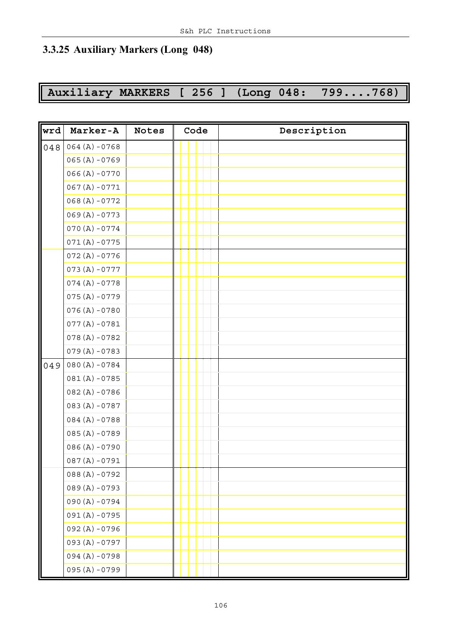#### **3.3.25 Auxiliary Markers (Long 048)**

# **Auxiliary MARKERS [ 256 ] (Long 048: 799....768)**

| wrd | Marker-A         | <b>Notes</b> | Code | Description |
|-----|------------------|--------------|------|-------------|
| 048 | $064 (A) - 0768$ |              |      |             |
|     | $065 (A) - 0769$ |              |      |             |
|     | $066 (A) - 0770$ |              |      |             |
|     | $067 (A) - 0771$ |              |      |             |
|     | $068(A) - 0772$  |              |      |             |
|     | $069 (A) - 0773$ |              |      |             |
|     | $070(A) - 0774$  |              |      |             |
|     | $071(A) - 0775$  |              |      |             |
|     | $072(A) - 0776$  |              |      |             |
|     | $073(A) - 0777$  |              |      |             |
|     | $074(A) - 0778$  |              |      |             |
|     | $075(A) - 0779$  |              |      |             |
|     | $076(A) - 0780$  |              |      |             |
|     | $077(A) - 0781$  |              |      |             |
|     | $078(A) - 0782$  |              |      |             |
|     | $079(A) - 0783$  |              |      |             |
| 049 | $080 (A) - 0784$ |              |      |             |
|     | $081(A) - 0785$  |              |      |             |
|     | $082(A) - 0786$  |              |      |             |
|     | $083(A) - 0787$  |              |      |             |
|     | $084(A) - 0788$  |              |      |             |
|     | $085(A) - 0789$  |              |      |             |
|     | $086(A) - 0790$  |              |      |             |
|     | $087(A) - 0791$  |              |      |             |
|     | $088(A) - 0792$  |              |      |             |
|     | $089(A) - 0793$  |              |      |             |
|     | $090 (A) - 0794$ |              |      |             |
|     | $091(A) - 0795$  |              |      |             |
|     | 092 (A) -0796    |              |      |             |
|     | $093 (A) - 0797$ |              |      |             |
|     | 094 (A) -0798    |              |      |             |
|     | $095 (A) - 0799$ |              |      |             |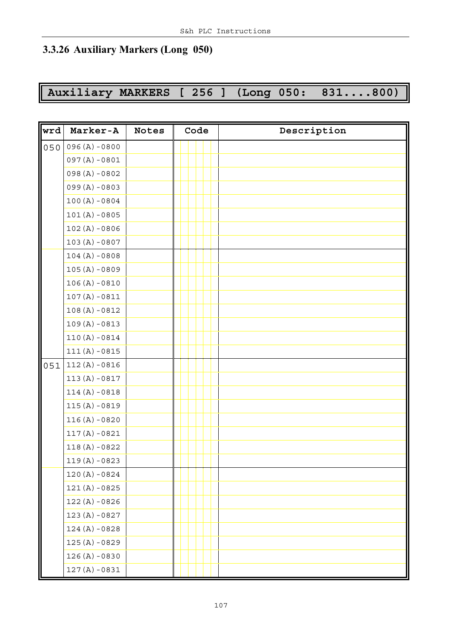#### **3.3.26 Auxiliary Markers (Long 050)**

# **Auxiliary MARKERS [ 256 ] (Long 050: 831....800)**

| wrd | Marker-A         | <b>Notes</b> | Code | Description |
|-----|------------------|--------------|------|-------------|
| 050 | $096 (A) - 0800$ |              |      |             |
|     | $097(A) - 0801$  |              |      |             |
|     | $098(A) - 0802$  |              |      |             |
|     | $099(A) - 0803$  |              |      |             |
|     | $100 (A) - 0804$ |              |      |             |
|     | $101(A) - 0805$  |              |      |             |
|     | $102(A) - 0806$  |              |      |             |
|     | $103 (A) - 0807$ |              |      |             |
|     | $104 (A) - 0808$ |              |      |             |
|     | $105 (A) - 0809$ |              |      |             |
|     | $106(A) - 0810$  |              |      |             |
|     | $107(A) - 0811$  |              |      |             |
|     | $108(A) - 0812$  |              |      |             |
|     | $109(A) - 0813$  |              |      |             |
|     | $110(A) - 0814$  |              |      |             |
|     | $111(A) - 0815$  |              |      |             |
| 051 | $112(A) - 0816$  |              |      |             |
|     | $113(A) - 0817$  |              |      |             |
|     | $114(A) - 0818$  |              |      |             |
|     | $115(A) - 0819$  |              |      |             |
|     | $116(A) - 0820$  |              |      |             |
|     | $117(A) - 0821$  |              |      |             |
|     | $118(A) - 0822$  |              |      |             |
|     | $119(A) - 0823$  |              |      |             |
|     | $120 (A) - 0824$ |              |      |             |
|     | $121(A) - 0825$  |              |      |             |
|     | $122(A) - 0826$  |              |      |             |
|     | $123(A) - 0827$  |              |      |             |
|     | $124 (A) - 0828$ |              |      |             |
|     | $125(A) - 0829$  |              |      |             |
|     | $126 (A) - 0830$ |              |      |             |
|     | $127(A) - 0831$  |              |      |             |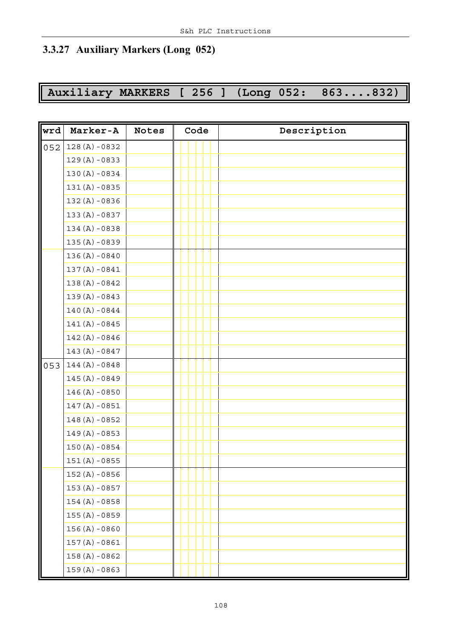#### **3.3.27 Auxiliary Markers (Long 052)**

# **Auxiliary MARKERS [ 256 ] (Long 052: 863....832)**

| wrd | Marker-A         | <b>Notes</b> | Code | Description |
|-----|------------------|--------------|------|-------------|
| 052 | $128(A) - 0832$  |              |      |             |
|     | $129(A) - 0833$  |              |      |             |
|     | $130 (A) - 0834$ |              |      |             |
|     | $131(A) - 0835$  |              |      |             |
|     | $132(A) - 0836$  |              |      |             |
|     | $133(A) - 0837$  |              |      |             |
|     | $134 (A) - 0838$ |              |      |             |
|     | $135(A) - 0839$  |              |      |             |
|     | $136 (A) - 0840$ |              |      |             |
|     | $137(A) - 0841$  |              |      |             |
|     | $138(A) - 0842$  |              |      |             |
|     | $139(A) - 0843$  |              |      |             |
|     | $140 (A) - 0844$ |              |      |             |
|     | $141(A) - 0845$  |              |      |             |
|     | $142(A) - 0846$  |              |      |             |
|     | $143 (A) - 0847$ |              |      |             |
| 053 | $144 (A) - 0848$ |              |      |             |
|     | $145(A) - 0849$  |              |      |             |
|     | $146(A) - 0850$  |              |      |             |
|     | $147(A) - 0851$  |              |      |             |
|     | $148(A) - 0852$  |              |      |             |
|     | $149(A) - 0853$  |              |      |             |
|     | $150 (A) - 0854$ |              |      |             |
|     | $151(A) - 0855$  |              |      |             |
|     | $152(A) - 0856$  |              |      |             |
|     | $153(A) - 0857$  |              |      |             |
|     | $154 (A) - 0858$ |              |      |             |
|     | $155(A) - 0859$  |              |      |             |
|     | $156 (A) - 0860$ |              |      |             |
|     | $157(A) - 0861$  |              |      |             |
|     | $158(A) - 0862$  |              |      |             |
|     | $159(A) - 0863$  |              |      |             |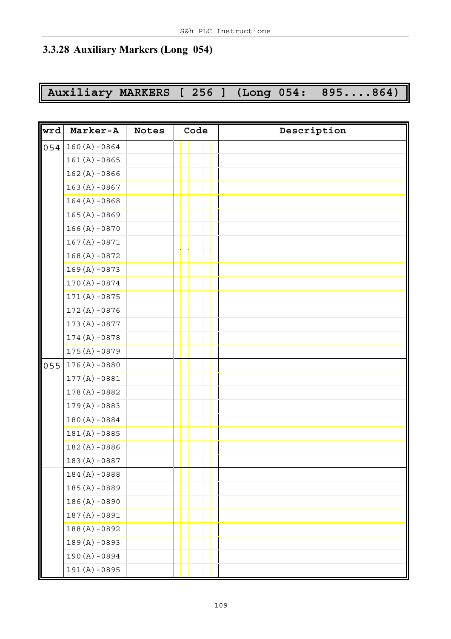### **3.3.28 Auxiliary Markers (Long 054)**

# **Auxiliary MARKERS [ 256 ] (Long 054: 895....864)**

| wrd | Marker-A         | <b>Notes</b> | Code | Description |
|-----|------------------|--------------|------|-------------|
| 054 | $160 (A) - 0864$ |              |      |             |
|     | $161(A) - 0865$  |              |      |             |
|     | $162(A) - 0866$  |              |      |             |
|     | $163 (A) - 0867$ |              |      |             |
|     | $164 (A) - 0868$ |              |      |             |
|     | $165 (A) - 0869$ |              |      |             |
|     | $166 (A) - 0870$ |              |      |             |
|     | $167(A) - 0871$  |              |      |             |
|     | $168(A) - 0872$  |              |      |             |
|     | $169(A) - 0873$  |              |      |             |
|     | $170 (A) - 0874$ |              |      |             |
|     | $171(A) - 0875$  |              |      |             |
|     | $172(A) - 0876$  |              |      |             |
|     | $173(A) - 0877$  |              |      |             |
|     | $174(A) - 0878$  |              |      |             |
|     | $175(A) - 0879$  |              |      |             |
| 055 | $176(A) - 0880$  |              |      |             |
|     | $177(A) - 0881$  |              |      |             |
|     | $178(A) - 0882$  |              |      |             |
|     | $179(A) - 0883$  |              |      |             |
|     | $180 (A) - 0884$ |              |      |             |
|     | $181(A) - 0885$  |              |      |             |
|     | $182(A) - 0886$  |              |      |             |
|     | 183 (A) -0887    |              |      |             |
|     | $184(A) - 0888$  |              |      |             |
|     | 185 (A) -0889    |              |      |             |
|     | $186(A) - 0890$  |              |      |             |
|     | $187(A) - 0891$  |              |      |             |
|     | 188 (A) -0892    |              |      |             |
|     | 189 (A) -0893    |              |      |             |
|     | 190 (A) -0894    |              |      |             |
|     | 191 (A) -0895    |              |      |             |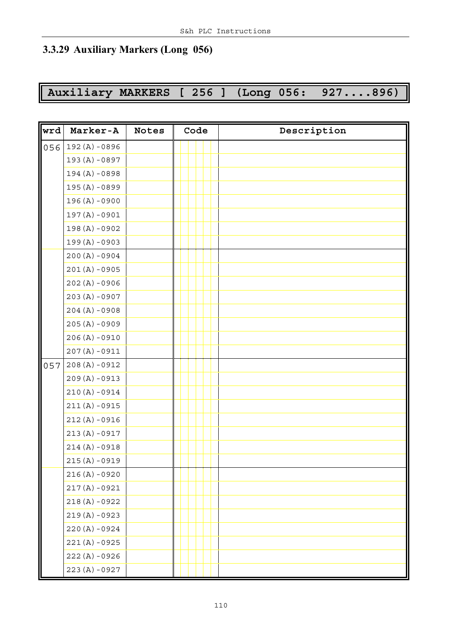### **3.3.29 Auxiliary Markers (Long 056)**

# **Auxiliary MARKERS [ 256 ] (Long 056: 927....896)**

| wrd | Marker-A         | <b>Notes</b> | Code | Description |
|-----|------------------|--------------|------|-------------|
| 056 | $192(A) - 0896$  |              |      |             |
|     | 193 (A) -0897    |              |      |             |
|     | $194(A) - 0898$  |              |      |             |
|     | $195(A) - 0899$  |              |      |             |
|     | $196 (A) - 0900$ |              |      |             |
|     | $197(A) - 0901$  |              |      |             |
|     | $198(A) - 0902$  |              |      |             |
|     | $199(A) - 0903$  |              |      |             |
|     | $200 (A) - 0904$ |              |      |             |
|     | $201(A) - 0905$  |              |      |             |
|     | $202(A) - 0906$  |              |      |             |
|     | $203 (A) - 0907$ |              |      |             |
|     | $204 (A) - 0908$ |              |      |             |
|     | $205(A) - 0909$  |              |      |             |
|     | $206(A) - 0910$  |              |      |             |
|     | $207(A) - 0911$  |              |      |             |
| 057 | $208(A) - 0912$  |              |      |             |
|     | $209(A) - 0913$  |              |      |             |
|     | $210(A) - 0914$  |              |      |             |
|     | $211(A) - 0915$  |              |      |             |
|     | $212(A) - 0916$  |              |      |             |
|     | $213(A) - 0917$  |              |      |             |
|     | $214(A) - 0918$  |              |      |             |
|     | $215(A) - 0919$  |              |      |             |
|     | $216(A) - 0920$  |              |      |             |
|     | $217(A) - 0921$  |              |      |             |
|     | $218(A) - 0922$  |              |      |             |
|     | $219(A) - 0923$  |              |      |             |
|     | $220 (A) - 0924$ |              |      |             |
|     | $221(A) - 0925$  |              |      |             |
|     | $222(A) - 0926$  |              |      |             |
|     | $223(A) - 0927$  |              |      |             |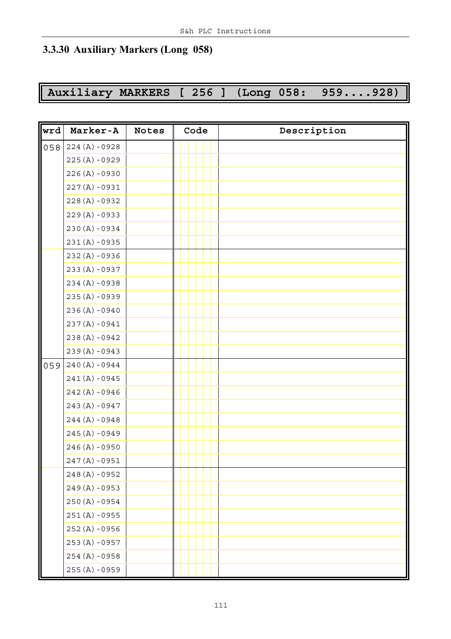### **3.3.30 Auxiliary Markers (Long 058)**

# **Auxiliary MARKERS [ 256 ] (Long 058: 959....928)**

| wrd | Marker-A         | <b>Notes</b> | Code | Description |
|-----|------------------|--------------|------|-------------|
| 058 | $224 (A) - 0928$ |              |      |             |
|     | $225(A) - 0929$  |              |      |             |
|     | $226(A) - 0930$  |              |      |             |
|     | $227(A) - 0931$  |              |      |             |
|     | $228(A) - 0932$  |              |      |             |
|     | $229(A) - 0933$  |              |      |             |
|     | $230 (A) - 0934$ |              |      |             |
|     | $231(A) - 0935$  |              |      |             |
|     | $232(A) - 0936$  |              |      |             |
|     | $233(A) - 0937$  |              |      |             |
|     | $234 (A) - 0938$ |              |      |             |
|     | $235(A) - 0939$  |              |      |             |
|     | $236(A) - 0940$  |              |      |             |
|     | $237(A) - 0941$  |              |      |             |
|     | $238(A) - 0942$  |              |      |             |
|     | $239(A) - 0943$  |              |      |             |
| 059 | $240 (A) - 0944$ |              |      |             |
|     | $241(A) - 0945$  |              |      |             |
|     | $242(A) - 0946$  |              |      |             |
|     | $243(A) - 0947$  |              |      |             |
|     | $244 (A) - 0948$ |              |      |             |
|     | $245(A) - 0949$  |              |      |             |
|     | $246 (A) - 0950$ |              |      |             |
|     | $247(A) - 0951$  |              |      |             |
|     | $248(A) - 0952$  |              |      |             |
|     | $249(A) - 0953$  |              |      |             |
|     | $250 (A) - 0954$ |              |      |             |
|     | $251(A) - 0955$  |              |      |             |
|     | 252 (A) -0956    |              |      |             |
|     | $253(A) - 0957$  |              |      |             |
|     | $254 (A) - 0958$ |              |      |             |
|     | $255(A) - 0959$  |              |      |             |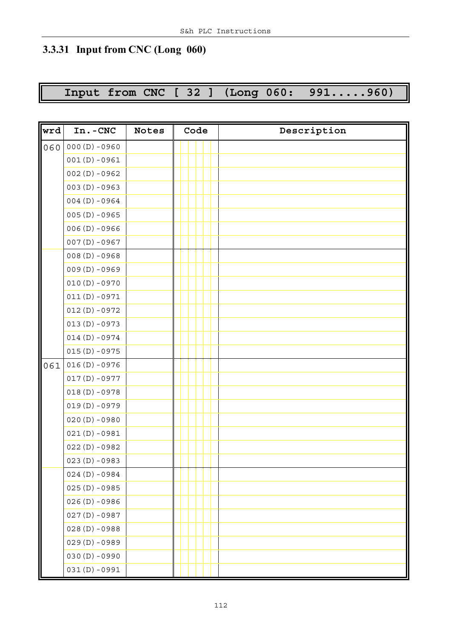## **3.3.31 Input from CNC (Long 060)**

**Input from CNC [ 32 ] (Long 060: 991.....960)**

| wrd | In.-CNC         | <b>Notes</b> | Code | Description |
|-----|-----------------|--------------|------|-------------|
| 060 | $000(D) - 0960$ |              |      |             |
|     | $001(D) - 0961$ |              |      |             |
|     | $002(D) - 0962$ |              |      |             |
|     | $003(D) - 0963$ |              |      |             |
|     | $004(D) - 0964$ |              |      |             |
|     | $005(D) - 0965$ |              |      |             |
|     | $006(D) - 0966$ |              |      |             |
|     | $007(D) - 0967$ |              |      |             |
|     | $008(D) - 0968$ |              |      |             |
|     | $009(D) - 0969$ |              |      |             |
|     | $010(D) - 0970$ |              |      |             |
|     | $011(D) - 0971$ |              |      |             |
|     | $012(D) - 0972$ |              |      |             |
|     | $013(D) - 0973$ |              |      |             |
|     | $014(D) - 0974$ |              |      |             |
|     | $015(D) - 0975$ |              |      |             |
| 061 | $016(D) - 0976$ |              |      |             |
|     | $017(D) - 0977$ |              |      |             |
|     | $018(D) - 0978$ |              |      |             |
|     | $019(D) - 0979$ |              |      |             |
|     | $020(D) - 0980$ |              |      |             |
|     | $021(D) - 0981$ |              |      |             |
|     | $022(D) - 0982$ |              |      |             |
|     | $023(D) - 0983$ |              |      |             |
|     | $024(D) - 0984$ |              |      |             |
|     | $025(D) - 0985$ |              |      |             |
|     | $026(D) - 0986$ |              |      |             |
|     | $027(D) - 0987$ |              |      |             |
|     | $028(D) - 0988$ |              |      |             |
|     | $029(D) - 0989$ |              |      |             |
|     | $030(D) - 0990$ |              |      |             |
|     | $031(D) - 0991$ |              |      |             |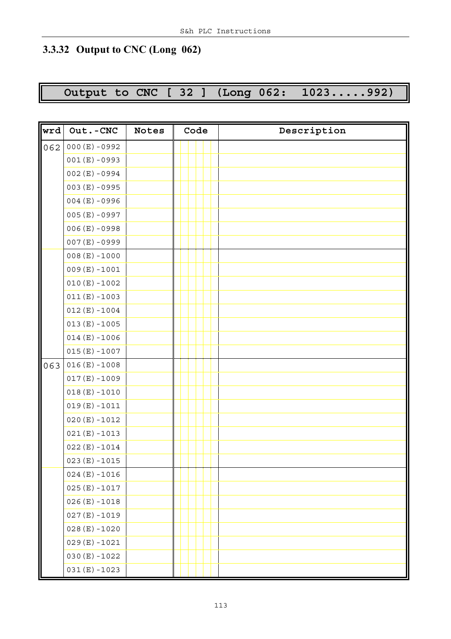## **3.3.32 Output to CNC (Long 062)**

# **Output to CNC [ 32 ] (Long 062: 1023.....992)**

| wrd | Out.-CNC        | <b>Notes</b> | Code | Description |
|-----|-----------------|--------------|------|-------------|
| 062 | $000(E) - 0992$ |              |      |             |
|     | $001(E) - 0993$ |              |      |             |
|     | $002(E) - 0994$ |              |      |             |
|     | $003(E) - 0995$ |              |      |             |
|     | $004(E) - 0996$ |              |      |             |
|     | $005(E) - 0997$ |              |      |             |
|     | $006(E) - 0998$ |              |      |             |
|     | $007(E) - 0999$ |              |      |             |
|     | $008(E) - 1000$ |              |      |             |
|     | $009(E) - 1001$ |              |      |             |
|     | $010(E) - 1002$ |              |      |             |
|     | $011(E) - 1003$ |              |      |             |
|     | $012(E) - 1004$ |              |      |             |
|     | $013(E) - 1005$ |              |      |             |
|     | $014(E) - 1006$ |              |      |             |
|     | $015(E) - 1007$ |              |      |             |
| 063 | $016(E) - 1008$ |              |      |             |
|     | $017(E) - 1009$ |              |      |             |
|     | $018(E) - 1010$ |              |      |             |
|     | $019(E) - 1011$ |              |      |             |
|     | $020(E) - 1012$ |              |      |             |
|     | $021(E) - 1013$ |              |      |             |
|     | $022(E) - 1014$ |              |      |             |
|     | $023(E) - 1015$ |              |      |             |
|     | $024(E) - 1016$ |              |      |             |
|     | $025(E) - 1017$ |              |      |             |
|     | $026(E) - 1018$ |              |      |             |
|     | $027(E) - 1019$ |              |      |             |
|     | $028(E) - 1020$ |              |      |             |
|     | $029(E) - 1021$ |              |      |             |
|     | $030(E) - 1022$ |              |      |             |
|     | $031(E) - 1023$ |              |      |             |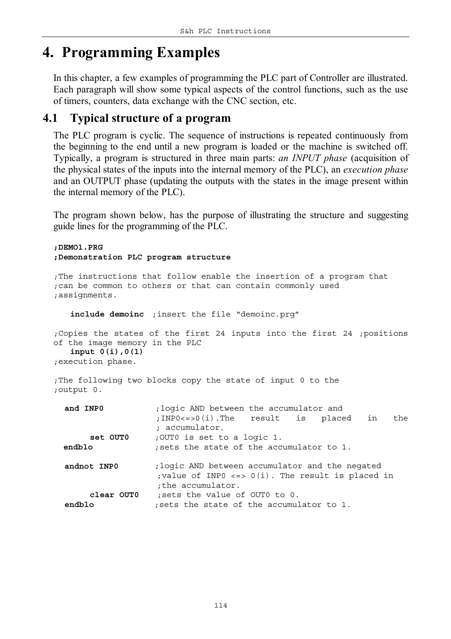# **4. Programming Examples**

In this chapter, a few examples of programming the PLC part of Controller are illustrated. Each paragraph will show some typical aspects of the control functions, such as the use of timers, counters, data exchange with the CNC section, etc.

### **4.1 Typical structure of a program**

The PLC program is cyclic. The sequence of instructions is repeated continuously from the beginning to the end until a new program is loaded or the machine is switched off. Typically, a program is structured in three main parts: *an INPUT phase* (acquisition of the physical states of the inputs into the internal memory of the PLC), an *execution phase* and an OUTPUT phase (updating the outputs with the states in the image present within the internal memory of the PLC).

The program shown below, has the purpose of illustrating the structure and suggesting guide lines for the programming of the PLC.

*;DEMO1.PRG ;Demonstration PLC program structure*

```
;The instructions that follow enable the insertion of a program that
;can be common to others or that can contain commonly used
;assignments.
```
**include demoinc** *;insert the file "demoinc.prg"*

*;Copies the states of the first 24 inputs into the first 24 ;positions of the image memory in the PLC* **input 0(i),0(1)** *;execution phase.*

*;The following two blocks copy the state of input 0 to the ;output 0.*

| and INPO             | ; logic AND between the accumulator and<br>;INPO<=>0(i).The result is placed in<br>the<br>; accumulator.                      |
|----------------------|-------------------------------------------------------------------------------------------------------------------------------|
| set OUTO             | ;OUTO is set to a logic 1.                                                                                                    |
| endblo               | ; sets the state of the accumulator to 1.                                                                                     |
| andnot INPO          | ; logic AND between accumulator and the negated<br>; value of INPO <=> $0(i)$ . The result is placed in<br>; the accumulator. |
| clear OUTO<br>endblo | sets the value of OUTO to 0.<br>sets the state of the accumulator to 1.                                                       |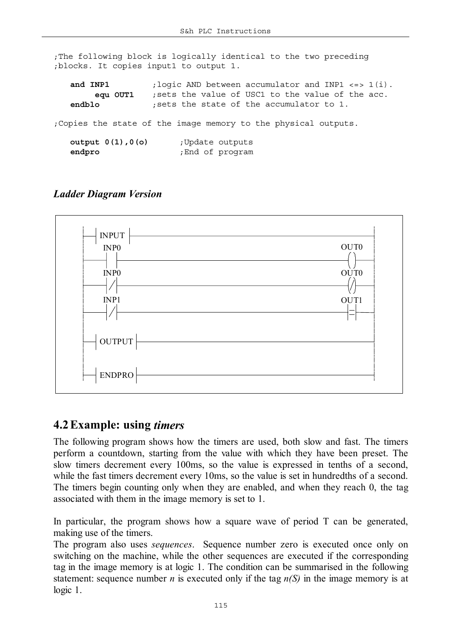*;The following block is logically identical to the two preceding ;blocks. It copies input1 to output 1.*

| and INP1               | ; logic AND between accumulator and INP1 <=> 1(i).              |
|------------------------|-----------------------------------------------------------------|
| equ OUT1               | ; sets the value of USC1 to the value of the acc.               |
| endblo                 | ; sets the state of the accumulator to 1.                       |
|                        | ; Copies the state of the image memory to the physical outputs. |
| output $0(1)$ , $0(0)$ | Update outputs;                                                 |
| endpro                 | ; End of program                                                |

#### *Ladder Diagram Version*



### **4.2Example: using** *timers*

The following program shows how the timers are used, both slow and fast. The timers perform a countdown, starting from the value with which they have been preset. The slow timers decrement every 100ms, so the value is expressed in tenths of a second, while the fast timers decrement every 10ms, so the value is set in hundredths of a second. The timers begin counting only when they are enabled, and when they reach 0, the tag associated with them in the image memory is set to 1.

In particular, the program shows how a square wave of period T can be generated, making use of the timers.

The program also uses *sequences*. Sequence number zero is executed once only on switching on the machine, while the other sequences are executed if the corresponding tag in the image memory is at logic 1. The condition can be summarised in the following statement: sequence number *n* is executed only if the tag  $n(S)$  in the image memory is at logic 1.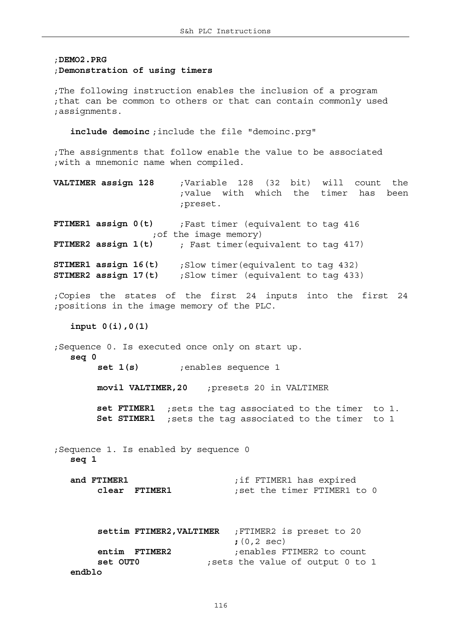#### ;*DEMO2.PRG*

#### ;*Demonstration of using timers*

*;The following instruction enables the inclusion of a program ;that can be common to others or that can contain commonly used ;assignments.*

**include demoinc** *;include the file "demoinc.prg"*

*;The assignments that follow enable the value to be associated ;with a mnemonic name when compiled.*

**VALTIMER assign 128** *;Variable 128 (32 bit) will count the ;value with which the timer has been ;preset.*

**FTIMER1 assign 0(t)** ;*Fast timer (equivalent to tag 416 ;of the image memory)* **FTIMER2 assign 1(t)** *; Fast timer*(*equivalent to tag* 417)

**STIMER1 assign 16(t)** *;Slow timer(equivalent to tag 432)* **STIMER2 assign 17(t)** *;Slow timer (equivalent to tag 433)*

*;Copies the states of the first 24 inputs into the first 24 ;positions in the image memory of the PLC.*

**input 0(i),0(1)**

*;Sequence 0. Is executed once only on start up.* **seq 0 set 1(s)** ;*enables sequence 1*

**movil VALTIMER,20** *;presets 20 in VALTIMER*

**set FTIMER1** *;sets the tag associated to the timer to 1.* **Set STIMER1** *;sets the tag associated to the timer to 1*

*;Sequence 1. Is enabled by sequence 0* **seq 1**

**and FTIMER1** *;if FTIMER1 has expired* **clear FTIMER1** *;set the timer FTIMER1 to 0*

|               | settim FTIMER2, VALTIMER ; FTIMER2 is preset to 20 |
|---------------|----------------------------------------------------|
|               | $(0, 2 \sec)$                                      |
| entim FTIMER2 | enables FTIMER2 to count;                          |
| set OUTO      | ; sets the value of output 0 to 1                  |
| endblo        |                                                    |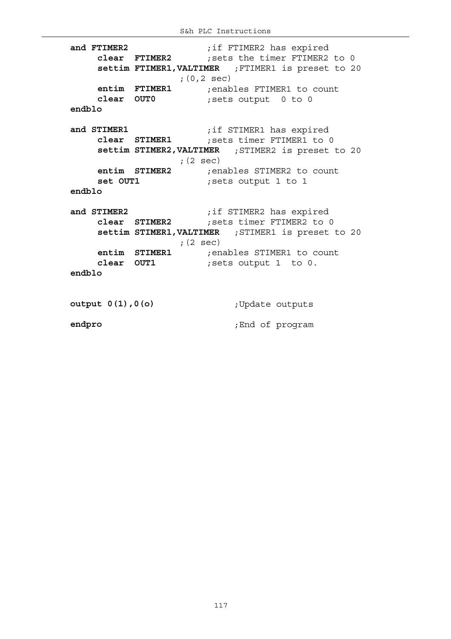**and FTIMER2** *;if FTIMER2 has expired* **clear FTIMER2** *;sets the timer FTIMER2 to 0* **settim FTIMER1,VALTIMER** *;FTIMER1 is preset to 20 ;(0,2 sec)* **entim FTIMER1** *;enables FTIMER1 to count* **clear OUT0** *;sets output 0 to 0* **endblo and STIMER1** *;if STIMER1 has expired* **clear STIMER1** *;sets timer FTIMER1 to 0* **settim STIMER2,VALTIMER** *;STIMER2 is preset to 20 ;(2 sec)* **entim STIMER2** *;enables STIMER2 to count* **set OUT1** *;sets output 1 to 1* **endblo and STIMER2** *;if STIMER2 has expired* **clear STIMER2** *;sets timer FTIMER2 to 0* **settim STIMER1,VALTIMER** *;STIMER1 is preset to 20 ;(2 sec)* **entim STIMER1** *;enables STIMER1 to count* **clear OUT1** *;sets output 1 to 0.* **endblo output 0(1),0(o)** *;Update outputs* **endpro** *;End of program*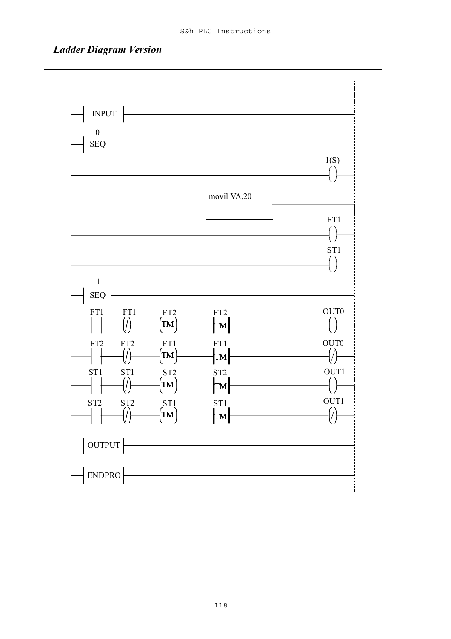### *Ladder Diagram Version*

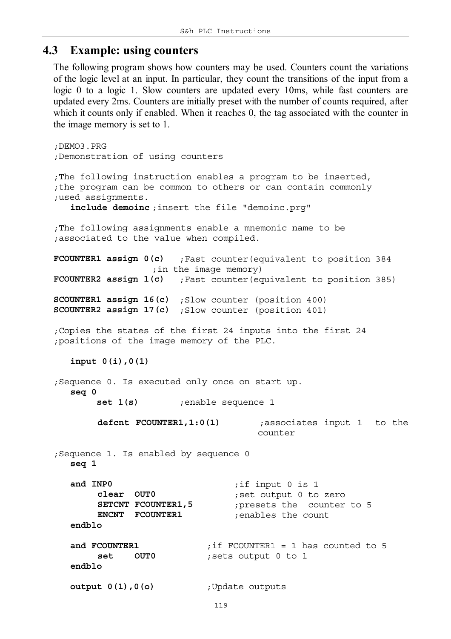### **4.3 Example: using counters**

The following program shows how counters may be used. Counters count the variations of the logic level at an input. In particular, they count the transitions of the input from a logic 0 to a logic 1. Slow counters are updated every 10ms, while fast counters are updated every 2ms. Counters are initially preset with the number of counts required, after which it counts only if enabled. When it reaches 0, the tag associated with the counter in the image memory is set to 1.

```
;DEMO3.PRG
;Demonstration of using counters
;The following instruction enables a program to be inserted,
;the program can be common to others or can contain commonly
;used assignments.
   include demoinc ;insert the file "demoinc.prg"
;The following assignments enable a mnemonic name to be
;associated to the value when compiled.
FCOUNTER1 assign 0(c) ;Fast counter(equivalent to position 384 
                 ;in the image memory)
FCOUNTER2 assign 1(c) ;Fast counter(equivalent to position 385)
SCOUNTER1 assign 16(c) ;Slow counter (position 400)
SCOUNTER2 assign 17(c) ;Slow counter (position 401)
;Copies the states of the first 24 inputs into the first 24
;positions of the image memory of the PLC.
   input 0(i),0(1)
;Sequence 0. Is executed only once on start up.
   seq 0
        set 1(s) ;enable sequence 1
       defcnt FCOUNTER1,1:0(1) ;associates input 1 to the
                                    counter
;Sequence 1. Is enabled by sequence 0
   seq 1
   and INP0 ;if input 0 is 1
       clear OUT0 ;set output 0 to zero
       SETCNT FCOUNTER1,5 ;presets the counter to 5
       ENCNT FCOUNTER1 ;enables the count
   endblo
   and FCOUNTER1 ;if FCOUNTER1 = 1 has counted to 5
       set OUT0 ;sets output 0 to 1
   endblo
   output 0(1),0(o) ;Update outputs
```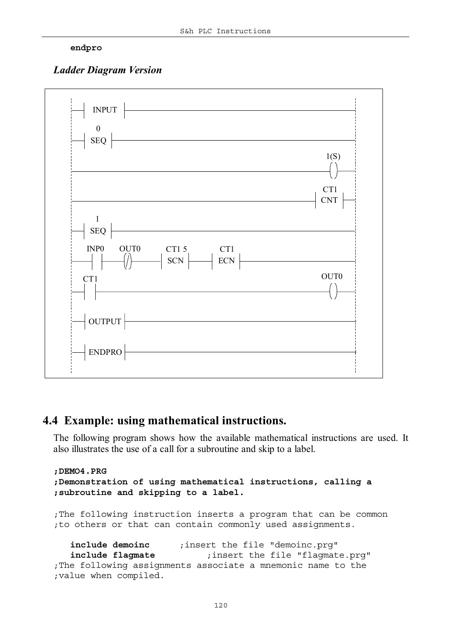#### **endpro**

#### *Ladder Diagram Version*



### **4.4 Example: using mathematical instructions.**

The following program shows how the available mathematical instructions are used. It also illustrates the use of a call for a subroutine and skip to a label.

```
;DEMO4.PRG
;Demonstration of using mathematical instructions, calling a
;subroutine and skipping to a label.
;The following instruction inserts a program that can be common
;to others or that can contain commonly used assignments.
   include demoinc ;insert the file "demoinc.prg"
   include flagmate ;insert the file "flagmate.prg"
;The following assignments associate a mnemonic name to the
;value when compiled.
```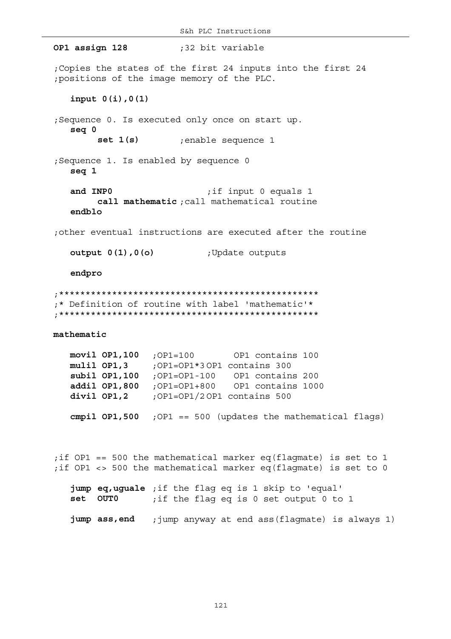**OP1 assign 128** *;32 bit variable ;Copies the states of the first 24 inputs into the first 24 ;positions of the image memory of the PLC.* **input 0(i),0(1)** *;Sequence 0. Is executed only once on start up.* **seq 0 set 1(s)** *;enable sequence 1 ;Sequence 1. Is enabled by sequence 0* **seq 1 and INP0** *;if input 0 equals 1* **call mathematic** *;call mathematical routine* **endblo** *;other eventual instructions are executed after the routine* **output 0(1),0(o)** *;Update outputs* **endpro** *;\*\*\*\*\*\*\*\*\*\*\*\*\*\*\*\*\*\*\*\*\*\*\*\*\*\*\*\*\*\*\*\*\*\*\*\*\*\*\*\*\*\*\*\*\*\*\*\*\* ;\* Definition of routine with label 'mathematic'\* ;\*\*\*\*\*\*\*\*\*\*\*\*\*\*\*\*\*\*\*\*\*\*\*\*\*\*\*\*\*\*\*\*\*\*\*\*\*\*\*\*\*\*\*\*\*\*\*\*\** **mathematic movil OP1,100** *;OP1=100 OP1 contains 100* **mulil OP1,3** *;OP1=OP1\*3 OP1 contains 300* **subil OP1,100** *;OP1=OP1-100 OP1 contains 200* **addil OP1,800** *;OP1=OP1+800 OP1 contains 1000* **divil OP1,2** *;OP1=OP1/2 OP1 contains 500* **cmpil OP1,500** *;OP1 == 500 (updates the mathematical flags) ;if OP1 == 500 the mathematical marker eq(flagmate) is set to 1 ;if OP1 <> 500 the mathematical marker eq(flagmate) is set to 0* **jump eq,uguale** *;if the flag eq is 1 skip to 'equal'* **set OUT0** *;if the flag eq is 0 set output 0 to 1* **jump ass,end** *;jump anyway at end ass(flagmate) is always 1)*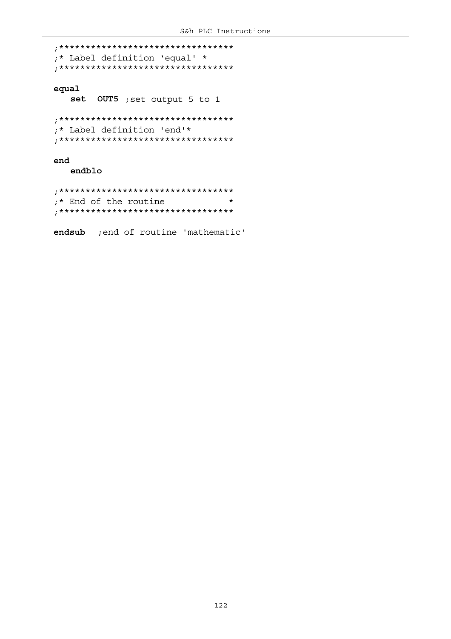*;\*\*\*\*\*\*\*\*\*\*\*\*\*\*\*\*\*\*\*\*\*\*\*\*\*\*\*\*\*\*\*\*\* ;\* Label definition 'equal' \* ;\*\*\*\*\*\*\*\*\*\*\*\*\*\*\*\*\*\*\*\*\*\*\*\*\*\*\*\*\*\*\*\*\** **equal set OUT5** *;set output 5 to 1 ;\*\*\*\*\*\*\*\*\*\*\*\*\*\*\*\*\*\*\*\*\*\*\*\*\*\*\*\*\*\*\*\*\* ;\* Label definition 'end'\* ;\*\*\*\*\*\*\*\*\*\*\*\*\*\*\*\*\*\*\*\*\*\*\*\*\*\*\*\*\*\*\*\*\** **end endblo**

*;\*\*\*\*\*\*\*\*\*\*\*\*\*\*\*\*\*\*\*\*\*\*\*\*\*\*\*\*\*\*\*\*\* ;\* End of the routine \* ;\*\*\*\*\*\*\*\*\*\*\*\*\*\*\*\*\*\*\*\*\*\*\*\*\*\*\*\*\*\*\*\*\**

**endsub** *;end of routine 'mathematic'*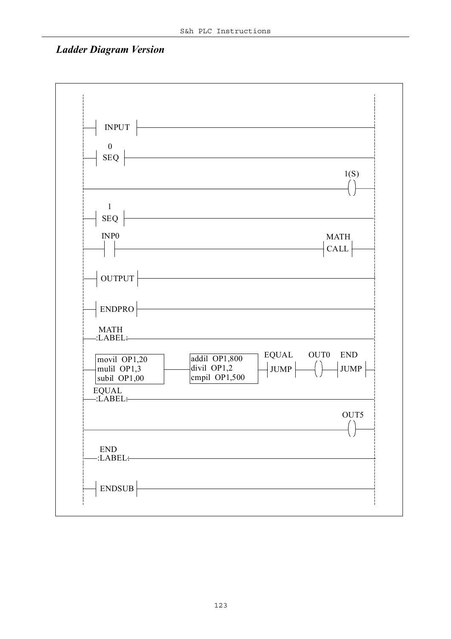### *Ladder Diagram Version*

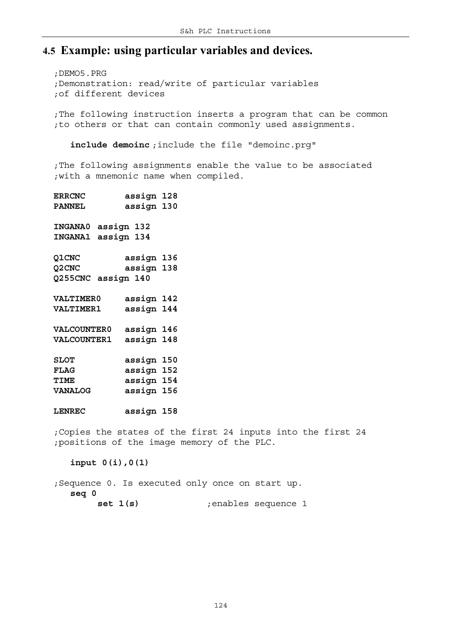### **4.5 Example: using particular variables and devices.**

*;DEMO5.PRG ;Demonstration: read/write of particular variables ;of different devices*

*;The following instruction inserts a program that can be common ;to others or that can contain commonly used assignments.*

**include demoinc** *;include the file "demoinc.prg"*

*;The following assignments enable the value to be associated ;with a mnemonic name when compiled.*

| <b>ERRCNC</b>                |            | assign 128 |  |
|------------------------------|------------|------------|--|
| <b>PANNEL</b>                |            | assign 130 |  |
| <b>INGANA0</b>               | assign 132 |            |  |
| <b>INGANA1</b>               | assign 134 |            |  |
| Q1CNC                        |            | assign 136 |  |
| Q <sub>2</sub> CNC           |            | assign 138 |  |
| Q255CNC assign 140           |            |            |  |
| <b>VALTIMER0</b>             |            | assign 142 |  |
| <b>VALTIMER1</b>             |            | assign 144 |  |
| <b>VALCOUNTER0</b>           |            | assign 146 |  |
| <b>VALCOUNTER1</b>           |            | assign 148 |  |
| <b>SLOT</b>                  |            | assign 150 |  |
| <b>FLAG</b>                  |            | assign 152 |  |
| TIME                         |            | assign 154 |  |
| <b>VANALOG</b>               |            | assign 156 |  |
| <b>LENREC</b>                |            | assign 158 |  |
| $. Con1 on the other of the$ |            |            |  |

*;Copies the states of the first 24 inputs into the first 24 ;positions of the image memory of the PLC.*

**input 0(i),0(1)**

*;Sequence 0. Is executed only once on start up.* **seq 0 set 1(s)** *;enables sequence 1*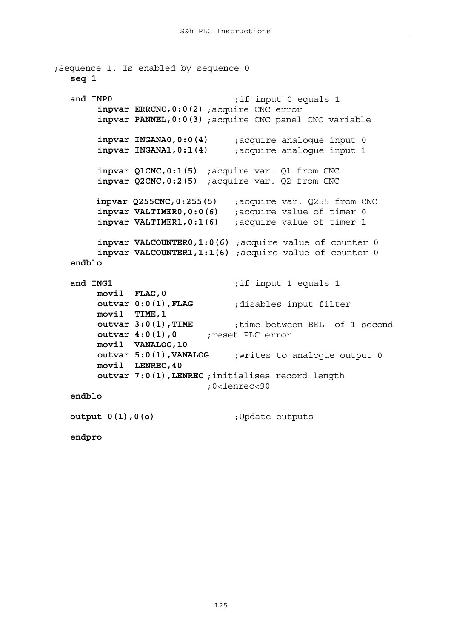```
;Sequence 1. Is enabled by sequence 0
  seq 1
  and INP0 ;if input 0 equals 1
       inpvar ERRCNC,0:0(2) ;acquire CNC error
       inpvar PANNEL,0:0(3) ;acquire CNC panel CNC variable
       inpvar INGANA0,0:0(4) ;acquire analogue input 0
       inpvar INGANA1,0:1(4) ;acquire analogue input 1
       inpvar Q1CNC,0:1(5) ;acquire var. Q1 from CNC
       inpvar Q2CNC,0:2(5) ;acquire var. Q2 from CNC
        inpvar Q255CNC,0:255(5) ;acquire var. Q255 from CNC
       inpvar VALTIMER0,0:0(6) ;acquire value of timer 0
       inpvar VALTIMER1,0:1(6) ;acquire value of timer 1
       inpvar VALCOUNTER0,1:0(6) ;acquire value of counter 0
       inpvar VALCOUNTER1,1:1(6) ;acquire value of counter 0
  endblo
  and ING1 ;if input 1 equals 1
       movil FLAG,0
       outvar 0:0(1),FLAG ;disables input filter
       movil TIME,1
       outvar 3:0(1),TIME ;time between BEL of 1 second
       outvar 4:0(1),0 ;reset PLC error
       movil VANALOG,10
       outvar 5:0(1),VANALOG ;writes to analogue output 0
       movil LENREC,40
       outvar 7:0(1),LENREC ;initialises record length 
                          ;0<lenrec<90
  endblo
  output 0(1),0(o) ;Update outputs
```
**endpro**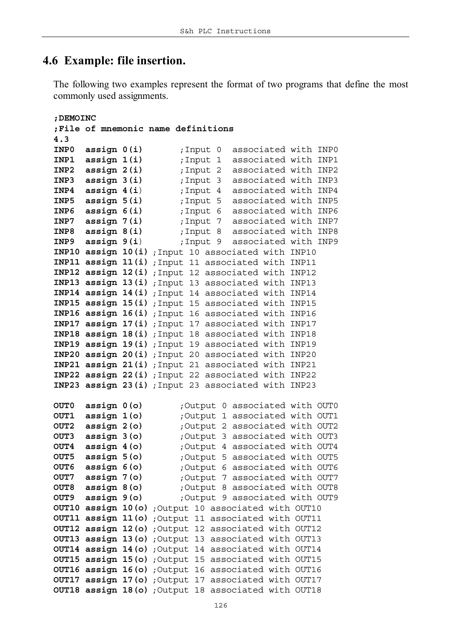#### **4.6 Example: file insertion.**

The following two examples represent the format of two programs that define the most commonly used assignments.

```
;DEMOINC
;File of mnemonic name definitions
4.3
INP0 assign 0(i) ;Input 0 associated with INP0
INP1 assign 1(i) ;Input 1 associated with INP1
INP2 assign 2(i) ;Input 2 associated with INP2
INP3 assign 3(i) ;Input 3 associated with INP3
INP4 assign 4(i) ;Input 4 associated with INP4
INP5 assign 5(i) ;Input 5 associated with INP5
INP6 assign 6(i) ;Input 6 associated with INP6
INP7 assign 7(i) ;Input 7 associated with INP7
INP8 assign 8(i) ;Input 8 associated with INP8
INP9 assign 9(i) ;Input 9 associated with INP9
INP10 assign 10(i) ;Input 10 associated with INP10
INP11 assign 11(i) ;Input 11 associated with INP11
INP12 assign 12(i) ;Input 12 associated with INP12
INP13 assign 13(i) ;Input 13 associated with INP13
INP14 assign 14(i) ;Input 14 associated with INP14
INP15 assign 15(i) ;Input 15 associated with INP15
INP16 assign 16(i) ;Input 16 associated with INP16
INP17 assign 17(i) ;Input 17 associated with INP17
INP18 assign 18(i) ;Input 18 associated with INP18
INP19 assign 19(i) ;Input 19 associated with INP19
INP20 assign 20(i) ;Input 20 associated with INP20
INP21 assign 21(i) ;Input 21 associated with INP21
INP22 assign 22(i) ;Input 22 associated with INP22
INP23 assign 23(i) ;Input 23 associated with INP23
OUT0 assign 0(o) ;Output 0 associated with OUT0
OUT1 assign 1(o) ;Output 1 associated with OUT1
OUT2 assign 2(o) ;Output 2 associated with OUT2
OUT3 assign 3(o) ;Output 3 associated with OUT3
OUT4 assign 4(o) ;Output 4 associated with OUT4
OUT5 assign 5(o) ;Output 5 associated with OUT5
OUT6 assign 6(o) ;Output 6 associated with OUT6
OUT7 assign 7(o) ;Output 7 associated with OUT7
OUT8 assign 8(o) ;Output 8 associated with OUT8
OUT9 assign 9(o) ;Output 9 associated with OUT9
OUT10 assign 10(o) ;Output 10 associated with OUT10
OUT11 assign 11(o) ;Output 11 associated with OUT11
OUT12 assign 12(o) ;Output 12 associated with OUT12
OUT13 assign 13(o) ;Output 13 associated with OUT13
OUT14 assign 14(o) ;Output 14 associated with OUT14
OUT15 assign 15(o) ;Output 15 associated with OUT15
OUT16 assign 16(o) ;Output 16 associated with OUT16
OUT17 assign 17(o) ;Output 17 associated with OUT17
OUT18 assign 18(o) ;Output 18 associated with OUT18
```